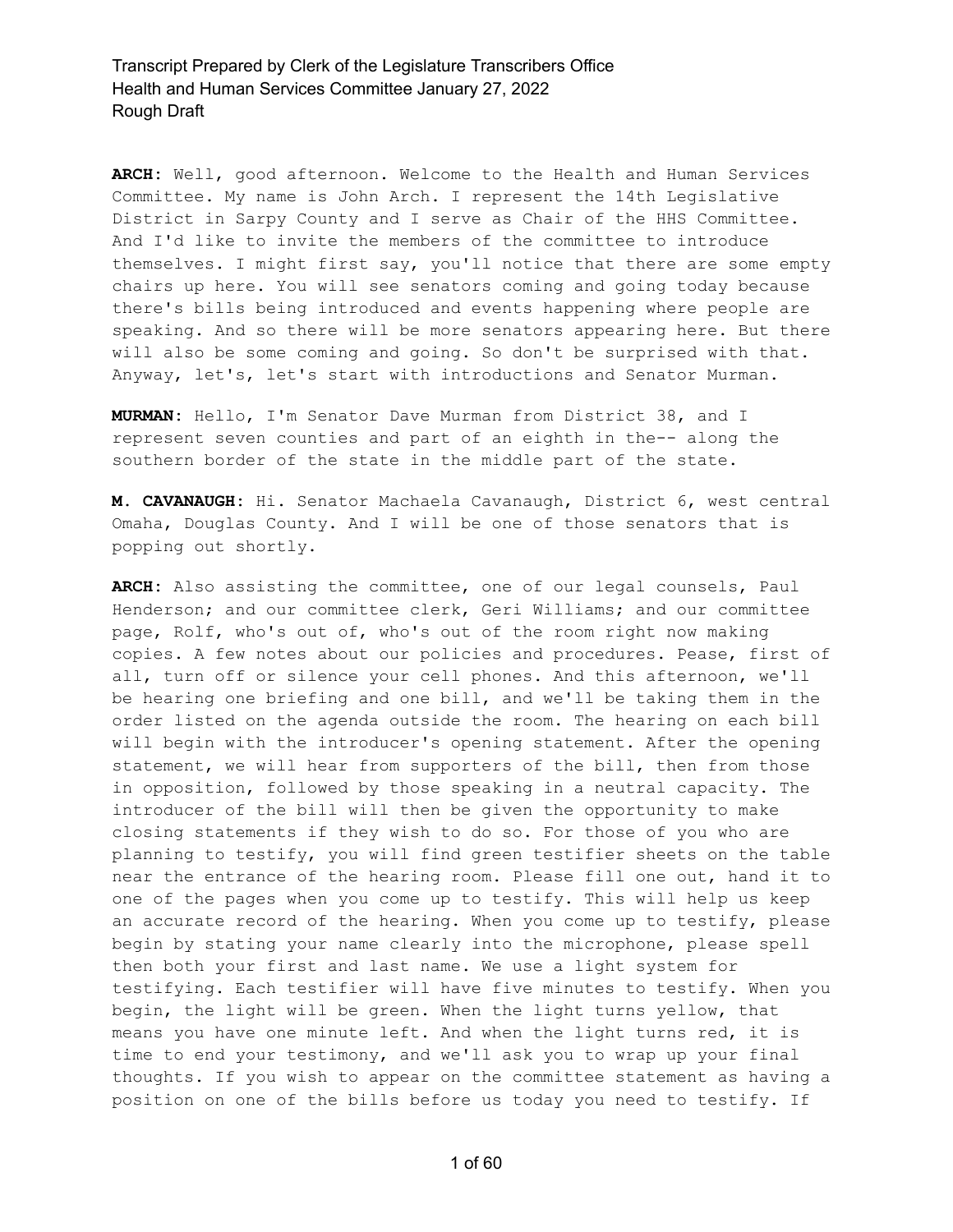**ARCH:** Well, good afternoon. Welcome to the Health and Human Services Committee. My name is John Arch. I represent the 14th Legislative District in Sarpy County and I serve as Chair of the HHS Committee. And I'd like to invite the members of the committee to introduce themselves. I might first say, you'll notice that there are some empty chairs up here. You will see senators coming and going today because there's bills being introduced and events happening where people are speaking. And so there will be more senators appearing here. But there will also be some coming and going. So don't be surprised with that. Anyway, let's, let's start with introductions and Senator Murman.

**MURMAN:** Hello, I'm Senator Dave Murman from District 38, and I represent seven counties and part of an eighth in the-- along the southern border of the state in the middle part of the state.

**M. CAVANAUGH:** Hi. Senator Machaela Cavanaugh, District 6, west central Omaha, Douglas County. And I will be one of those senators that is popping out shortly.

**ARCH:** Also assisting the committee, one of our legal counsels, Paul Henderson; and our committee clerk, Geri Williams; and our committee page, Rolf, who's out of, who's out of the room right now making copies. A few notes about our policies and procedures. Pease, first of all, turn off or silence your cell phones. And this afternoon, we'll be hearing one briefing and one bill, and we'll be taking them in the order listed on the agenda outside the room. The hearing on each bill will begin with the introducer's opening statement. After the opening statement, we will hear from supporters of the bill, then from those in opposition, followed by those speaking in a neutral capacity. The introducer of the bill will then be given the opportunity to make closing statements if they wish to do so. For those of you who are planning to testify, you will find green testifier sheets on the table near the entrance of the hearing room. Please fill one out, hand it to one of the pages when you come up to testify. This will help us keep an accurate record of the hearing. When you come up to testify, please begin by stating your name clearly into the microphone, please spell then both your first and last name. We use a light system for testifying. Each testifier will have five minutes to testify. When you begin, the light will be green. When the light turns yellow, that means you have one minute left. And when the light turns red, it is time to end your testimony, and we'll ask you to wrap up your final thoughts. If you wish to appear on the committee statement as having a position on one of the bills before us today you need to testify. If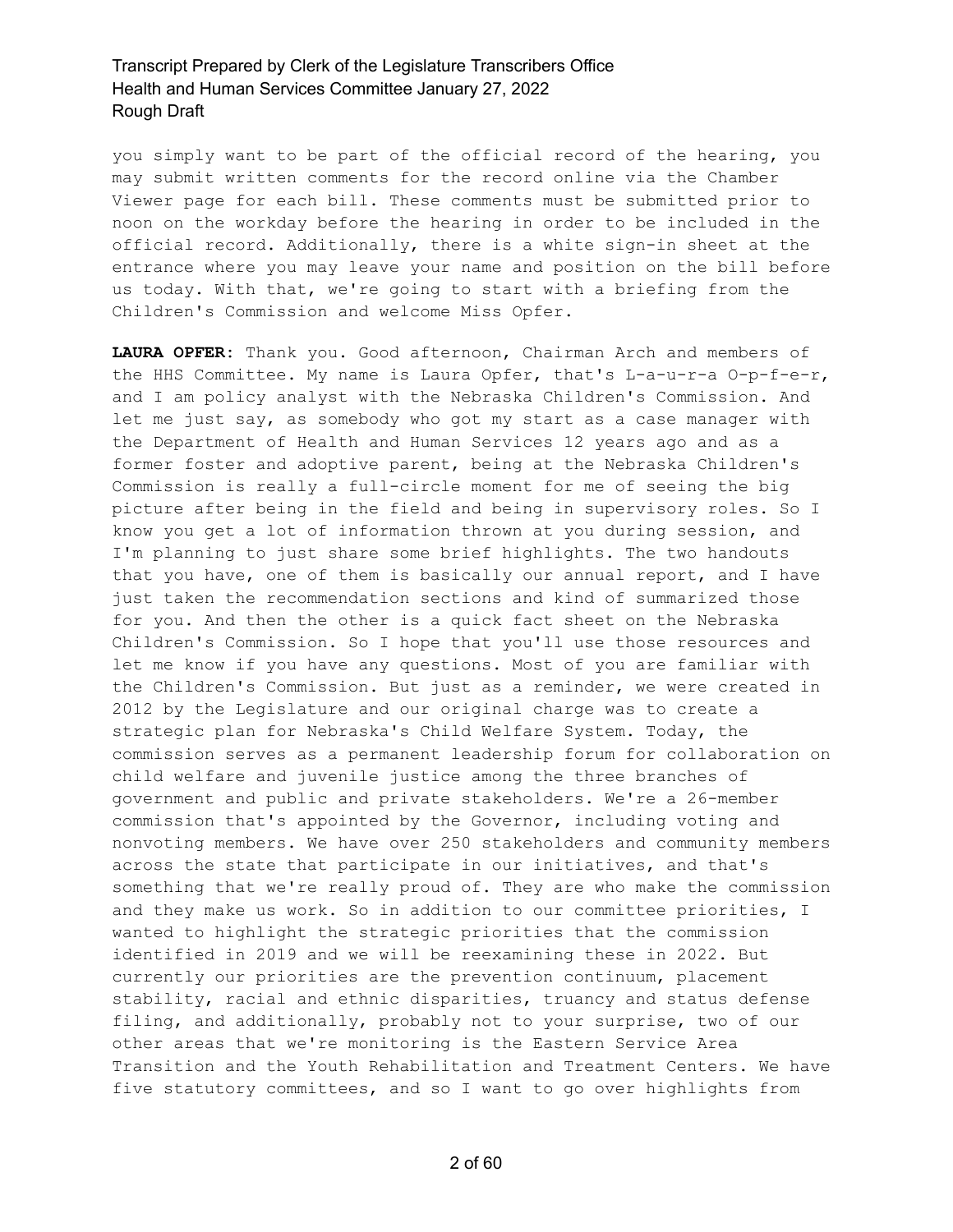you simply want to be part of the official record of the hearing, you may submit written comments for the record online via the Chamber Viewer page for each bill. These comments must be submitted prior to noon on the workday before the hearing in order to be included in the official record. Additionally, there is a white sign-in sheet at the entrance where you may leave your name and position on the bill before us today. With that, we're going to start with a briefing from the Children's Commission and welcome Miss Opfer.

**LAURA OPFER:** Thank you. Good afternoon, Chairman Arch and members of the HHS Committee. My name is Laura Opfer, that's L-a-u-r-a O-p-f-e-r, and I am policy analyst with the Nebraska Children's Commission. And let me just say, as somebody who got my start as a case manager with the Department of Health and Human Services 12 years ago and as a former foster and adoptive parent, being at the Nebraska Children's Commission is really a full-circle moment for me of seeing the big picture after being in the field and being in supervisory roles. So I know you get a lot of information thrown at you during session, and I'm planning to just share some brief highlights. The two handouts that you have, one of them is basically our annual report, and I have just taken the recommendation sections and kind of summarized those for you. And then the other is a quick fact sheet on the Nebraska Children's Commission. So I hope that you'll use those resources and let me know if you have any questions. Most of you are familiar with the Children's Commission. But just as a reminder, we were created in 2012 by the Legislature and our original charge was to create a strategic plan for Nebraska's Child Welfare System. Today, the commission serves as a permanent leadership forum for collaboration on child welfare and juvenile justice among the three branches of government and public and private stakeholders. We're a 26-member commission that's appointed by the Governor, including voting and nonvoting members. We have over 250 stakeholders and community members across the state that participate in our initiatives, and that's something that we're really proud of. They are who make the commission and they make us work. So in addition to our committee priorities, I wanted to highlight the strategic priorities that the commission identified in 2019 and we will be reexamining these in 2022. But currently our priorities are the prevention continuum, placement stability, racial and ethnic disparities, truancy and status defense filing, and additionally, probably not to your surprise, two of our other areas that we're monitoring is the Eastern Service Area Transition and the Youth Rehabilitation and Treatment Centers. We have five statutory committees, and so I want to go over highlights from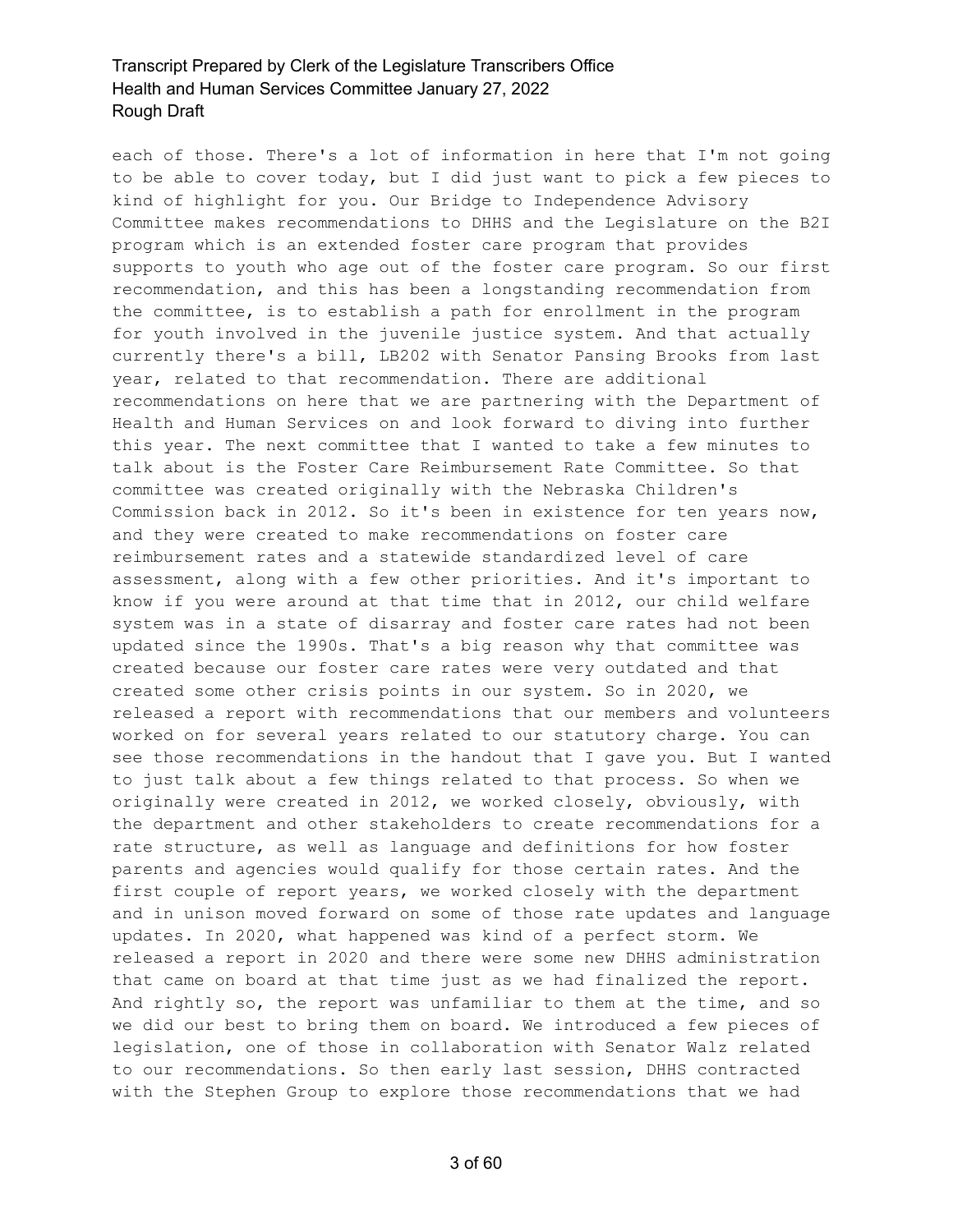each of those. There's a lot of information in here that I'm not going to be able to cover today, but I did just want to pick a few pieces to kind of highlight for you. Our Bridge to Independence Advisory Committee makes recommendations to DHHS and the Legislature on the B2I program which is an extended foster care program that provides supports to youth who age out of the foster care program. So our first recommendation, and this has been a longstanding recommendation from the committee, is to establish a path for enrollment in the program for youth involved in the juvenile justice system. And that actually currently there's a bill, LB202 with Senator Pansing Brooks from last year, related to that recommendation. There are additional recommendations on here that we are partnering with the Department of Health and Human Services on and look forward to diving into further this year. The next committee that I wanted to take a few minutes to talk about is the Foster Care Reimbursement Rate Committee. So that committee was created originally with the Nebraska Children's Commission back in 2012. So it's been in existence for ten years now, and they were created to make recommendations on foster care reimbursement rates and a statewide standardized level of care assessment, along with a few other priorities. And it's important to know if you were around at that time that in 2012, our child welfare system was in a state of disarray and foster care rates had not been updated since the 1990s. That's a big reason why that committee was created because our foster care rates were very outdated and that created some other crisis points in our system. So in 2020, we released a report with recommendations that our members and volunteers worked on for several years related to our statutory charge. You can see those recommendations in the handout that I gave you. But I wanted to just talk about a few things related to that process. So when we originally were created in 2012, we worked closely, obviously, with the department and other stakeholders to create recommendations for a rate structure, as well as language and definitions for how foster parents and agencies would qualify for those certain rates. And the first couple of report years, we worked closely with the department and in unison moved forward on some of those rate updates and language updates. In 2020, what happened was kind of a perfect storm. We released a report in 2020 and there were some new DHHS administration that came on board at that time just as we had finalized the report. And rightly so, the report was unfamiliar to them at the time, and so we did our best to bring them on board. We introduced a few pieces of legislation, one of those in collaboration with Senator Walz related to our recommendations. So then early last session, DHHS contracted with the Stephen Group to explore those recommendations that we had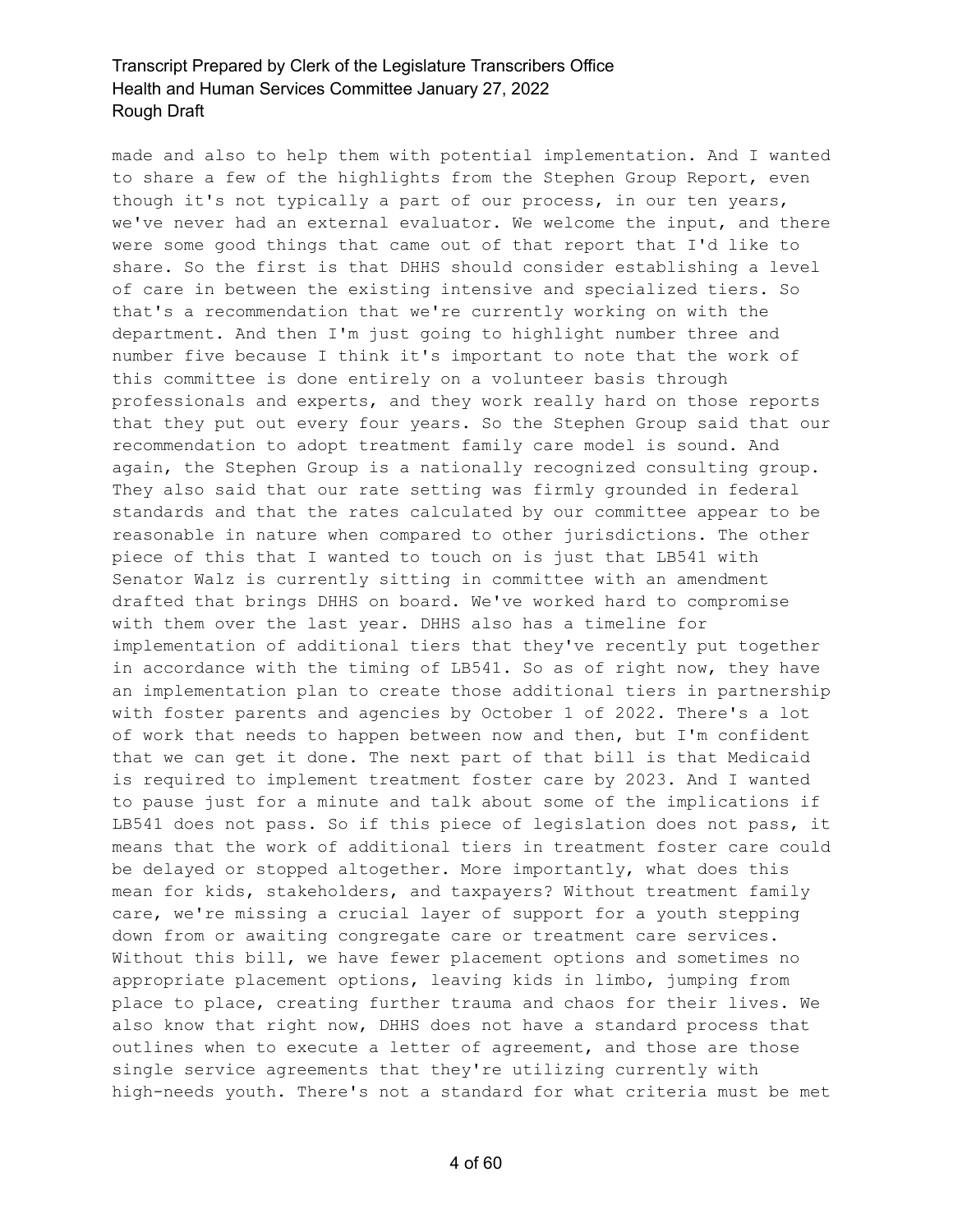made and also to help them with potential implementation. And I wanted to share a few of the highlights from the Stephen Group Report, even though it's not typically a part of our process, in our ten years, we've never had an external evaluator. We welcome the input, and there were some good things that came out of that report that I'd like to share. So the first is that DHHS should consider establishing a level of care in between the existing intensive and specialized tiers. So that's a recommendation that we're currently working on with the department. And then I'm just going to highlight number three and number five because I think it's important to note that the work of this committee is done entirely on a volunteer basis through professionals and experts, and they work really hard on those reports that they put out every four years. So the Stephen Group said that our recommendation to adopt treatment family care model is sound. And again, the Stephen Group is a nationally recognized consulting group. They also said that our rate setting was firmly grounded in federal standards and that the rates calculated by our committee appear to be reasonable in nature when compared to other jurisdictions. The other piece of this that I wanted to touch on is just that LB541 with Senator Walz is currently sitting in committee with an amendment drafted that brings DHHS on board. We've worked hard to compromise with them over the last year. DHHS also has a timeline for implementation of additional tiers that they've recently put together in accordance with the timing of LB541. So as of right now, they have an implementation plan to create those additional tiers in partnership with foster parents and agencies by October 1 of 2022. There's a lot of work that needs to happen between now and then, but I'm confident that we can get it done. The next part of that bill is that Medicaid is required to implement treatment foster care by 2023. And I wanted to pause just for a minute and talk about some of the implications if LB541 does not pass. So if this piece of legislation does not pass, it means that the work of additional tiers in treatment foster care could be delayed or stopped altogether. More importantly, what does this mean for kids, stakeholders, and taxpayers? Without treatment family care, we're missing a crucial layer of support for a youth stepping down from or awaiting congregate care or treatment care services. Without this bill, we have fewer placement options and sometimes no appropriate placement options, leaving kids in limbo, jumping from place to place, creating further trauma and chaos for their lives. We also know that right now, DHHS does not have a standard process that outlines when to execute a letter of agreement, and those are those single service agreements that they're utilizing currently with high-needs youth. There's not a standard for what criteria must be met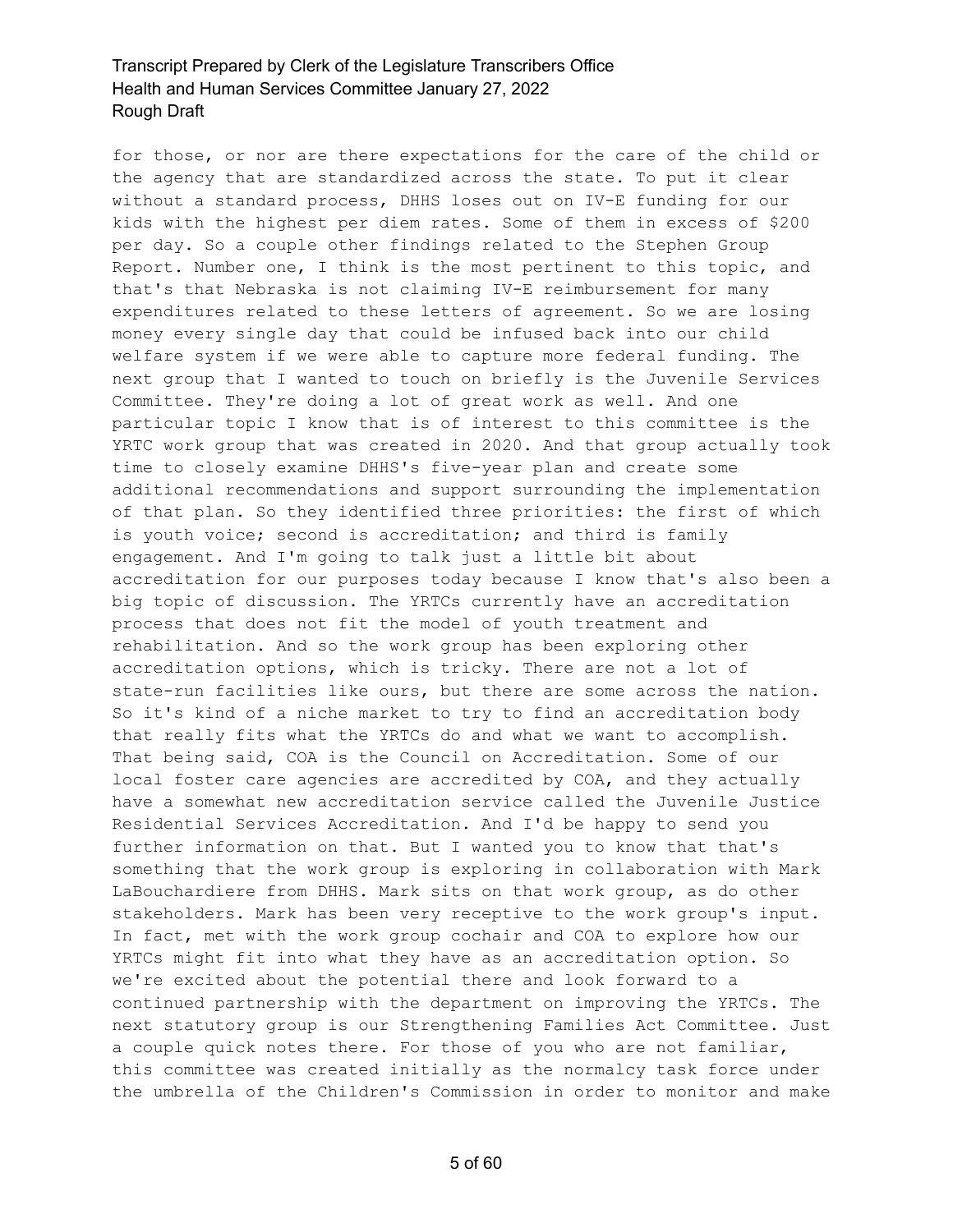for those, or nor are there expectations for the care of the child or the agency that are standardized across the state. To put it clear without a standard process, DHHS loses out on IV-E funding for our kids with the highest per diem rates. Some of them in excess of \$200 per day. So a couple other findings related to the Stephen Group Report. Number one, I think is the most pertinent to this topic, and that's that Nebraska is not claiming IV-E reimbursement for many expenditures related to these letters of agreement. So we are losing money every single day that could be infused back into our child welfare system if we were able to capture more federal funding. The next group that I wanted to touch on briefly is the Juvenile Services Committee. They're doing a lot of great work as well. And one particular topic I know that is of interest to this committee is the YRTC work group that was created in 2020. And that group actually took time to closely examine DHHS's five-year plan and create some additional recommendations and support surrounding the implementation of that plan. So they identified three priorities: the first of which is youth voice; second is accreditation; and third is family engagement. And I'm going to talk just a little bit about accreditation for our purposes today because I know that's also been a big topic of discussion. The YRTCs currently have an accreditation process that does not fit the model of youth treatment and rehabilitation. And so the work group has been exploring other accreditation options, which is tricky. There are not a lot of state-run facilities like ours, but there are some across the nation. So it's kind of a niche market to try to find an accreditation body that really fits what the YRTCs do and what we want to accomplish. That being said, COA is the Council on Accreditation. Some of our local foster care agencies are accredited by COA, and they actually have a somewhat new accreditation service called the Juvenile Justice Residential Services Accreditation. And I'd be happy to send you further information on that. But I wanted you to know that that's something that the work group is exploring in collaboration with Mark LaBouchardiere from DHHS. Mark sits on that work group, as do other stakeholders. Mark has been very receptive to the work group's input. In fact, met with the work group cochair and COA to explore how our YRTCs might fit into what they have as an accreditation option. So we're excited about the potential there and look forward to a continued partnership with the department on improving the YRTCs. The next statutory group is our Strengthening Families Act Committee. Just a couple quick notes there. For those of you who are not familiar, this committee was created initially as the normalcy task force under the umbrella of the Children's Commission in order to monitor and make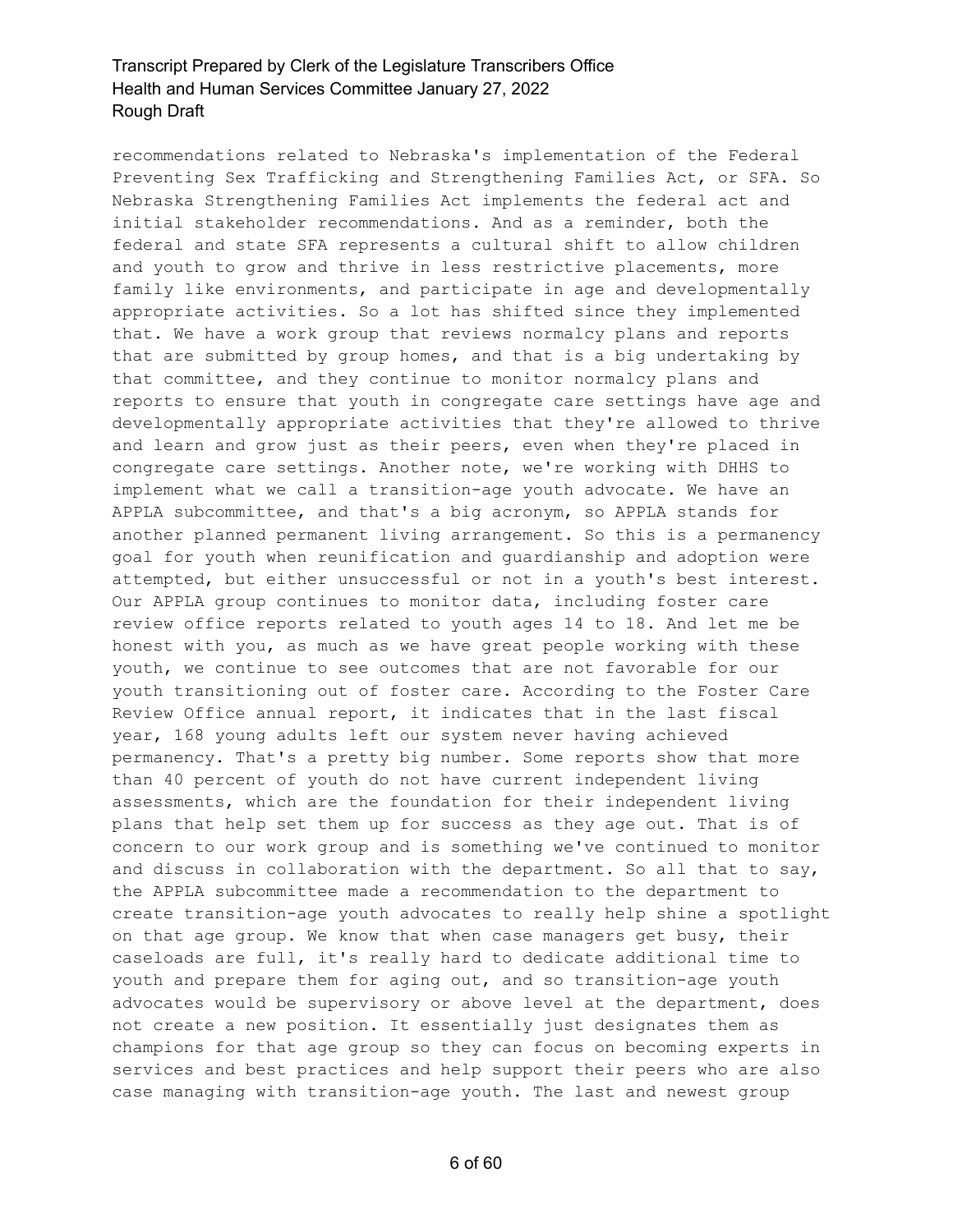recommendations related to Nebraska's implementation of the Federal Preventing Sex Trafficking and Strengthening Families Act, or SFA. So Nebraska Strengthening Families Act implements the federal act and initial stakeholder recommendations. And as a reminder, both the federal and state SFA represents a cultural shift to allow children and youth to grow and thrive in less restrictive placements, more family like environments, and participate in age and developmentally appropriate activities. So a lot has shifted since they implemented that. We have a work group that reviews normalcy plans and reports that are submitted by group homes, and that is a big undertaking by that committee, and they continue to monitor normalcy plans and reports to ensure that youth in congregate care settings have age and developmentally appropriate activities that they're allowed to thrive and learn and grow just as their peers, even when they're placed in congregate care settings. Another note, we're working with DHHS to implement what we call a transition-age youth advocate. We have an APPLA subcommittee, and that's a big acronym, so APPLA stands for another planned permanent living arrangement. So this is a permanency goal for youth when reunification and guardianship and adoption were attempted, but either unsuccessful or not in a youth's best interest. Our APPLA group continues to monitor data, including foster care review office reports related to youth ages 14 to 18. And let me be honest with you, as much as we have great people working with these youth, we continue to see outcomes that are not favorable for our youth transitioning out of foster care. According to the Foster Care Review Office annual report, it indicates that in the last fiscal year, 168 young adults left our system never having achieved permanency. That's a pretty big number. Some reports show that more than 40 percent of youth do not have current independent living assessments, which are the foundation for their independent living plans that help set them up for success as they age out. That is of concern to our work group and is something we've continued to monitor and discuss in collaboration with the department. So all that to say, the APPLA subcommittee made a recommendation to the department to create transition-age youth advocates to really help shine a spotlight on that age group. We know that when case managers get busy, their caseloads are full, it's really hard to dedicate additional time to youth and prepare them for aging out, and so transition-age youth advocates would be supervisory or above level at the department, does not create a new position. It essentially just designates them as champions for that age group so they can focus on becoming experts in services and best practices and help support their peers who are also case managing with transition-age youth. The last and newest group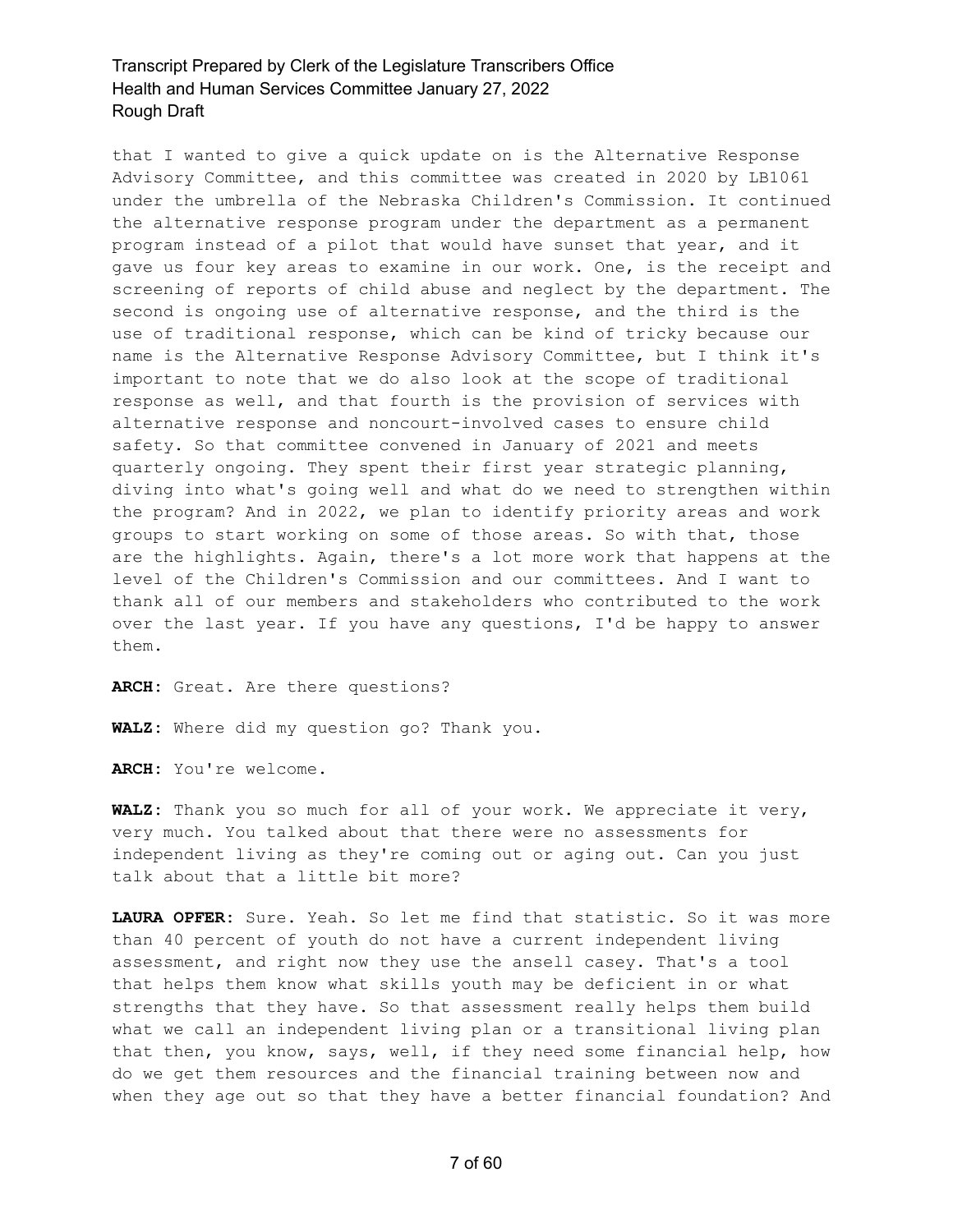that I wanted to give a quick update on is the Alternative Response Advisory Committee, and this committee was created in 2020 by LB1061 under the umbrella of the Nebraska Children's Commission. It continued the alternative response program under the department as a permanent program instead of a pilot that would have sunset that year, and it gave us four key areas to examine in our work. One, is the receipt and screening of reports of child abuse and neglect by the department. The second is ongoing use of alternative response, and the third is the use of traditional response, which can be kind of tricky because our name is the Alternative Response Advisory Committee, but I think it's important to note that we do also look at the scope of traditional response as well, and that fourth is the provision of services with alternative response and noncourt-involved cases to ensure child safety. So that committee convened in January of 2021 and meets quarterly ongoing. They spent their first year strategic planning, diving into what's going well and what do we need to strengthen within the program? And in 2022, we plan to identify priority areas and work groups to start working on some of those areas. So with that, those are the highlights. Again, there's a lot more work that happens at the level of the Children's Commission and our committees. And I want to thank all of our members and stakeholders who contributed to the work over the last year. If you have any questions, I'd be happy to answer them.

**ARCH:** Great. Are there questions?

**WALZ:** Where did my question go? Thank you.

**ARCH:** You're welcome.

**WALZ:** Thank you so much for all of your work. We appreciate it very, very much. You talked about that there were no assessments for independent living as they're coming out or aging out. Can you just talk about that a little bit more?

**LAURA OPFER:** Sure. Yeah. So let me find that statistic. So it was more than 40 percent of youth do not have a current independent living assessment, and right now they use the ansell casey. That's a tool that helps them know what skills youth may be deficient in or what strengths that they have. So that assessment really helps them build what we call an independent living plan or a transitional living plan that then, you know, says, well, if they need some financial help, how do we get them resources and the financial training between now and when they age out so that they have a better financial foundation? And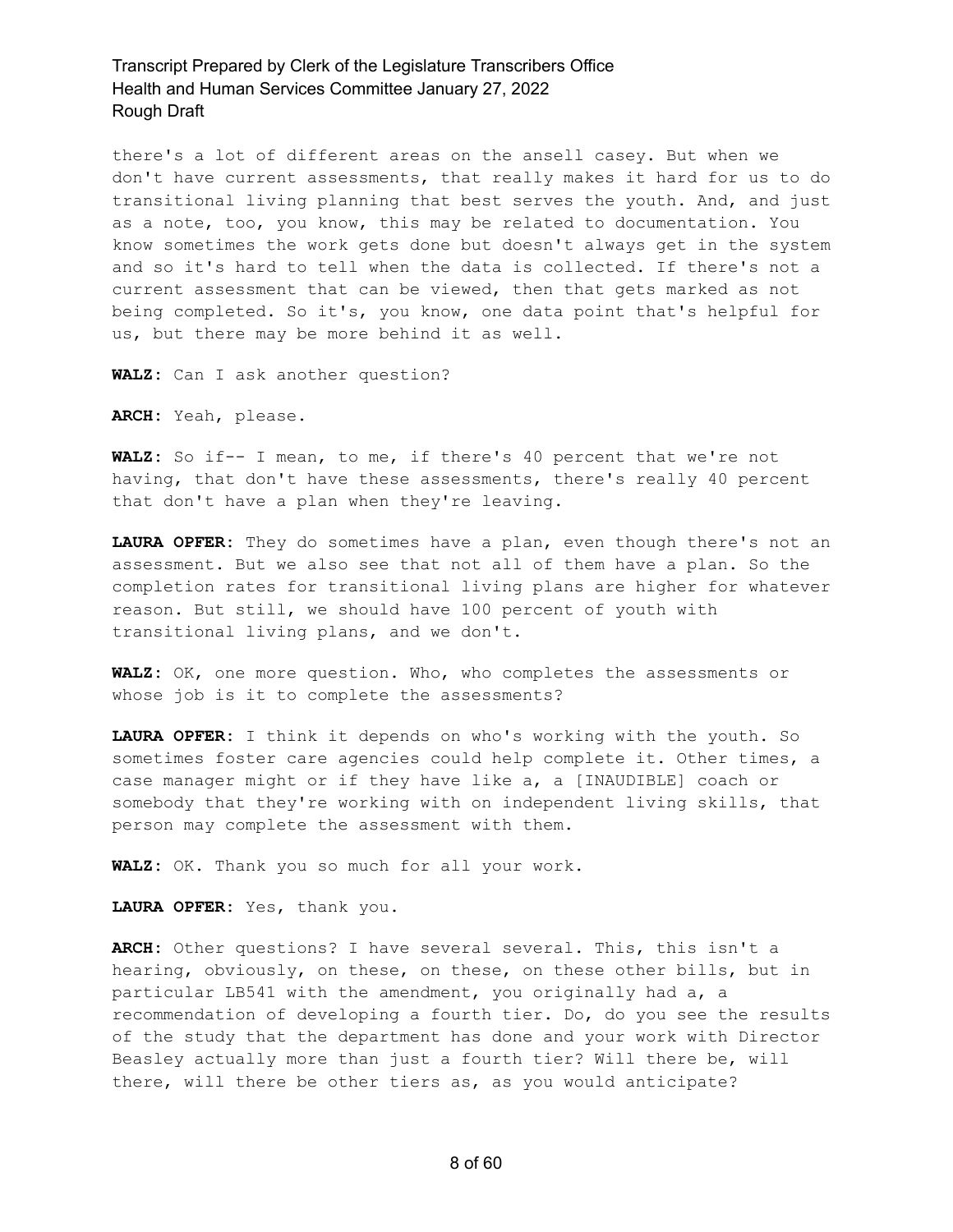there's a lot of different areas on the ansell casey. But when we don't have current assessments, that really makes it hard for us to do transitional living planning that best serves the youth. And, and just as a note, too, you know, this may be related to documentation. You know sometimes the work gets done but doesn't always get in the system and so it's hard to tell when the data is collected. If there's not a current assessment that can be viewed, then that gets marked as not being completed. So it's, you know, one data point that's helpful for us, but there may be more behind it as well.

**WALZ:** Can I ask another question?

**ARCH:** Yeah, please.

**WALZ:** So if-- I mean, to me, if there's 40 percent that we're not having, that don't have these assessments, there's really 40 percent that don't have a plan when they're leaving.

**LAURA OPFER:** They do sometimes have a plan, even though there's not an assessment. But we also see that not all of them have a plan. So the completion rates for transitional living plans are higher for whatever reason. But still, we should have 100 percent of youth with transitional living plans, and we don't.

**WALZ:** OK, one more question. Who, who completes the assessments or whose job is it to complete the assessments?

**LAURA OPFER:** I think it depends on who's working with the youth. So sometimes foster care agencies could help complete it. Other times, a case manager might or if they have like a, a [INAUDIBLE] coach or somebody that they're working with on independent living skills, that person may complete the assessment with them.

**WALZ:** OK. Thank you so much for all your work.

**LAURA OPFER:** Yes, thank you.

**ARCH:** Other questions? I have several several. This, this isn't a hearing, obviously, on these, on these, on these other bills, but in particular LB541 with the amendment, you originally had a, a recommendation of developing a fourth tier. Do, do you see the results of the study that the department has done and your work with Director Beasley actually more than just a fourth tier? Will there be, will there, will there be other tiers as, as you would anticipate?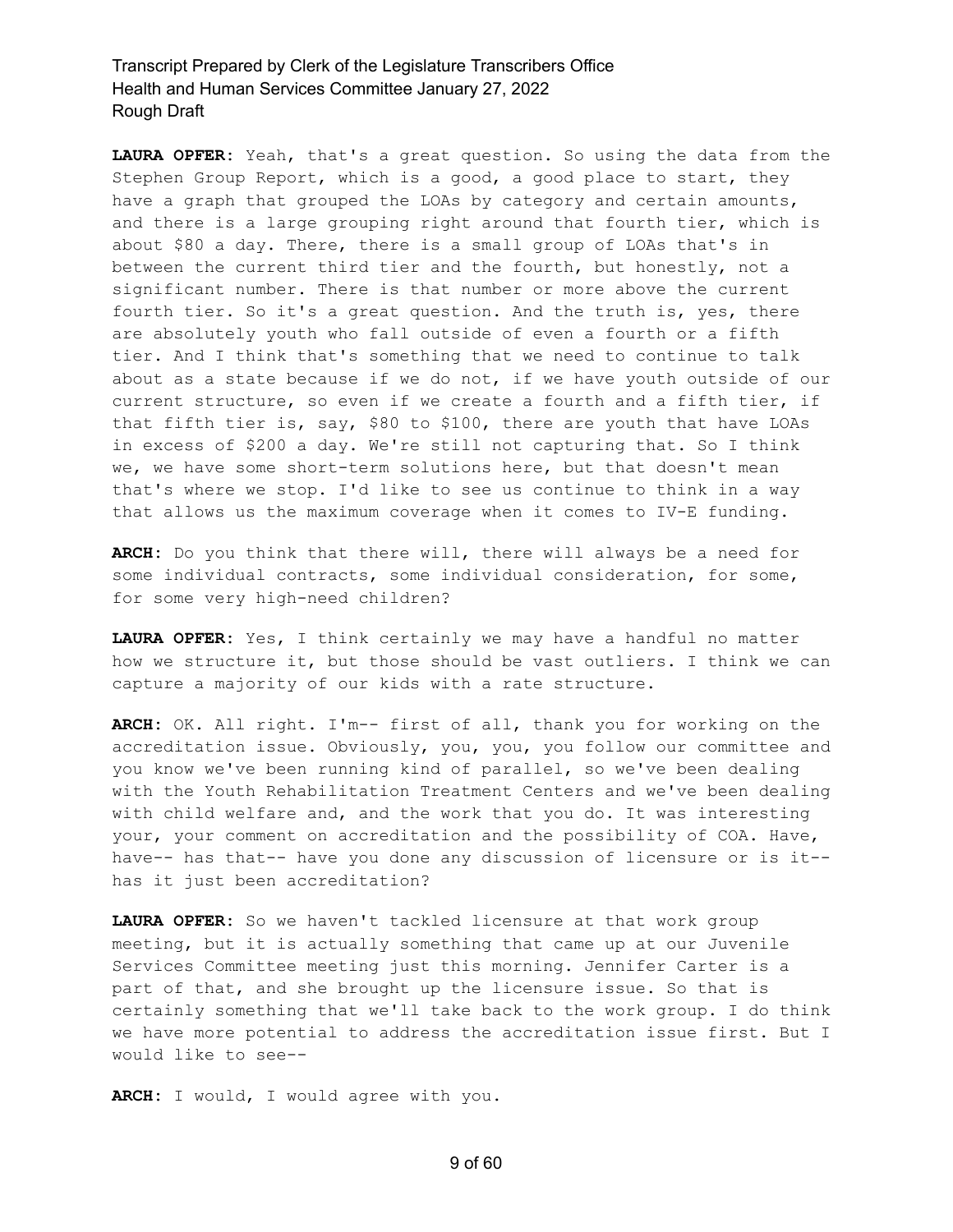**LAURA OPFER:** Yeah, that's a great question. So using the data from the Stephen Group Report, which is a good, a good place to start, they have a graph that grouped the LOAs by category and certain amounts, and there is a large grouping right around that fourth tier, which is about \$80 a day. There, there is a small group of LOAs that's in between the current third tier and the fourth, but honestly, not a significant number. There is that number or more above the current fourth tier. So it's a great question. And the truth is, yes, there are absolutely youth who fall outside of even a fourth or a fifth tier. And I think that's something that we need to continue to talk about as a state because if we do not, if we have youth outside of our current structure, so even if we create a fourth and a fifth tier, if that fifth tier is, say, \$80 to \$100, there are youth that have LOAs in excess of \$200 a day. We're still not capturing that. So I think we, we have some short-term solutions here, but that doesn't mean that's where we stop. I'd like to see us continue to think in a way that allows us the maximum coverage when it comes to IV-E funding.

**ARCH:** Do you think that there will, there will always be a need for some individual contracts, some individual consideration, for some, for some very high-need children?

**LAURA OPFER:** Yes, I think certainly we may have a handful no matter how we structure it, but those should be vast outliers. I think we can capture a majority of our kids with a rate structure.

**ARCH:** OK. All right. I'm-- first of all, thank you for working on the accreditation issue. Obviously, you, you, you follow our committee and you know we've been running kind of parallel, so we've been dealing with the Youth Rehabilitation Treatment Centers and we've been dealing with child welfare and, and the work that you do. It was interesting your, your comment on accreditation and the possibility of COA. Have, have-- has that-- have you done any discussion of licensure or is it- has it just been accreditation?

**LAURA OPFER:** So we haven't tackled licensure at that work group meeting, but it is actually something that came up at our Juvenile Services Committee meeting just this morning. Jennifer Carter is a part of that, and she brought up the licensure issue. So that is certainly something that we'll take back to the work group. I do think we have more potential to address the accreditation issue first. But I would like to see--

**ARCH:** I would, I would agree with you.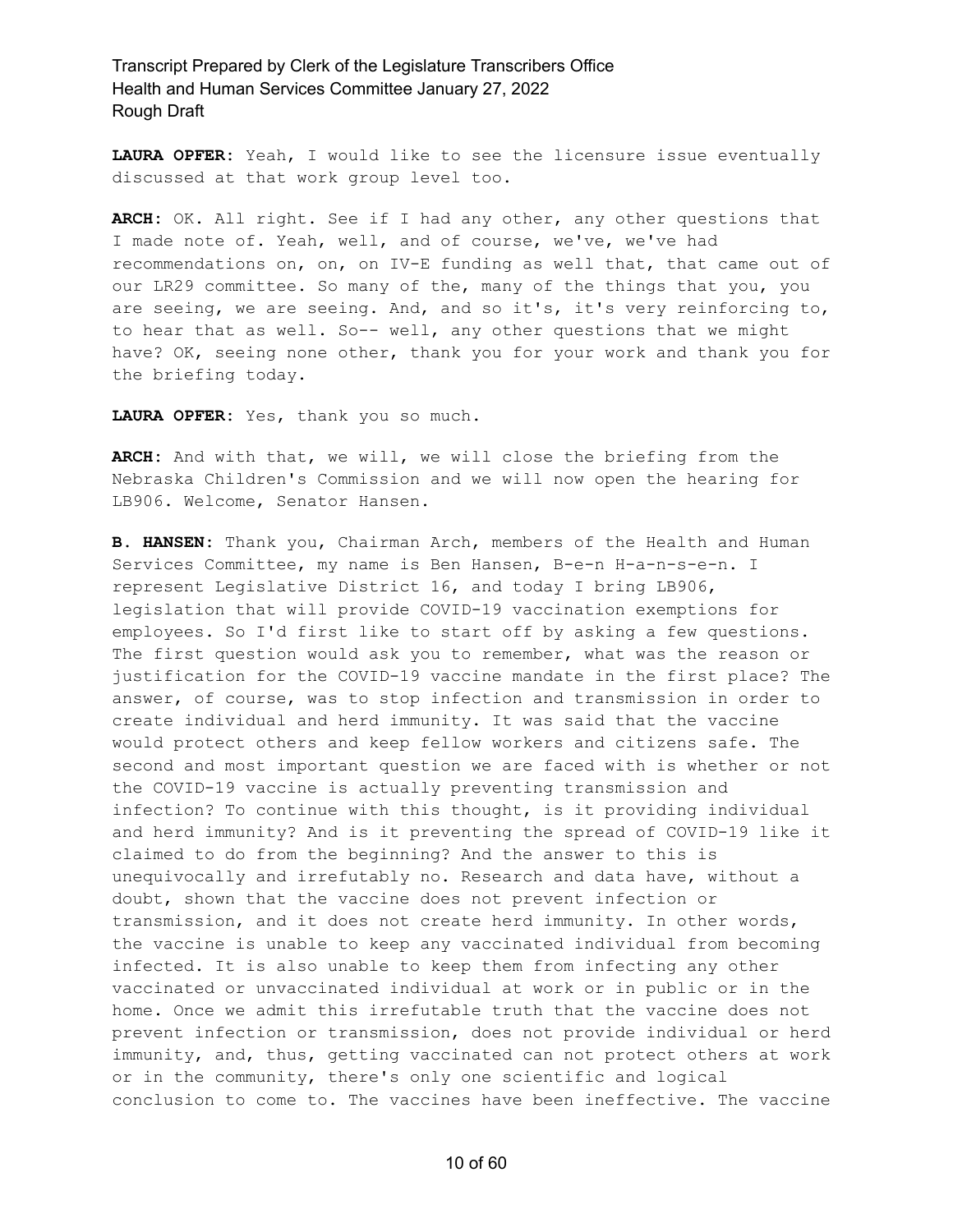**LAURA OPFER:** Yeah, I would like to see the licensure issue eventually discussed at that work group level too.

**ARCH:** OK. All right. See if I had any other, any other questions that I made note of. Yeah, well, and of course, we've, we've had recommendations on, on, on IV-E funding as well that, that came out of our LR29 committee. So many of the, many of the things that you, you are seeing, we are seeing. And, and so it's, it's very reinforcing to, to hear that as well. So-- well, any other questions that we might have? OK, seeing none other, thank you for your work and thank you for the briefing today.

**LAURA OPFER:** Yes, thank you so much.

**ARCH:** And with that, we will, we will close the briefing from the Nebraska Children's Commission and we will now open the hearing for LB906. Welcome, Senator Hansen.

**B. HANSEN:** Thank you, Chairman Arch, members of the Health and Human Services Committee, my name is Ben Hansen, B-e-n H-a-n-s-e-n. I represent Legislative District 16, and today I bring LB906, legislation that will provide COVID-19 vaccination exemptions for employees. So I'd first like to start off by asking a few questions. The first question would ask you to remember, what was the reason or justification for the COVID-19 vaccine mandate in the first place? The answer, of course, was to stop infection and transmission in order to create individual and herd immunity. It was said that the vaccine would protect others and keep fellow workers and citizens safe. The second and most important question we are faced with is whether or not the COVID-19 vaccine is actually preventing transmission and infection? To continue with this thought, is it providing individual and herd immunity? And is it preventing the spread of COVID-19 like it claimed to do from the beginning? And the answer to this is unequivocally and irrefutably no. Research and data have, without a doubt, shown that the vaccine does not prevent infection or transmission, and it does not create herd immunity. In other words, the vaccine is unable to keep any vaccinated individual from becoming infected. It is also unable to keep them from infecting any other vaccinated or unvaccinated individual at work or in public or in the home. Once we admit this irrefutable truth that the vaccine does not prevent infection or transmission, does not provide individual or herd immunity, and, thus, getting vaccinated can not protect others at work or in the community, there's only one scientific and logical conclusion to come to. The vaccines have been ineffective. The vaccine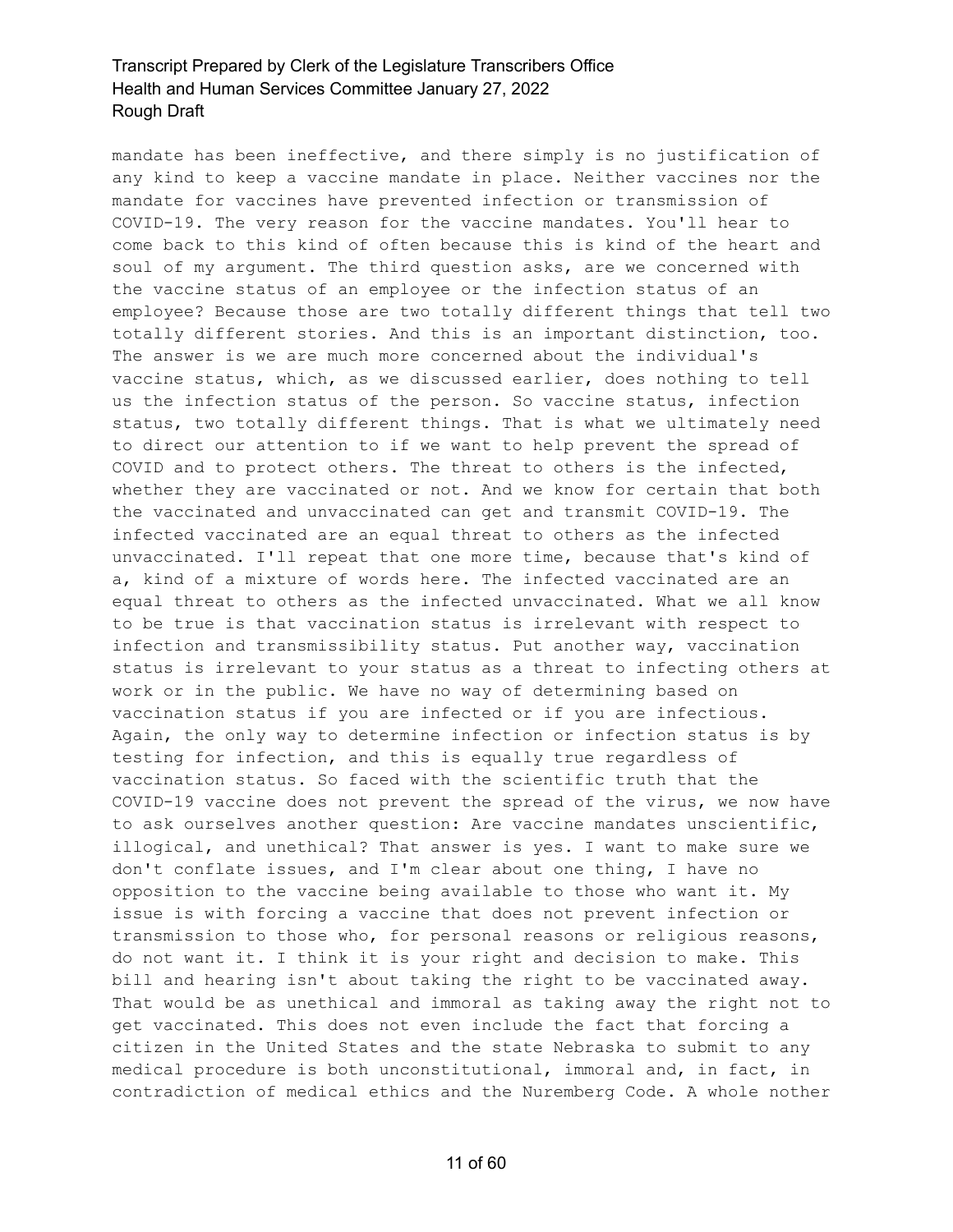mandate has been ineffective, and there simply is no justification of any kind to keep a vaccine mandate in place. Neither vaccines nor the mandate for vaccines have prevented infection or transmission of COVID-19. The very reason for the vaccine mandates. You'll hear to come back to this kind of often because this is kind of the heart and soul of my argument. The third question asks, are we concerned with the vaccine status of an employee or the infection status of an employee? Because those are two totally different things that tell two totally different stories. And this is an important distinction, too. The answer is we are much more concerned about the individual's vaccine status, which, as we discussed earlier, does nothing to tell us the infection status of the person. So vaccine status, infection status, two totally different things. That is what we ultimately need to direct our attention to if we want to help prevent the spread of COVID and to protect others. The threat to others is the infected, whether they are vaccinated or not. And we know for certain that both the vaccinated and unvaccinated can get and transmit COVID-19. The infected vaccinated are an equal threat to others as the infected unvaccinated. I'll repeat that one more time, because that's kind of a, kind of a mixture of words here. The infected vaccinated are an equal threat to others as the infected unvaccinated. What we all know to be true is that vaccination status is irrelevant with respect to infection and transmissibility status. Put another way, vaccination status is irrelevant to your status as a threat to infecting others at work or in the public. We have no way of determining based on vaccination status if you are infected or if you are infectious. Again, the only way to determine infection or infection status is by testing for infection, and this is equally true regardless of vaccination status. So faced with the scientific truth that the COVID-19 vaccine does not prevent the spread of the virus, we now have to ask ourselves another question: Are vaccine mandates unscientific, illogical, and unethical? That answer is yes. I want to make sure we don't conflate issues, and I'm clear about one thing, I have no opposition to the vaccine being available to those who want it. My issue is with forcing a vaccine that does not prevent infection or transmission to those who, for personal reasons or religious reasons, do not want it. I think it is your right and decision to make. This bill and hearing isn't about taking the right to be vaccinated away. That would be as unethical and immoral as taking away the right not to get vaccinated. This does not even include the fact that forcing a citizen in the United States and the state Nebraska to submit to any medical procedure is both unconstitutional, immoral and, in fact, in contradiction of medical ethics and the Nuremberg Code. A whole nother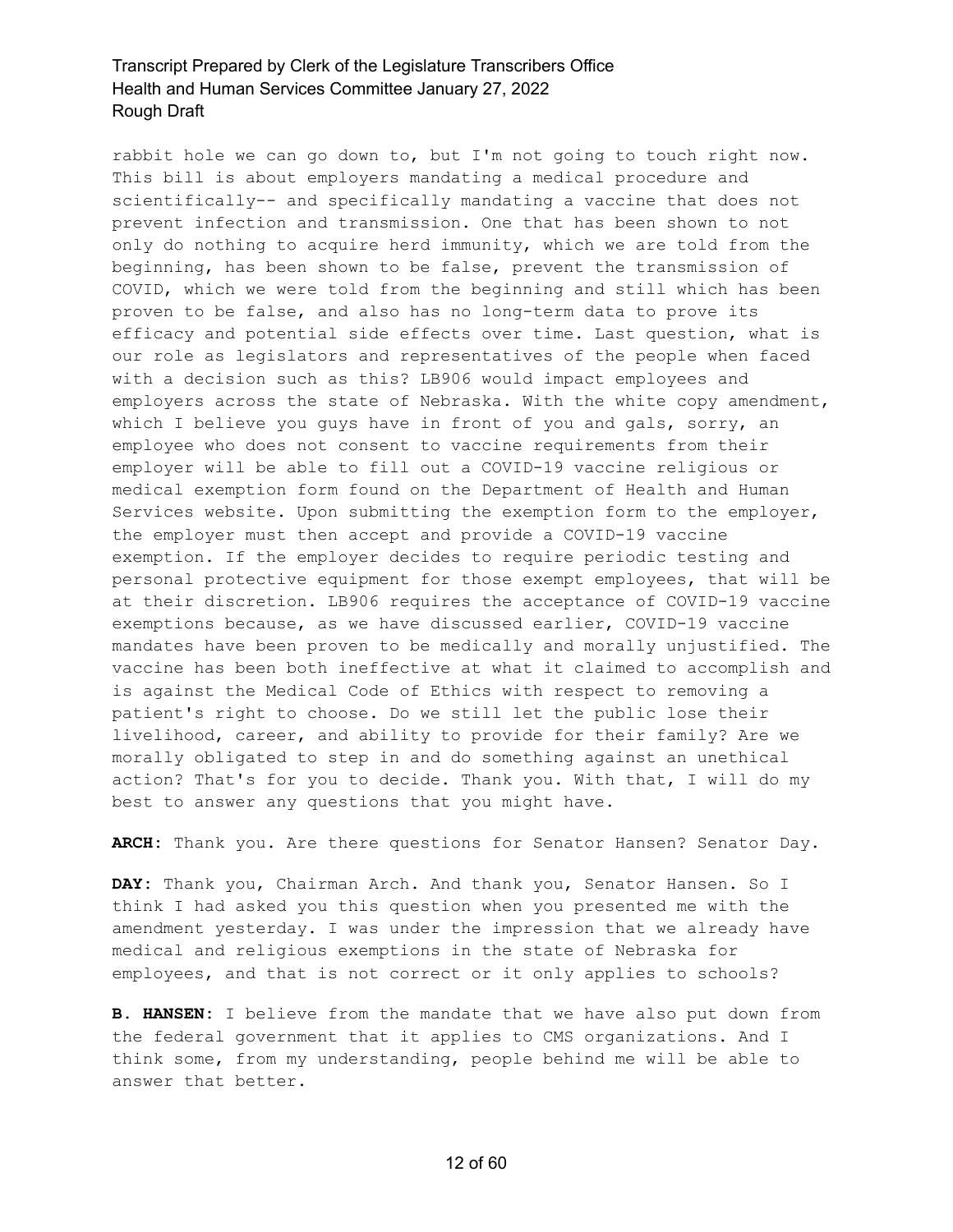rabbit hole we can go down to, but I'm not going to touch right now. This bill is about employers mandating a medical procedure and scientifically-- and specifically mandating a vaccine that does not prevent infection and transmission. One that has been shown to not only do nothing to acquire herd immunity, which we are told from the beginning, has been shown to be false, prevent the transmission of COVID, which we were told from the beginning and still which has been proven to be false, and also has no long-term data to prove its efficacy and potential side effects over time. Last question, what is our role as legislators and representatives of the people when faced with a decision such as this? LB906 would impact employees and employers across the state of Nebraska. With the white copy amendment, which I believe you guys have in front of you and gals, sorry, an employee who does not consent to vaccine requirements from their employer will be able to fill out a COVID-19 vaccine religious or medical exemption form found on the Department of Health and Human Services website. Upon submitting the exemption form to the employer, the employer must then accept and provide a COVID-19 vaccine exemption. If the employer decides to require periodic testing and personal protective equipment for those exempt employees, that will be at their discretion. LB906 requires the acceptance of COVID-19 vaccine exemptions because, as we have discussed earlier, COVID-19 vaccine mandates have been proven to be medically and morally unjustified. The vaccine has been both ineffective at what it claimed to accomplish and is against the Medical Code of Ethics with respect to removing a patient's right to choose. Do we still let the public lose their livelihood, career, and ability to provide for their family? Are we morally obligated to step in and do something against an unethical action? That's for you to decide. Thank you. With that, I will do my best to answer any questions that you might have.

**ARCH:** Thank you. Are there questions for Senator Hansen? Senator Day.

**DAY:** Thank you, Chairman Arch. And thank you, Senator Hansen. So I think I had asked you this question when you presented me with the amendment yesterday. I was under the impression that we already have medical and religious exemptions in the state of Nebraska for employees, and that is not correct or it only applies to schools?

**B. HANSEN:** I believe from the mandate that we have also put down from the federal government that it applies to CMS organizations. And I think some, from my understanding, people behind me will be able to answer that better.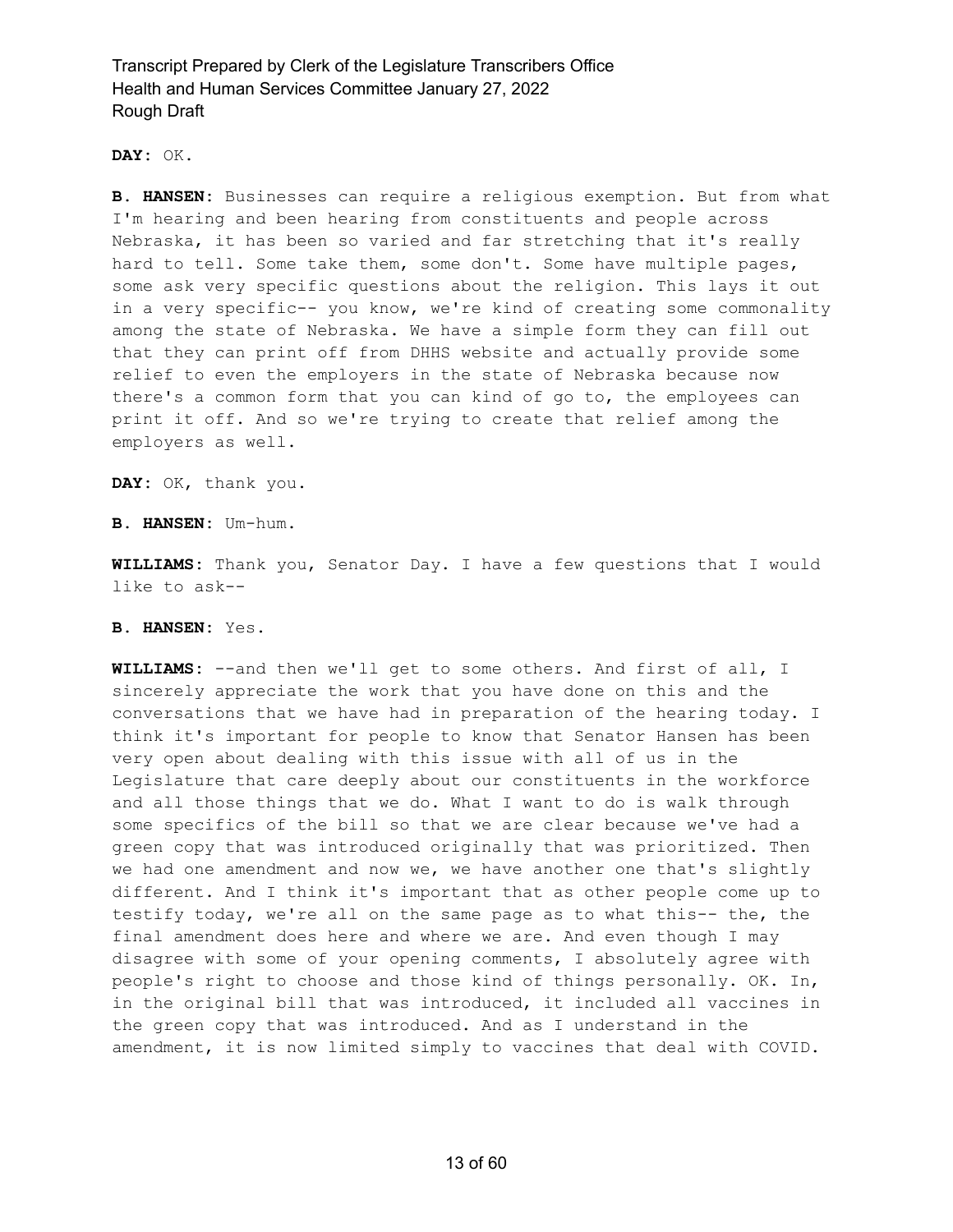**DAY:** OK.

**B. HANSEN:** Businesses can require a religious exemption. But from what I'm hearing and been hearing from constituents and people across Nebraska, it has been so varied and far stretching that it's really hard to tell. Some take them, some don't. Some have multiple pages, some ask very specific questions about the religion. This lays it out in a very specific-- you know, we're kind of creating some commonality among the state of Nebraska. We have a simple form they can fill out that they can print off from DHHS website and actually provide some relief to even the employers in the state of Nebraska because now there's a common form that you can kind of go to, the employees can print it off. And so we're trying to create that relief among the employers as well.

**DAY:** OK, thank you.

**B. HANSEN:** Um-hum.

**WILLIAMS:** Thank you, Senator Day. I have a few questions that I would like to ask--

#### **B. HANSEN:** Yes.

**WILLIAMS:** --and then we'll get to some others. And first of all, I sincerely appreciate the work that you have done on this and the conversations that we have had in preparation of the hearing today. I think it's important for people to know that Senator Hansen has been very open about dealing with this issue with all of us in the Legislature that care deeply about our constituents in the workforce and all those things that we do. What I want to do is walk through some specifics of the bill so that we are clear because we've had a green copy that was introduced originally that was prioritized. Then we had one amendment and now we, we have another one that's slightly different. And I think it's important that as other people come up to testify today, we're all on the same page as to what this-- the, the final amendment does here and where we are. And even though I may disagree with some of your opening comments, I absolutely agree with people's right to choose and those kind of things personally. OK. In, in the original bill that was introduced, it included all vaccines in the green copy that was introduced. And as I understand in the amendment, it is now limited simply to vaccines that deal with COVID.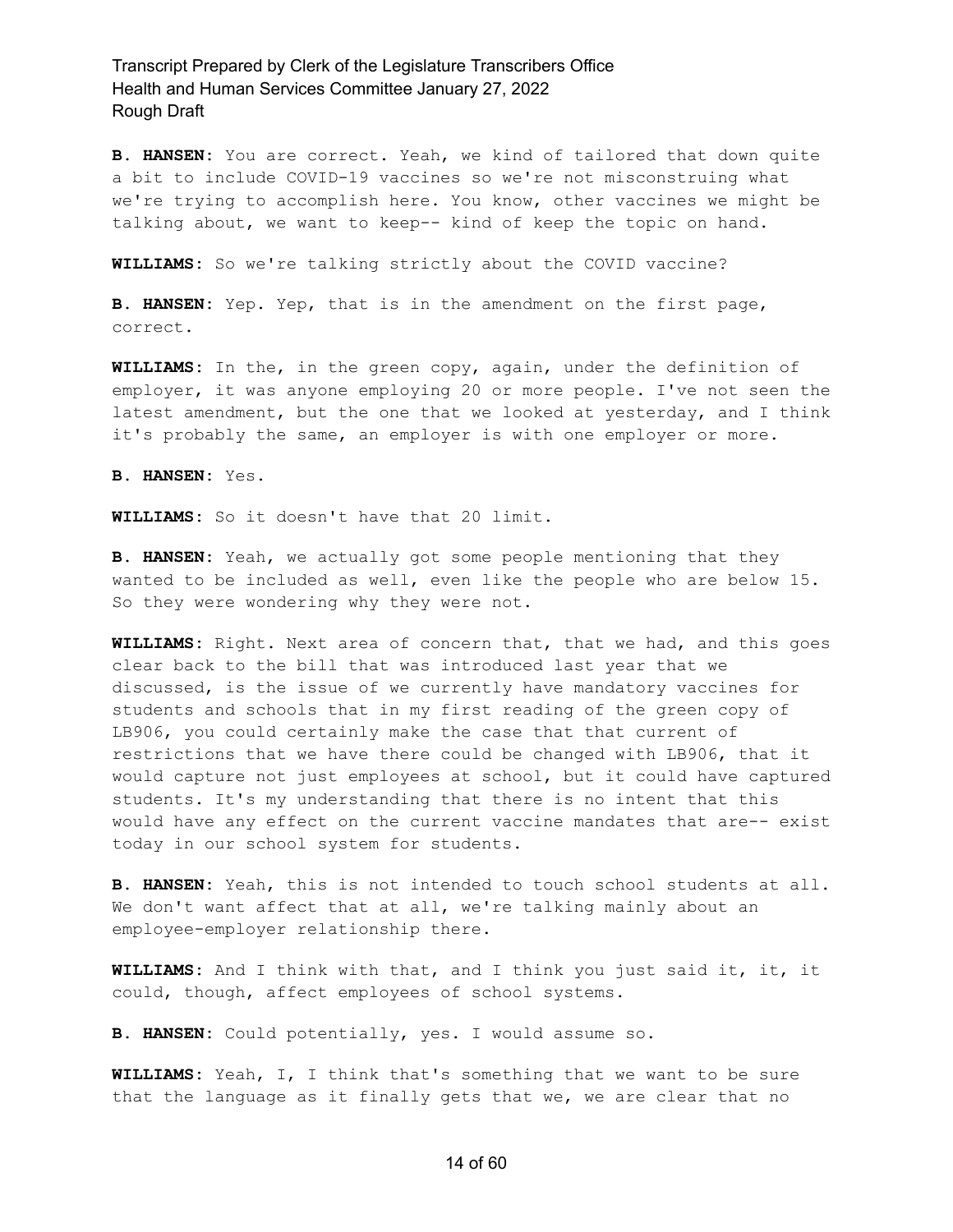**B. HANSEN:** You are correct. Yeah, we kind of tailored that down quite a bit to include COVID-19 vaccines so we're not misconstruing what we're trying to accomplish here. You know, other vaccines we might be talking about, we want to keep-- kind of keep the topic on hand.

**WILLIAMS:** So we're talking strictly about the COVID vaccine?

**B. HANSEN:** Yep. Yep, that is in the amendment on the first page, correct.

**WILLIAMS:** In the, in the green copy, again, under the definition of employer, it was anyone employing 20 or more people. I've not seen the latest amendment, but the one that we looked at yesterday, and I think it's probably the same, an employer is with one employer or more.

**B. HANSEN:** Yes.

**WILLIAMS:** So it doesn't have that 20 limit.

**B. HANSEN:** Yeah, we actually got some people mentioning that they wanted to be included as well, even like the people who are below 15. So they were wondering why they were not.

**WILLIAMS:** Right. Next area of concern that, that we had, and this goes clear back to the bill that was introduced last year that we discussed, is the issue of we currently have mandatory vaccines for students and schools that in my first reading of the green copy of LB906, you could certainly make the case that that current of restrictions that we have there could be changed with LB906, that it would capture not just employees at school, but it could have captured students. It's my understanding that there is no intent that this would have any effect on the current vaccine mandates that are-- exist today in our school system for students.

**B. HANSEN:** Yeah, this is not intended to touch school students at all. We don't want affect that at all, we're talking mainly about an employee-employer relationship there.

**WILLIAMS:** And I think with that, and I think you just said it, it, it could, though, affect employees of school systems.

**B. HANSEN:** Could potentially, yes. I would assume so.

**WILLIAMS:** Yeah, I, I think that's something that we want to be sure that the language as it finally gets that we, we are clear that no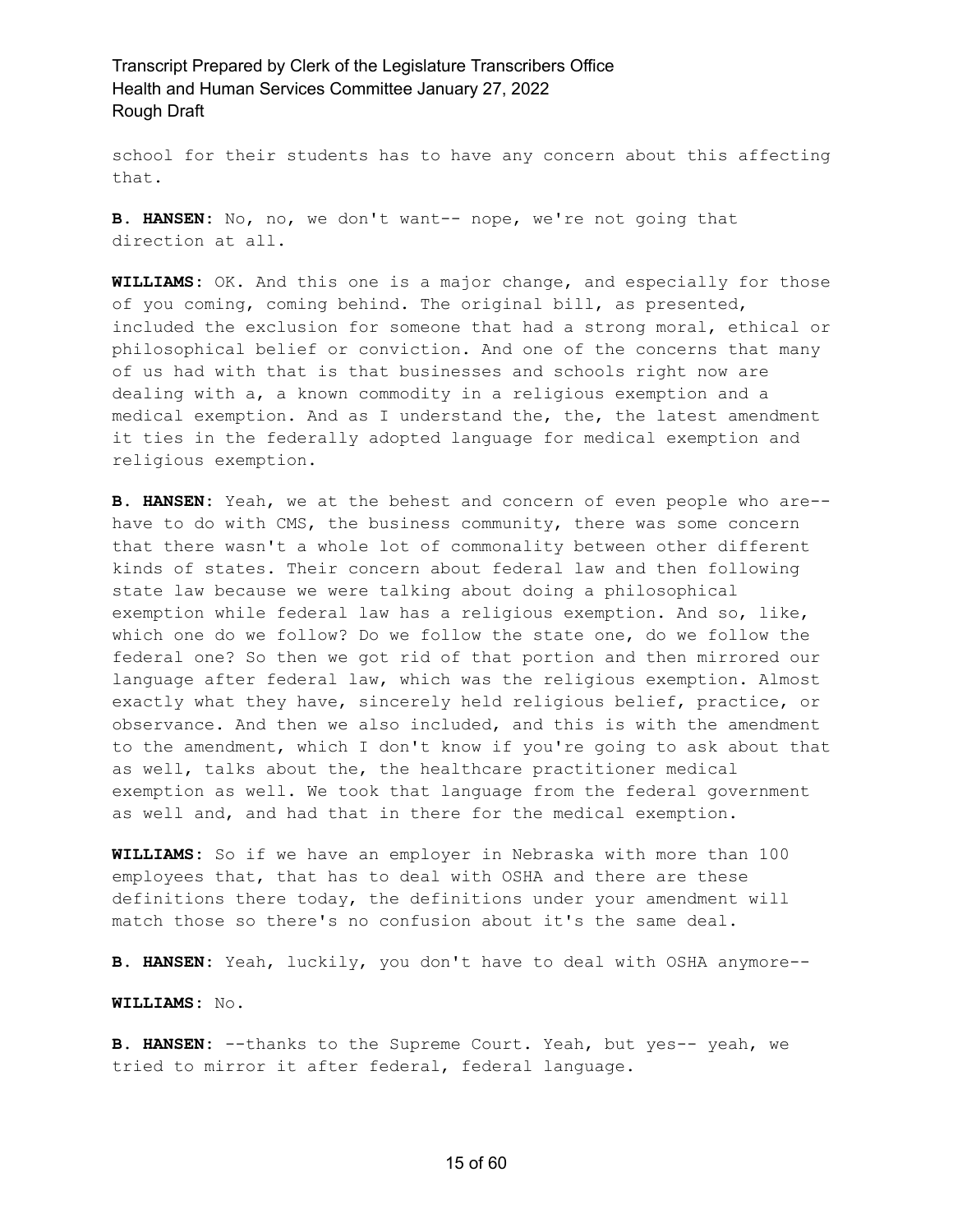school for their students has to have any concern about this affecting that.

**B. HANSEN:** No, no, we don't want-- nope, we're not going that direction at all.

**WILLIAMS:** OK. And this one is a major change, and especially for those of you coming, coming behind. The original bill, as presented, included the exclusion for someone that had a strong moral, ethical or philosophical belief or conviction. And one of the concerns that many of us had with that is that businesses and schools right now are dealing with a, a known commodity in a religious exemption and a medical exemption. And as I understand the, the, the latest amendment it ties in the federally adopted language for medical exemption and religious exemption.

**B. HANSEN:** Yeah, we at the behest and concern of even people who are- have to do with CMS, the business community, there was some concern that there wasn't a whole lot of commonality between other different kinds of states. Their concern about federal law and then following state law because we were talking about doing a philosophical exemption while federal law has a religious exemption. And so, like, which one do we follow? Do we follow the state one, do we follow the federal one? So then we got rid of that portion and then mirrored our language after federal law, which was the religious exemption. Almost exactly what they have, sincerely held religious belief, practice, or observance. And then we also included, and this is with the amendment to the amendment, which I don't know if you're going to ask about that as well, talks about the, the healthcare practitioner medical exemption as well. We took that language from the federal government as well and, and had that in there for the medical exemption.

**WILLIAMS:** So if we have an employer in Nebraska with more than 100 employees that, that has to deal with OSHA and there are these definitions there today, the definitions under your amendment will match those so there's no confusion about it's the same deal.

**B. HANSEN:** Yeah, luckily, you don't have to deal with OSHA anymore--

**WILLIAMS:** No.

**B. HANSEN:** --thanks to the Supreme Court. Yeah, but yes-- yeah, we tried to mirror it after federal, federal language.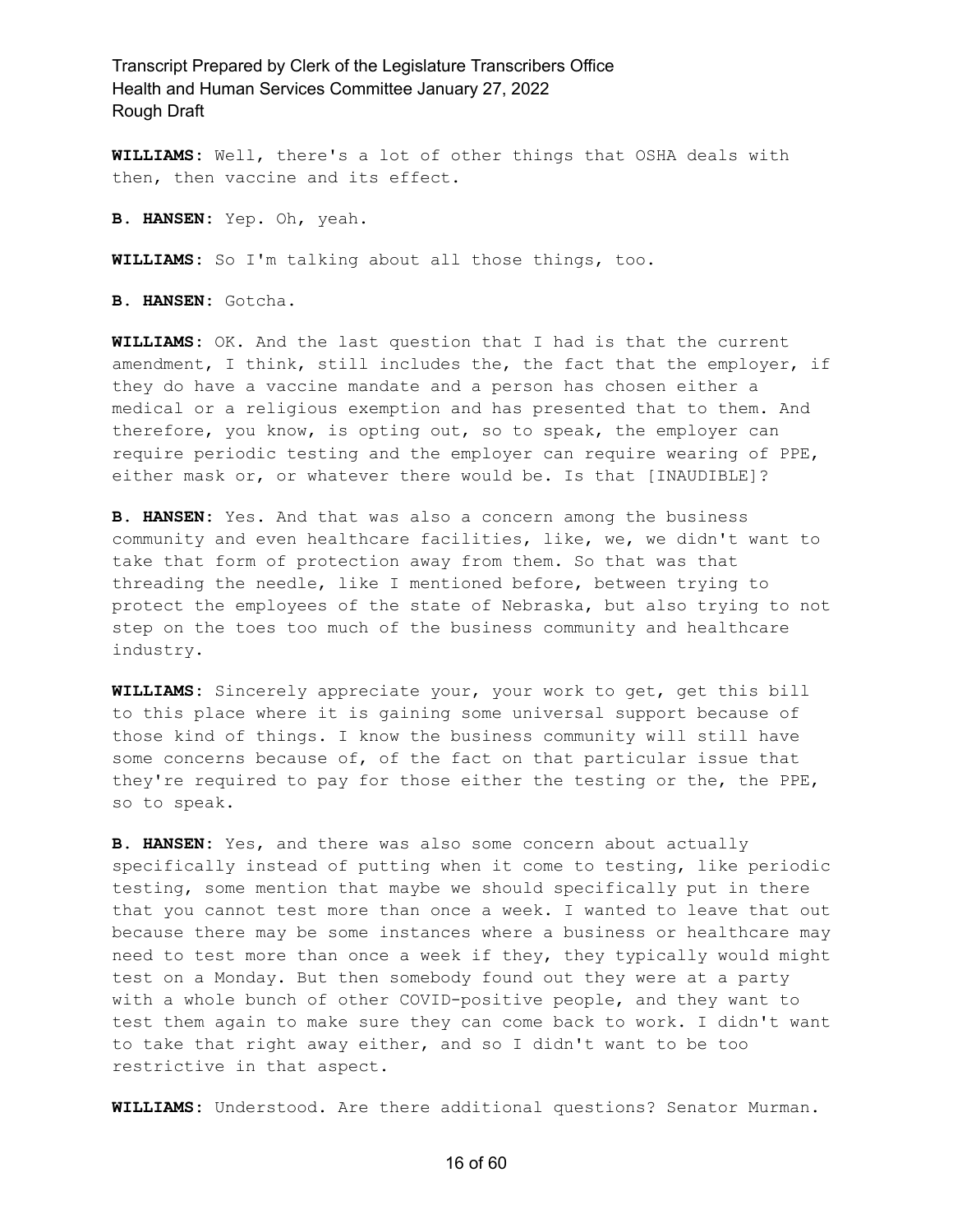**WILLIAMS:** Well, there's a lot of other things that OSHA deals with then, then vaccine and its effect.

**B. HANSEN:** Yep. Oh, yeah.

**WILLIAMS:** So I'm talking about all those things, too.

**B. HANSEN:** Gotcha.

**WILLIAMS:** OK. And the last question that I had is that the current amendment, I think, still includes the, the fact that the employer, if they do have a vaccine mandate and a person has chosen either a medical or a religious exemption and has presented that to them. And therefore, you know, is opting out, so to speak, the employer can require periodic testing and the employer can require wearing of PPE, either mask or, or whatever there would be. Is that [INAUDIBLE]?

**B. HANSEN:** Yes. And that was also a concern among the business community and even healthcare facilities, like, we, we didn't want to take that form of protection away from them. So that was that threading the needle, like I mentioned before, between trying to protect the employees of the state of Nebraska, but also trying to not step on the toes too much of the business community and healthcare industry.

**WILLIAMS:** Sincerely appreciate your, your work to get, get this bill to this place where it is gaining some universal support because of those kind of things. I know the business community will still have some concerns because of, of the fact on that particular issue that they're required to pay for those either the testing or the, the PPE, so to speak.

**B. HANSEN:** Yes, and there was also some concern about actually specifically instead of putting when it come to testing, like periodic testing, some mention that maybe we should specifically put in there that you cannot test more than once a week. I wanted to leave that out because there may be some instances where a business or healthcare may need to test more than once a week if they, they typically would might test on a Monday. But then somebody found out they were at a party with a whole bunch of other COVID-positive people, and they want to test them again to make sure they can come back to work. I didn't want to take that right away either, and so I didn't want to be too restrictive in that aspect.

**WILLIAMS:** Understood. Are there additional questions? Senator Murman.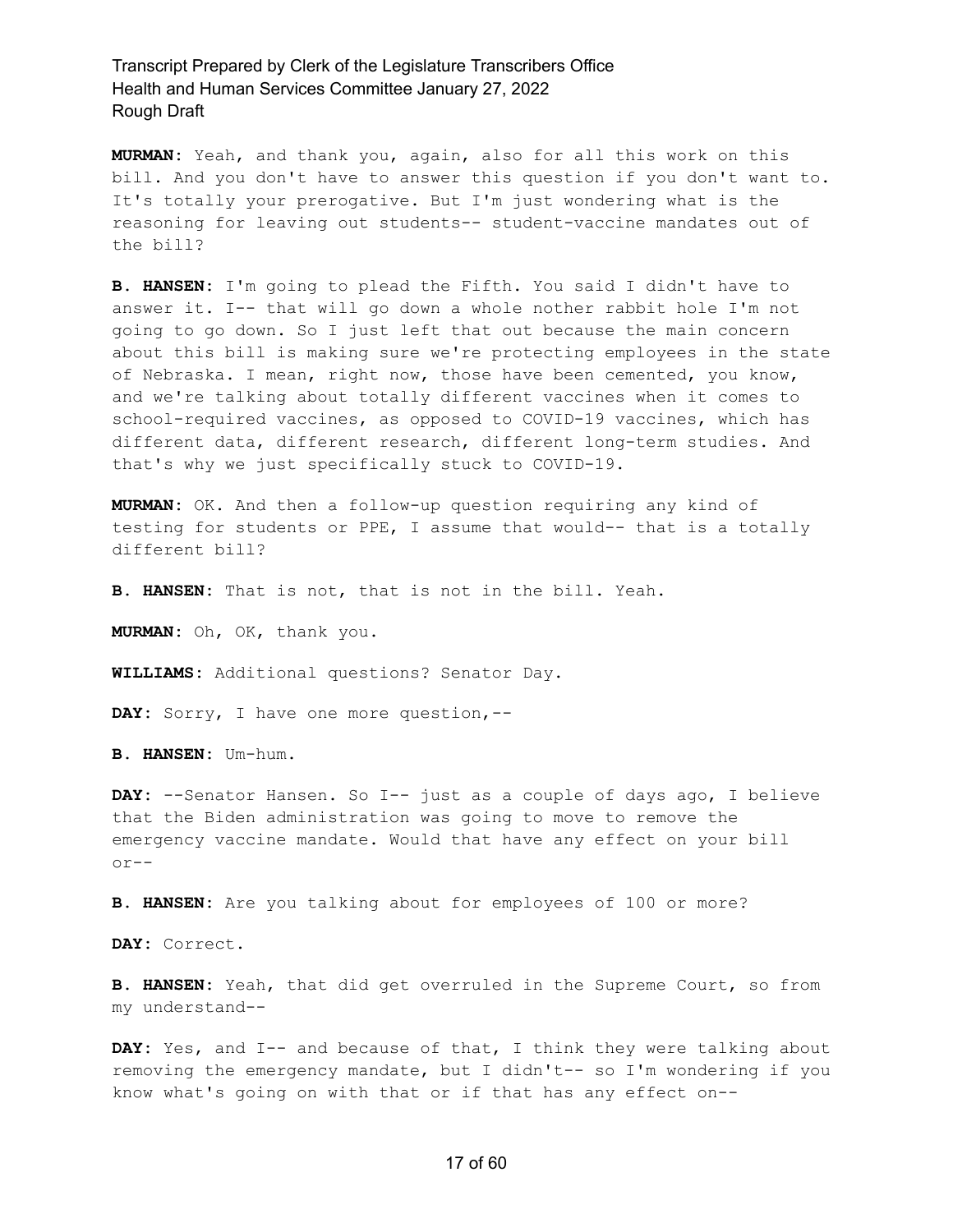**MURMAN:** Yeah, and thank you, again, also for all this work on this bill. And you don't have to answer this question if you don't want to. It's totally your prerogative. But I'm just wondering what is the reasoning for leaving out students-- student-vaccine mandates out of the bill?

**B. HANSEN:** I'm going to plead the Fifth. You said I didn't have to answer it. I-- that will go down a whole nother rabbit hole I'm not going to go down. So I just left that out because the main concern about this bill is making sure we're protecting employees in the state of Nebraska. I mean, right now, those have been cemented, you know, and we're talking about totally different vaccines when it comes to school-required vaccines, as opposed to COVID-19 vaccines, which has different data, different research, different long-term studies. And that's why we just specifically stuck to COVID-19.

**MURMAN:** OK. And then a follow-up question requiring any kind of testing for students or PPE, I assume that would-- that is a totally different bill?

**B. HANSEN:** That is not, that is not in the bill. Yeah.

**MURMAN:** Oh, OK, thank you.

**WILLIAMS:** Additional questions? Senator Day.

**DAY:** Sorry, I have one more question,--

**B. HANSEN:** Um-hum.

**DAY:** --Senator Hansen. So I-- just as a couple of days ago, I believe that the Biden administration was going to move to remove the emergency vaccine mandate. Would that have any effect on your bill  $or--$ 

**B. HANSEN:** Are you talking about for employees of 100 or more?

**DAY:** Correct.

**B. HANSEN:** Yeah, that did get overruled in the Supreme Court, so from my understand--

DAY: Yes, and I-- and because of that, I think they were talking about removing the emergency mandate, but I didn't-- so I'm wondering if you know what's going on with that or if that has any effect on--

#### 17 of 60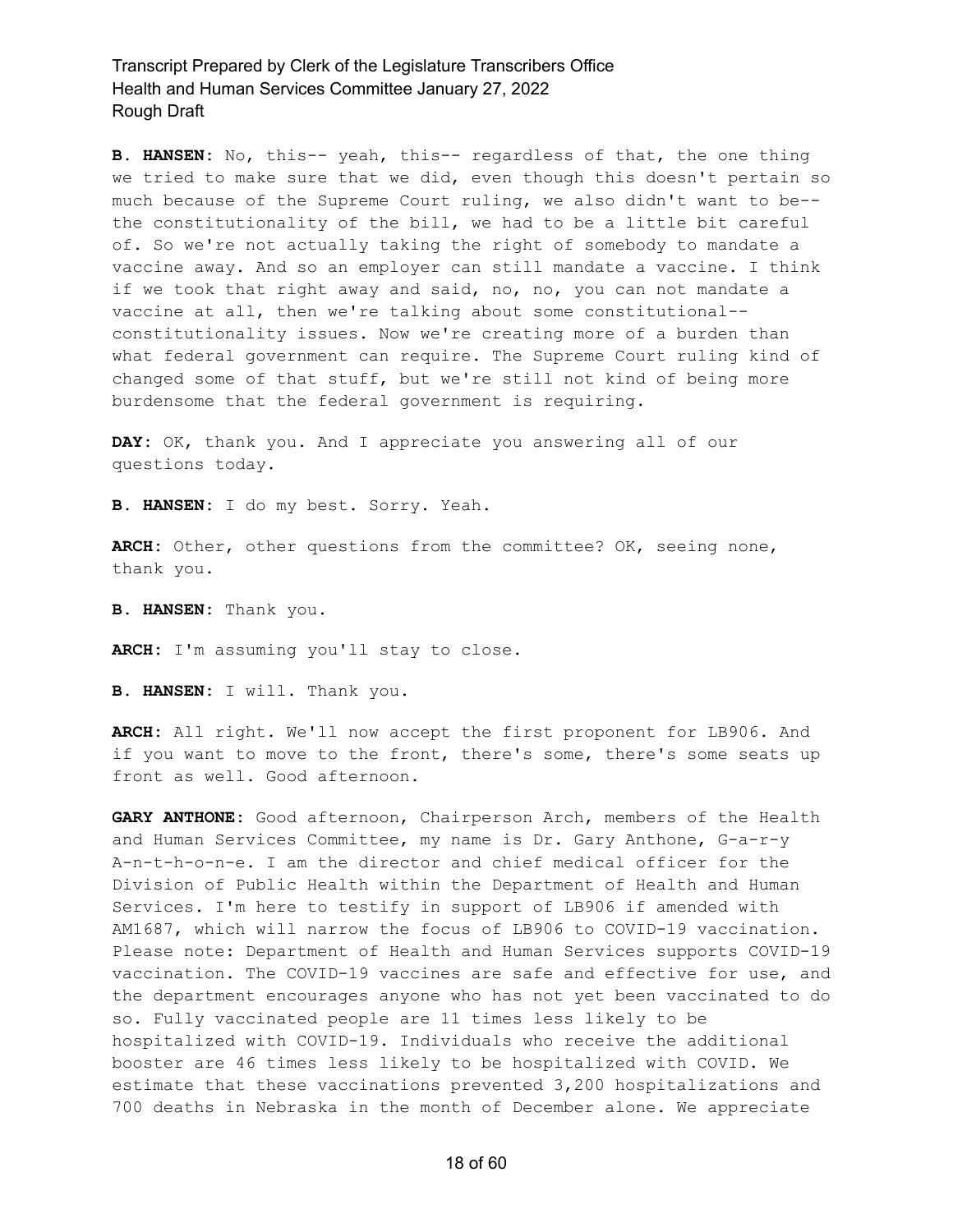**B. HANSEN:** No, this-- yeah, this-- regardless of that, the one thing we tried to make sure that we did, even though this doesn't pertain so much because of the Supreme Court ruling, we also didn't want to be- the constitutionality of the bill, we had to be a little bit careful of. So we're not actually taking the right of somebody to mandate a vaccine away. And so an employer can still mandate a vaccine. I think if we took that right away and said, no, no, you can not mandate a vaccine at all, then we're talking about some constitutional- constitutionality issues. Now we're creating more of a burden than what federal government can require. The Supreme Court ruling kind of changed some of that stuff, but we're still not kind of being more burdensome that the federal government is requiring.

**DAY:** OK, thank you. And I appreciate you answering all of our questions today.

**B. HANSEN:** I do my best. Sorry. Yeah.

**ARCH:** Other, other questions from the committee? OK, seeing none, thank you.

**B. HANSEN:** Thank you.

**ARCH:** I'm assuming you'll stay to close.

**B. HANSEN:** I will. Thank you.

**ARCH:** All right. We'll now accept the first proponent for LB906. And if you want to move to the front, there's some, there's some seats up front as well. Good afternoon.

**GARY ANTHONE:** Good afternoon, Chairperson Arch, members of the Health and Human Services Committee, my name is Dr. Gary Anthone, G-a-r-y A-n-t-h-o-n-e. I am the director and chief medical officer for the Division of Public Health within the Department of Health and Human Services. I'm here to testify in support of LB906 if amended with AM1687, which will narrow the focus of LB906 to COVID-19 vaccination. Please note: Department of Health and Human Services supports COVID-19 vaccination. The COVID-19 vaccines are safe and effective for use, and the department encourages anyone who has not yet been vaccinated to do so. Fully vaccinated people are 11 times less likely to be hospitalized with COVID-19. Individuals who receive the additional booster are 46 times less likely to be hospitalized with COVID. We estimate that these vaccinations prevented 3,200 hospitalizations and 700 deaths in Nebraska in the month of December alone. We appreciate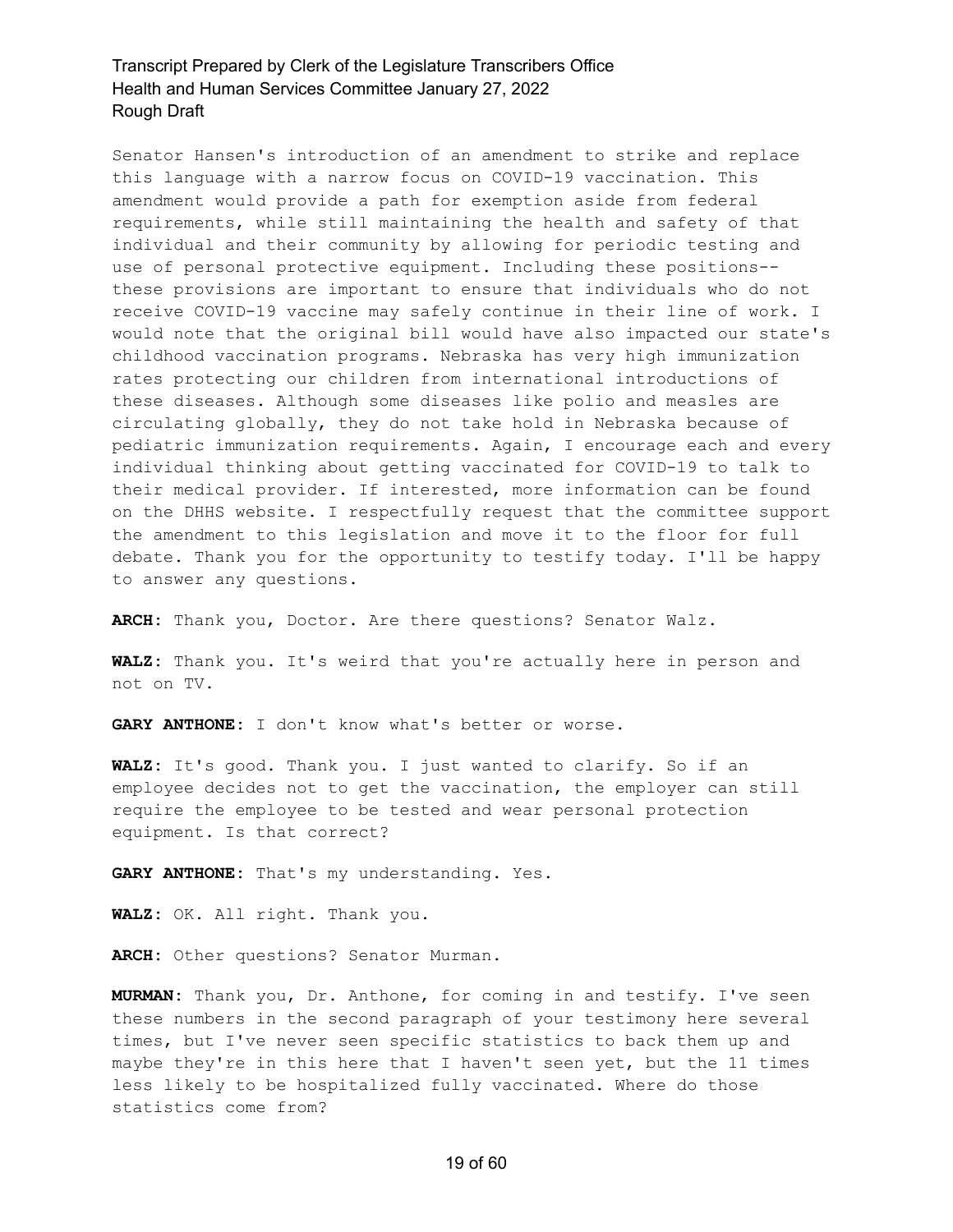Senator Hansen's introduction of an amendment to strike and replace this language with a narrow focus on COVID-19 vaccination. This amendment would provide a path for exemption aside from federal requirements, while still maintaining the health and safety of that individual and their community by allowing for periodic testing and use of personal protective equipment. Including these positions- these provisions are important to ensure that individuals who do not receive COVID-19 vaccine may safely continue in their line of work. I would note that the original bill would have also impacted our state's childhood vaccination programs. Nebraska has very high immunization rates protecting our children from international introductions of these diseases. Although some diseases like polio and measles are circulating globally, they do not take hold in Nebraska because of pediatric immunization requirements. Again, I encourage each and every individual thinking about getting vaccinated for COVID-19 to talk to their medical provider. If interested, more information can be found on the DHHS website. I respectfully request that the committee support the amendment to this legislation and move it to the floor for full debate. Thank you for the opportunity to testify today. I'll be happy to answer any questions.

**ARCH:** Thank you, Doctor. Are there questions? Senator Walz.

**WALZ:** Thank you. It's weird that you're actually here in person and not on TV.

**GARY ANTHONE:** I don't know what's better or worse.

**WALZ:** It's good. Thank you. I just wanted to clarify. So if an employee decides not to get the vaccination, the employer can still require the employee to be tested and wear personal protection equipment. Is that correct?

**GARY ANTHONE:** That's my understanding. Yes.

**WALZ:** OK. All right. Thank you.

**ARCH:** Other questions? Senator Murman.

**MURMAN:** Thank you, Dr. Anthone, for coming in and testify. I've seen these numbers in the second paragraph of your testimony here several times, but I've never seen specific statistics to back them up and maybe they're in this here that I haven't seen yet, but the 11 times less likely to be hospitalized fully vaccinated. Where do those statistics come from?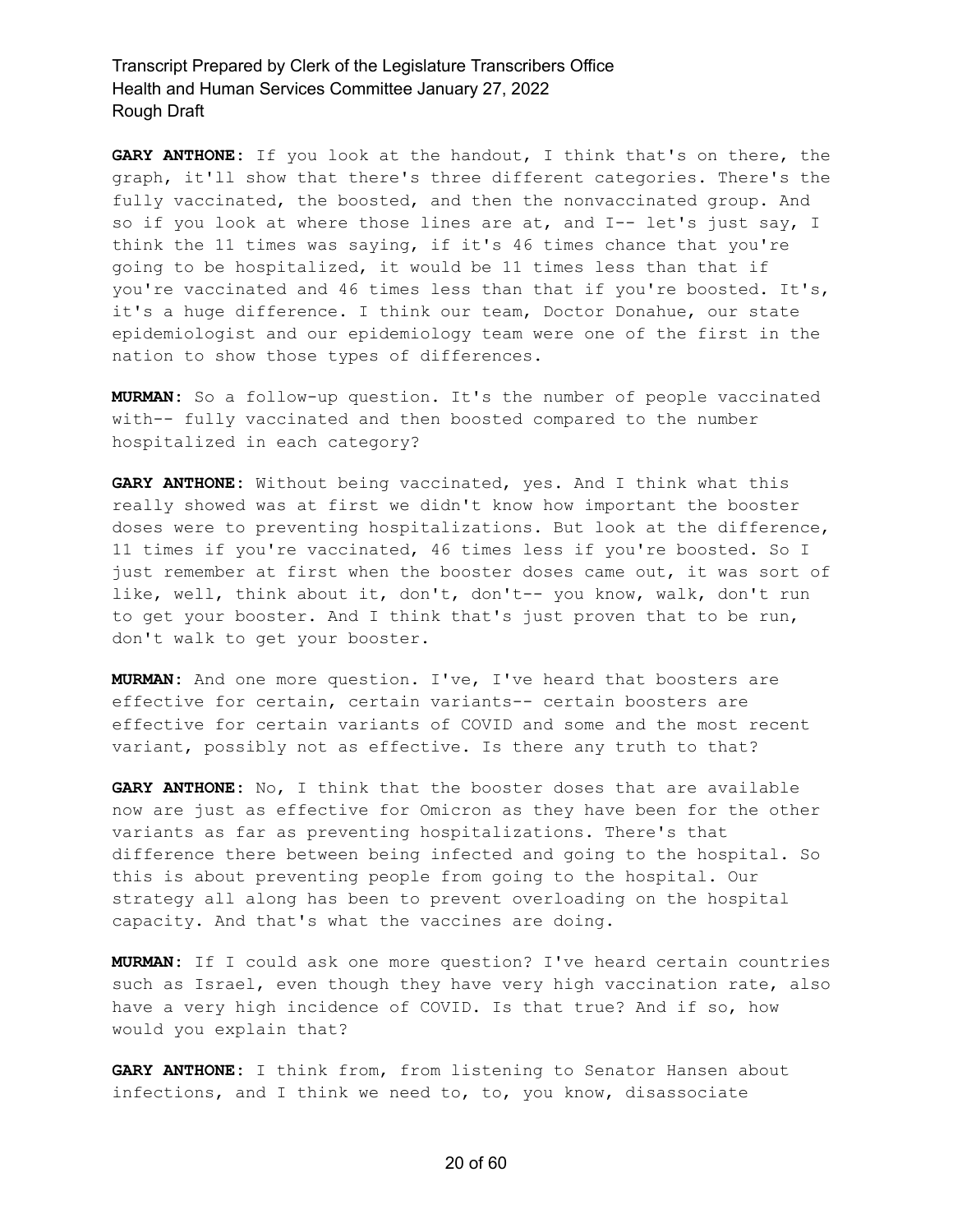**GARY ANTHONE:** If you look at the handout, I think that's on there, the graph, it'll show that there's three different categories. There's the fully vaccinated, the boosted, and then the nonvaccinated group. And so if you look at where those lines are at, and I-- let's just say, I think the 11 times was saying, if it's 46 times chance that you're going to be hospitalized, it would be 11 times less than that if you're vaccinated and 46 times less than that if you're boosted. It's, it's a huge difference. I think our team, Doctor Donahue, our state epidemiologist and our epidemiology team were one of the first in the nation to show those types of differences.

**MURMAN:** So a follow-up question. It's the number of people vaccinated with-- fully vaccinated and then boosted compared to the number hospitalized in each category?

**GARY ANTHONE:** Without being vaccinated, yes. And I think what this really showed was at first we didn't know how important the booster doses were to preventing hospitalizations. But look at the difference, 11 times if you're vaccinated, 46 times less if you're boosted. So I just remember at first when the booster doses came out, it was sort of like, well, think about it, don't, don't-- you know, walk, don't run to get your booster. And I think that's just proven that to be run, don't walk to get your booster.

**MURMAN:** And one more question. I've, I've heard that boosters are effective for certain, certain variants-- certain boosters are effective for certain variants of COVID and some and the most recent variant, possibly not as effective. Is there any truth to that?

**GARY ANTHONE:** No, I think that the booster doses that are available now are just as effective for Omicron as they have been for the other variants as far as preventing hospitalizations. There's that difference there between being infected and going to the hospital. So this is about preventing people from going to the hospital. Our strategy all along has been to prevent overloading on the hospital capacity. And that's what the vaccines are doing.

**MURMAN:** If I could ask one more question? I've heard certain countries such as Israel, even though they have very high vaccination rate, also have a very high incidence of COVID. Is that true? And if so, how would you explain that?

**GARY ANTHONE:** I think from, from listening to Senator Hansen about infections, and I think we need to, to, you know, disassociate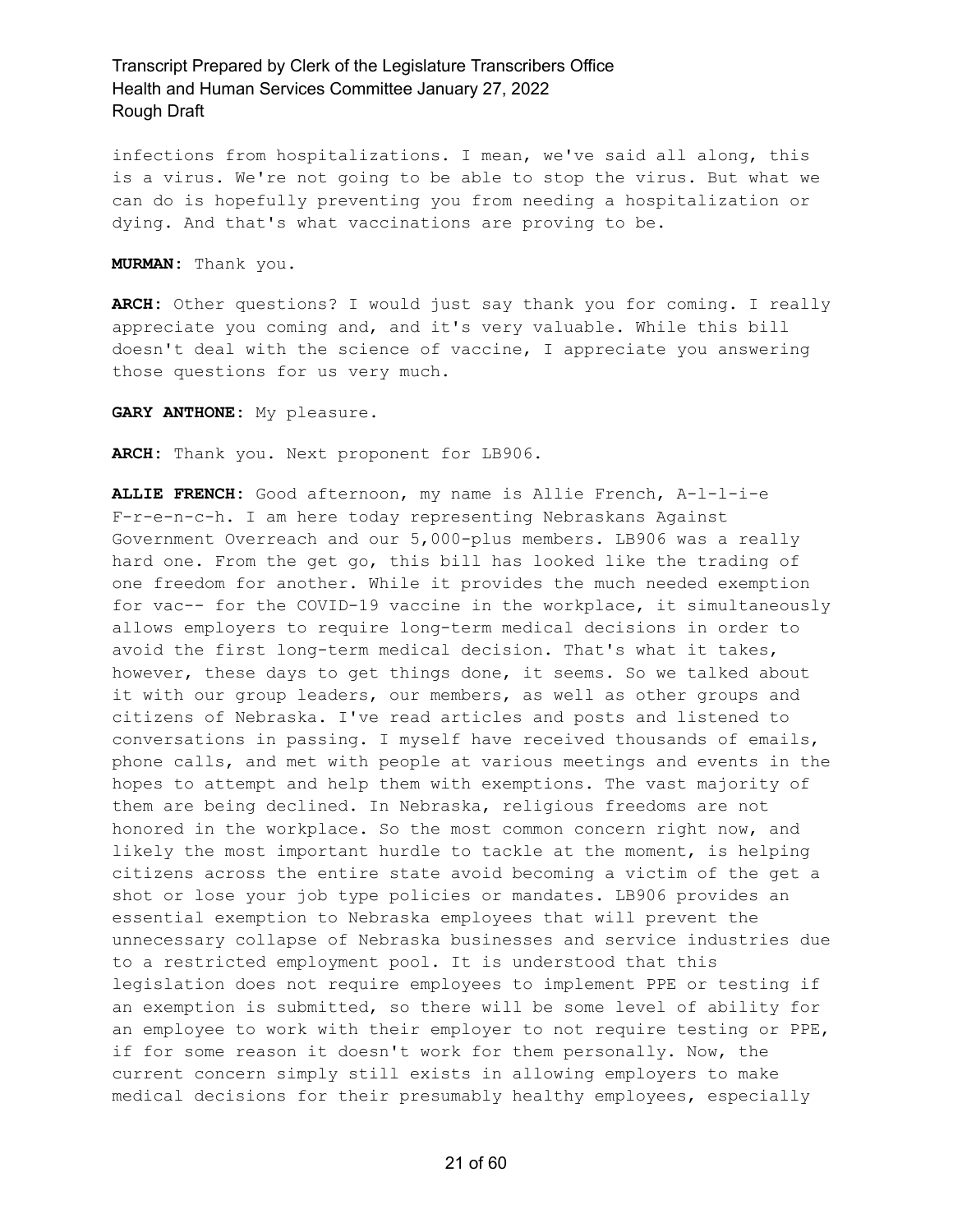infections from hospitalizations. I mean, we've said all along, this is a virus. We're not going to be able to stop the virus. But what we can do is hopefully preventing you from needing a hospitalization or dying. And that's what vaccinations are proving to be.

**MURMAN:** Thank you.

**ARCH:** Other questions? I would just say thank you for coming. I really appreciate you coming and, and it's very valuable. While this bill doesn't deal with the science of vaccine, I appreciate you answering those questions for us very much.

**GARY ANTHONE:** My pleasure.

**ARCH:** Thank you. Next proponent for LB906.

**ALLIE FRENCH:** Good afternoon, my name is Allie French, A-l-l-i-e F-r-e-n-c-h. I am here today representing Nebraskans Against Government Overreach and our 5,000-plus members. LB906 was a really hard one. From the get go, this bill has looked like the trading of one freedom for another. While it provides the much needed exemption for vac-- for the COVID-19 vaccine in the workplace, it simultaneously allows employers to require long-term medical decisions in order to avoid the first long-term medical decision. That's what it takes, however, these days to get things done, it seems. So we talked about it with our group leaders, our members, as well as other groups and citizens of Nebraska. I've read articles and posts and listened to conversations in passing. I myself have received thousands of emails, phone calls, and met with people at various meetings and events in the hopes to attempt and help them with exemptions. The vast majority of them are being declined. In Nebraska, religious freedoms are not honored in the workplace. So the most common concern right now, and likely the most important hurdle to tackle at the moment, is helping citizens across the entire state avoid becoming a victim of the get a shot or lose your job type policies or mandates. LB906 provides an essential exemption to Nebraska employees that will prevent the unnecessary collapse of Nebraska businesses and service industries due to a restricted employment pool. It is understood that this legislation does not require employees to implement PPE or testing if an exemption is submitted, so there will be some level of ability for an employee to work with their employer to not require testing or PPE, if for some reason it doesn't work for them personally. Now, the current concern simply still exists in allowing employers to make medical decisions for their presumably healthy employees, especially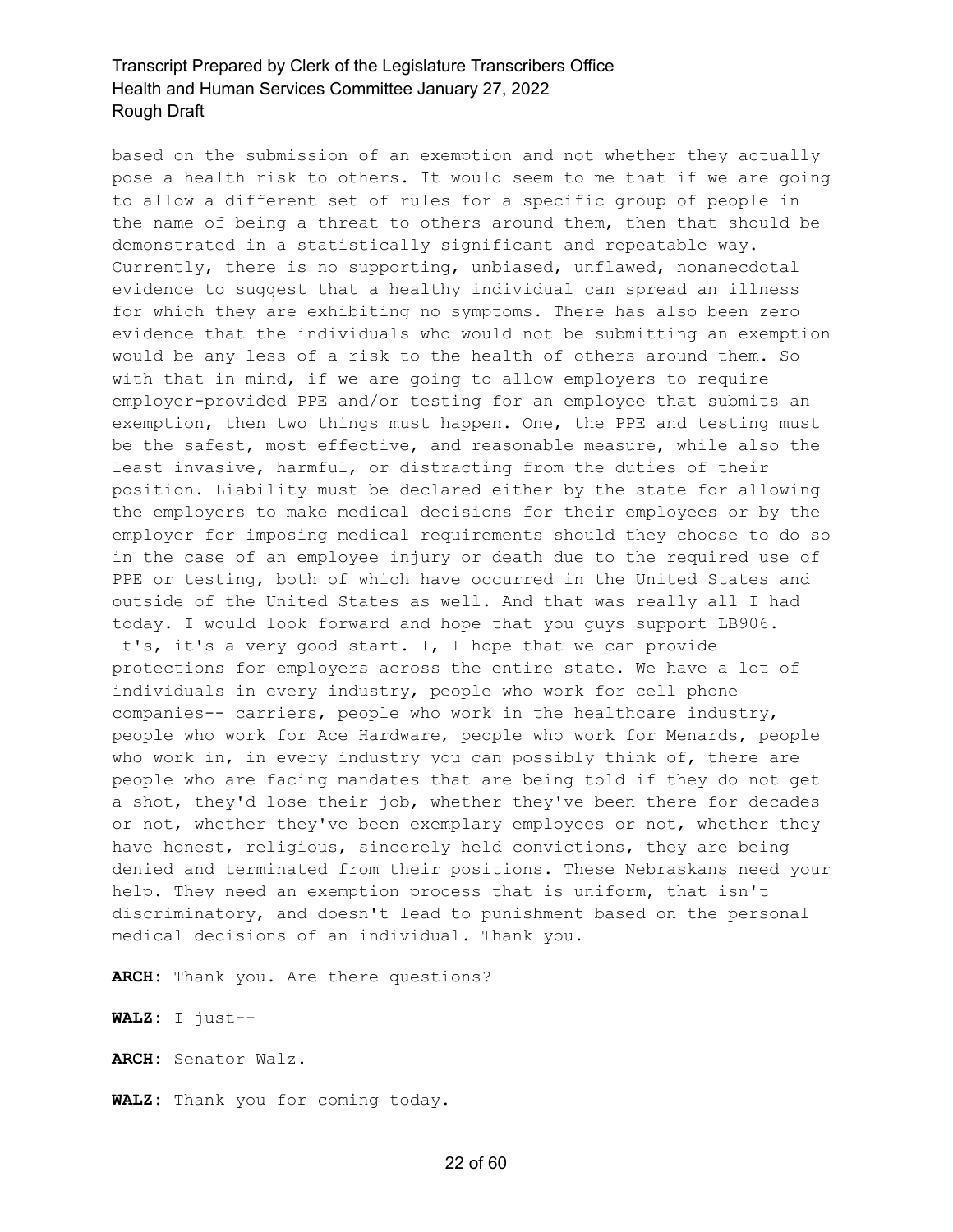based on the submission of an exemption and not whether they actually pose a health risk to others. It would seem to me that if we are going to allow a different set of rules for a specific group of people in the name of being a threat to others around them, then that should be demonstrated in a statistically significant and repeatable way. Currently, there is no supporting, unbiased, unflawed, nonanecdotal evidence to suggest that a healthy individual can spread an illness for which they are exhibiting no symptoms. There has also been zero evidence that the individuals who would not be submitting an exemption would be any less of a risk to the health of others around them. So with that in mind, if we are going to allow employers to require employer-provided PPE and/or testing for an employee that submits an exemption, then two things must happen. One, the PPE and testing must be the safest, most effective, and reasonable measure, while also the least invasive, harmful, or distracting from the duties of their position. Liability must be declared either by the state for allowing the employers to make medical decisions for their employees or by the employer for imposing medical requirements should they choose to do so in the case of an employee injury or death due to the required use of PPE or testing, both of which have occurred in the United States and outside of the United States as well. And that was really all I had today. I would look forward and hope that you guys support LB906. It's, it's a very good start. I, I hope that we can provide protections for employers across the entire state. We have a lot of individuals in every industry, people who work for cell phone companies-- carriers, people who work in the healthcare industry, people who work for Ace Hardware, people who work for Menards, people who work in, in every industry you can possibly think of, there are people who are facing mandates that are being told if they do not get a shot, they'd lose their job, whether they've been there for decades or not, whether they've been exemplary employees or not, whether they have honest, religious, sincerely held convictions, they are being denied and terminated from their positions. These Nebraskans need your help. They need an exemption process that is uniform, that isn't discriminatory, and doesn't lead to punishment based on the personal medical decisions of an individual. Thank you.

**ARCH:** Thank you. Are there questions?

**WALZ:** I just--

**ARCH:** Senator Walz.

**WALZ:** Thank you for coming today.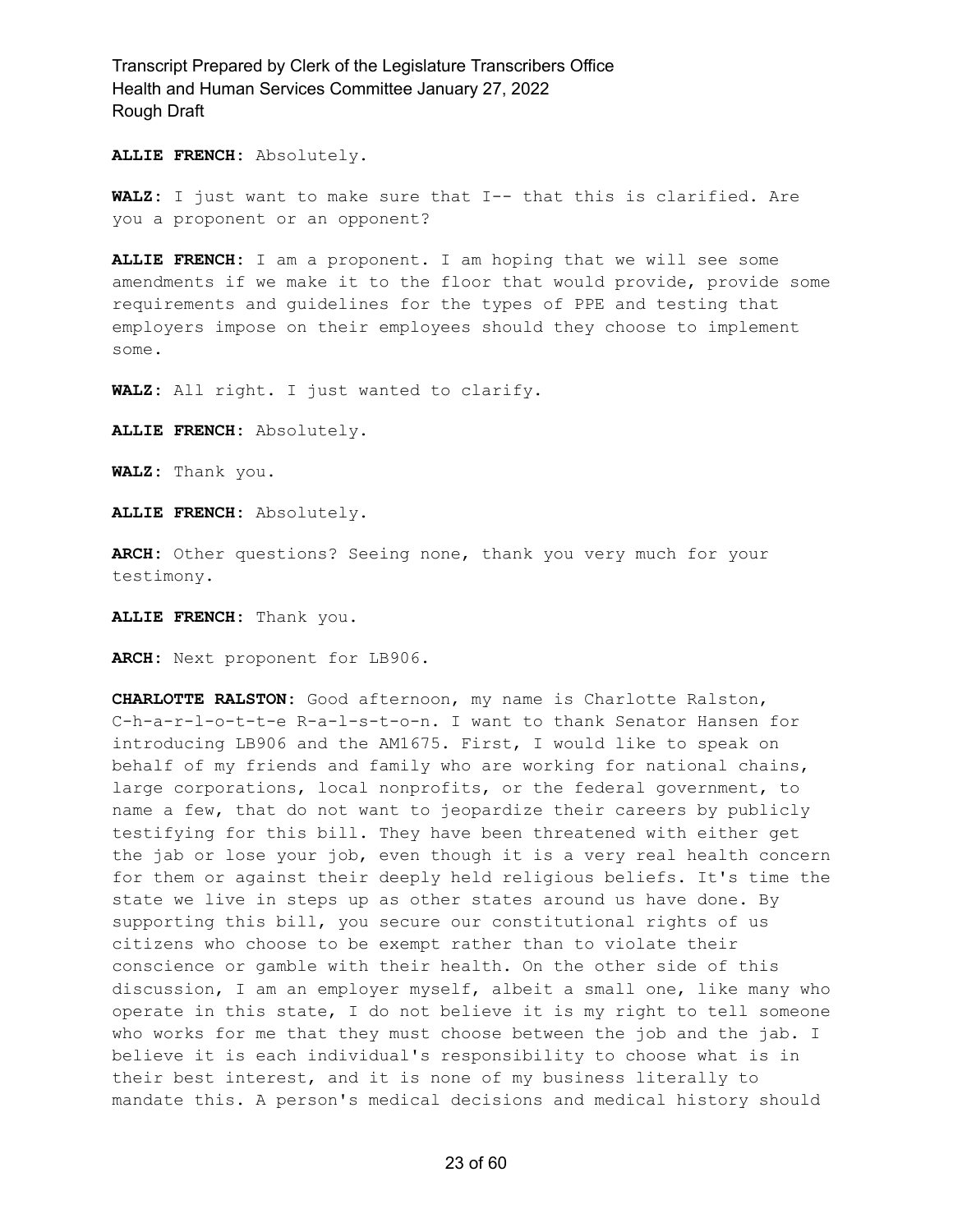**ALLIE FRENCH:** Absolutely.

**WALZ:** I just want to make sure that I-- that this is clarified. Are you a proponent or an opponent?

**ALLIE FRENCH:** I am a proponent. I am hoping that we will see some amendments if we make it to the floor that would provide, provide some requirements and guidelines for the types of PPE and testing that employers impose on their employees should they choose to implement some.

**WALZ:** All right. I just wanted to clarify.

**ALLIE FRENCH:** Absolutely.

**WALZ:** Thank you.

**ALLIE FRENCH:** Absolutely.

**ARCH:** Other questions? Seeing none, thank you very much for your testimony.

**ALLIE FRENCH:** Thank you.

**ARCH:** Next proponent for LB906.

**CHARLOTTE RALSTON:** Good afternoon, my name is Charlotte Ralston, C-h-a-r-l-o-t-t-e R-a-l-s-t-o-n. I want to thank Senator Hansen for introducing LB906 and the AM1675. First, I would like to speak on behalf of my friends and family who are working for national chains, large corporations, local nonprofits, or the federal government, to name a few, that do not want to jeopardize their careers by publicly testifying for this bill. They have been threatened with either get the jab or lose your job, even though it is a very real health concern for them or against their deeply held religious beliefs. It's time the state we live in steps up as other states around us have done. By supporting this bill, you secure our constitutional rights of us citizens who choose to be exempt rather than to violate their conscience or gamble with their health. On the other side of this discussion, I am an employer myself, albeit a small one, like many who operate in this state, I do not believe it is my right to tell someone who works for me that they must choose between the job and the jab. I believe it is each individual's responsibility to choose what is in their best interest, and it is none of my business literally to mandate this. A person's medical decisions and medical history should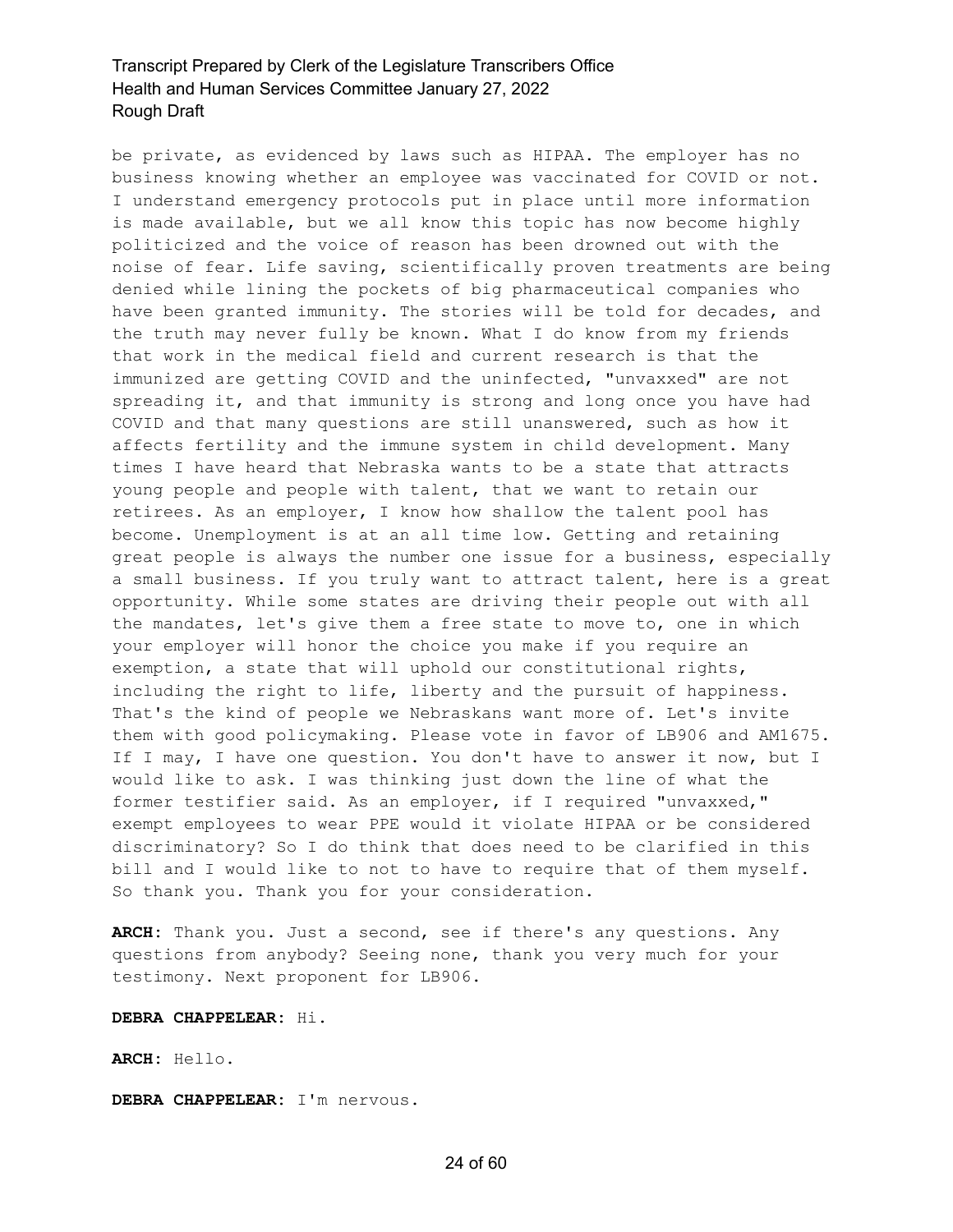be private, as evidenced by laws such as HIPAA. The employer has no business knowing whether an employee was vaccinated for COVID or not. I understand emergency protocols put in place until more information is made available, but we all know this topic has now become highly politicized and the voice of reason has been drowned out with the noise of fear. Life saving, scientifically proven treatments are being denied while lining the pockets of big pharmaceutical companies who have been granted immunity. The stories will be told for decades, and the truth may never fully be known. What I do know from my friends that work in the medical field and current research is that the immunized are getting COVID and the uninfected, "unvaxxed" are not spreading it, and that immunity is strong and long once you have had COVID and that many questions are still unanswered, such as how it affects fertility and the immune system in child development. Many times I have heard that Nebraska wants to be a state that attracts young people and people with talent, that we want to retain our retirees. As an employer, I know how shallow the talent pool has become. Unemployment is at an all time low. Getting and retaining great people is always the number one issue for a business, especially a small business. If you truly want to attract talent, here is a great opportunity. While some states are driving their people out with all the mandates, let's give them a free state to move to, one in which your employer will honor the choice you make if you require an exemption, a state that will uphold our constitutional rights, including the right to life, liberty and the pursuit of happiness. That's the kind of people we Nebraskans want more of. Let's invite them with good policymaking. Please vote in favor of LB906 and AM1675. If I may, I have one question. You don't have to answer it now, but I would like to ask. I was thinking just down the line of what the former testifier said. As an employer, if I required "unvaxxed," exempt employees to wear PPE would it violate HIPAA or be considered discriminatory? So I do think that does need to be clarified in this bill and I would like to not to have to require that of them myself. So thank you. Thank you for your consideration.

**ARCH:** Thank you. Just a second, see if there's any questions. Any questions from anybody? Seeing none, thank you very much for your testimony. Next proponent for LB906.

#### **DEBRA CHAPPELEAR:** Hi.

**ARCH:** Hello.

**DEBRA CHAPPELEAR:** I'm nervous.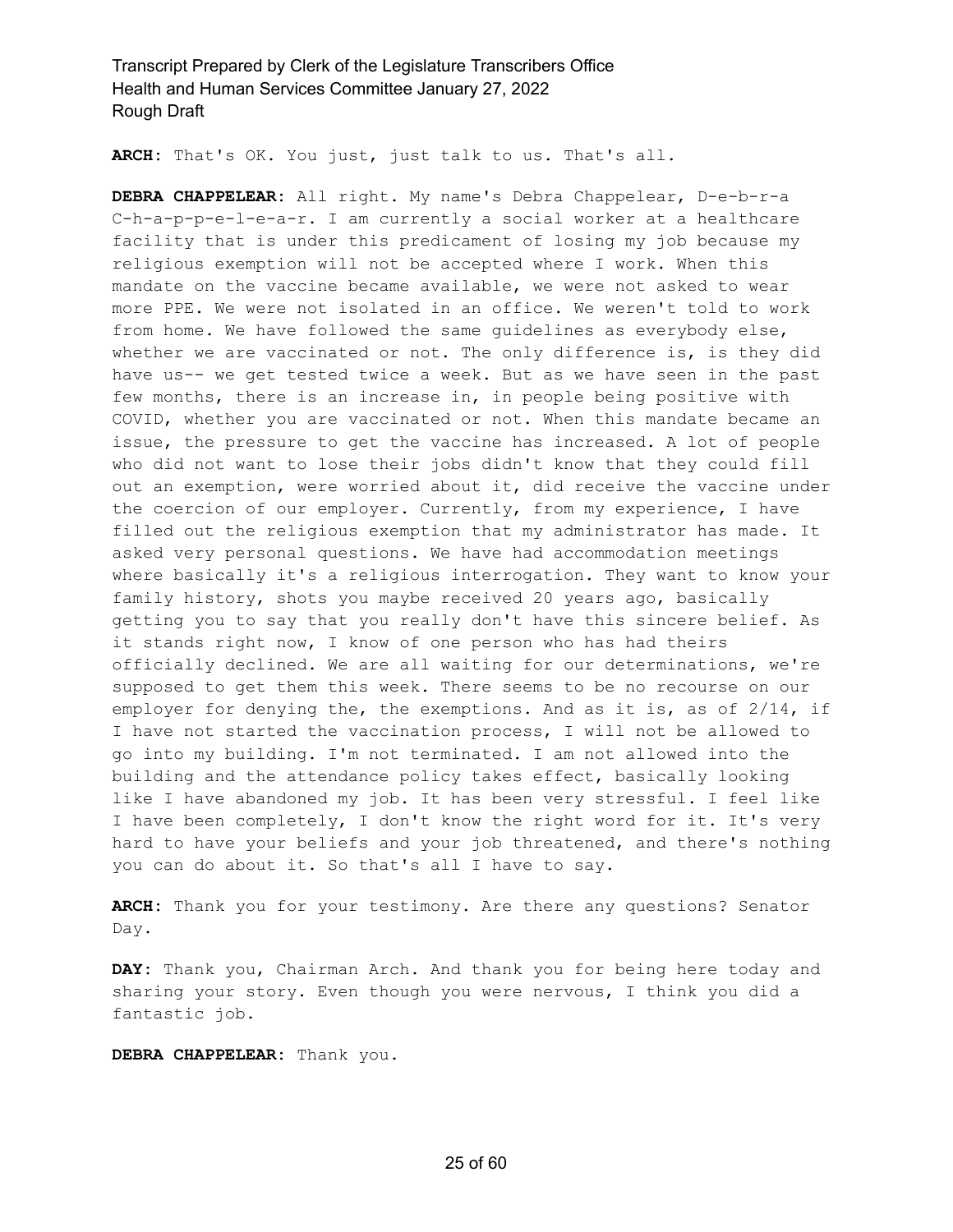**ARCH:** That's OK. You just, just talk to us. That's all.

**DEBRA CHAPPELEAR:** All right. My name's Debra Chappelear, D-e-b-r-a C-h-a-p-p-e-l-e-a-r. I am currently a social worker at a healthcare facility that is under this predicament of losing my job because my religious exemption will not be accepted where I work. When this mandate on the vaccine became available, we were not asked to wear more PPE. We were not isolated in an office. We weren't told to work from home. We have followed the same guidelines as everybody else, whether we are vaccinated or not. The only difference is, is they did have us-- we get tested twice a week. But as we have seen in the past few months, there is an increase in, in people being positive with COVID, whether you are vaccinated or not. When this mandate became an issue, the pressure to get the vaccine has increased. A lot of people who did not want to lose their jobs didn't know that they could fill out an exemption, were worried about it, did receive the vaccine under the coercion of our employer. Currently, from my experience, I have filled out the religious exemption that my administrator has made. It asked very personal questions. We have had accommodation meetings where basically it's a religious interrogation. They want to know your family history, shots you maybe received 20 years ago, basically getting you to say that you really don't have this sincere belief. As it stands right now, I know of one person who has had theirs officially declined. We are all waiting for our determinations, we're supposed to get them this week. There seems to be no recourse on our employer for denying the, the exemptions. And as it is, as of 2/14, if I have not started the vaccination process, I will not be allowed to go into my building. I'm not terminated. I am not allowed into the building and the attendance policy takes effect, basically looking like I have abandoned my job. It has been very stressful. I feel like I have been completely, I don't know the right word for it. It's very hard to have your beliefs and your job threatened, and there's nothing you can do about it. So that's all I have to say.

**ARCH:** Thank you for your testimony. Are there any questions? Senator Day.

**DAY:** Thank you, Chairman Arch. And thank you for being here today and sharing your story. Even though you were nervous, I think you did a fantastic job.

**DEBRA CHAPPELEAR:** Thank you.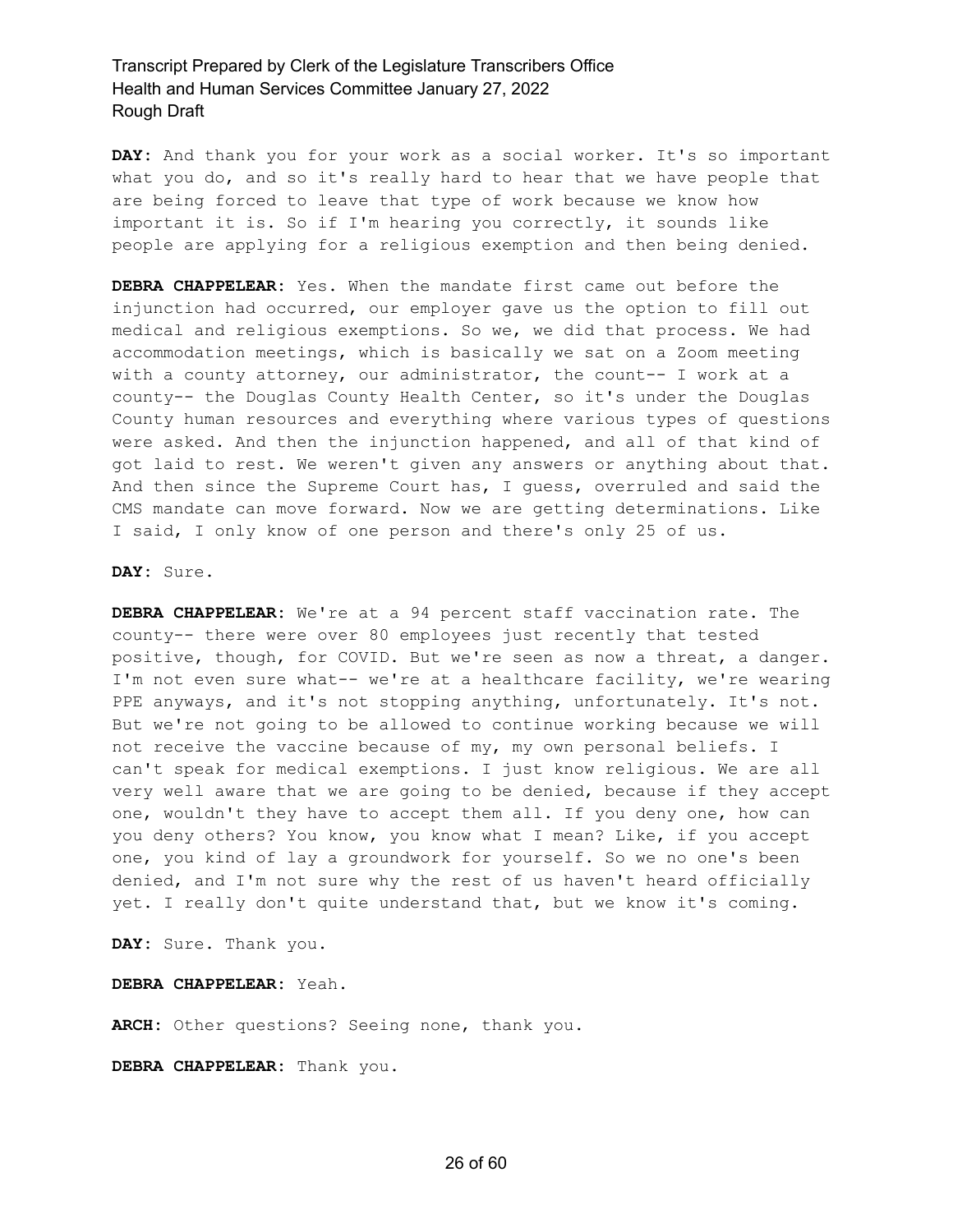**DAY:** And thank you for your work as a social worker. It's so important what you do, and so it's really hard to hear that we have people that are being forced to leave that type of work because we know how important it is. So if I'm hearing you correctly, it sounds like people are applying for a religious exemption and then being denied.

**DEBRA CHAPPELEAR:** Yes. When the mandate first came out before the injunction had occurred, our employer gave us the option to fill out medical and religious exemptions. So we, we did that process. We had accommodation meetings, which is basically we sat on a Zoom meeting with a county attorney, our administrator, the count-- I work at a county-- the Douglas County Health Center, so it's under the Douglas County human resources and everything where various types of questions were asked. And then the injunction happened, and all of that kind of got laid to rest. We weren't given any answers or anything about that. And then since the Supreme Court has, I guess, overruled and said the CMS mandate can move forward. Now we are getting determinations. Like I said, I only know of one person and there's only 25 of us.

#### **DAY:** Sure.

**DEBRA CHAPPELEAR:** We're at a 94 percent staff vaccination rate. The county-- there were over 80 employees just recently that tested positive, though, for COVID. But we're seen as now a threat, a danger. I'm not even sure what-- we're at a healthcare facility, we're wearing PPE anyways, and it's not stopping anything, unfortunately. It's not. But we're not going to be allowed to continue working because we will not receive the vaccine because of my, my own personal beliefs. I can't speak for medical exemptions. I just know religious. We are all very well aware that we are going to be denied, because if they accept one, wouldn't they have to accept them all. If you deny one, how can you deny others? You know, you know what I mean? Like, if you accept one, you kind of lay a groundwork for yourself. So we no one's been denied, and I'm not sure why the rest of us haven't heard officially yet. I really don't quite understand that, but we know it's coming.

**DAY:** Sure. Thank you.

**DEBRA CHAPPELEAR:** Yeah.

**ARCH:** Other questions? Seeing none, thank you.

**DEBRA CHAPPELEAR:** Thank you.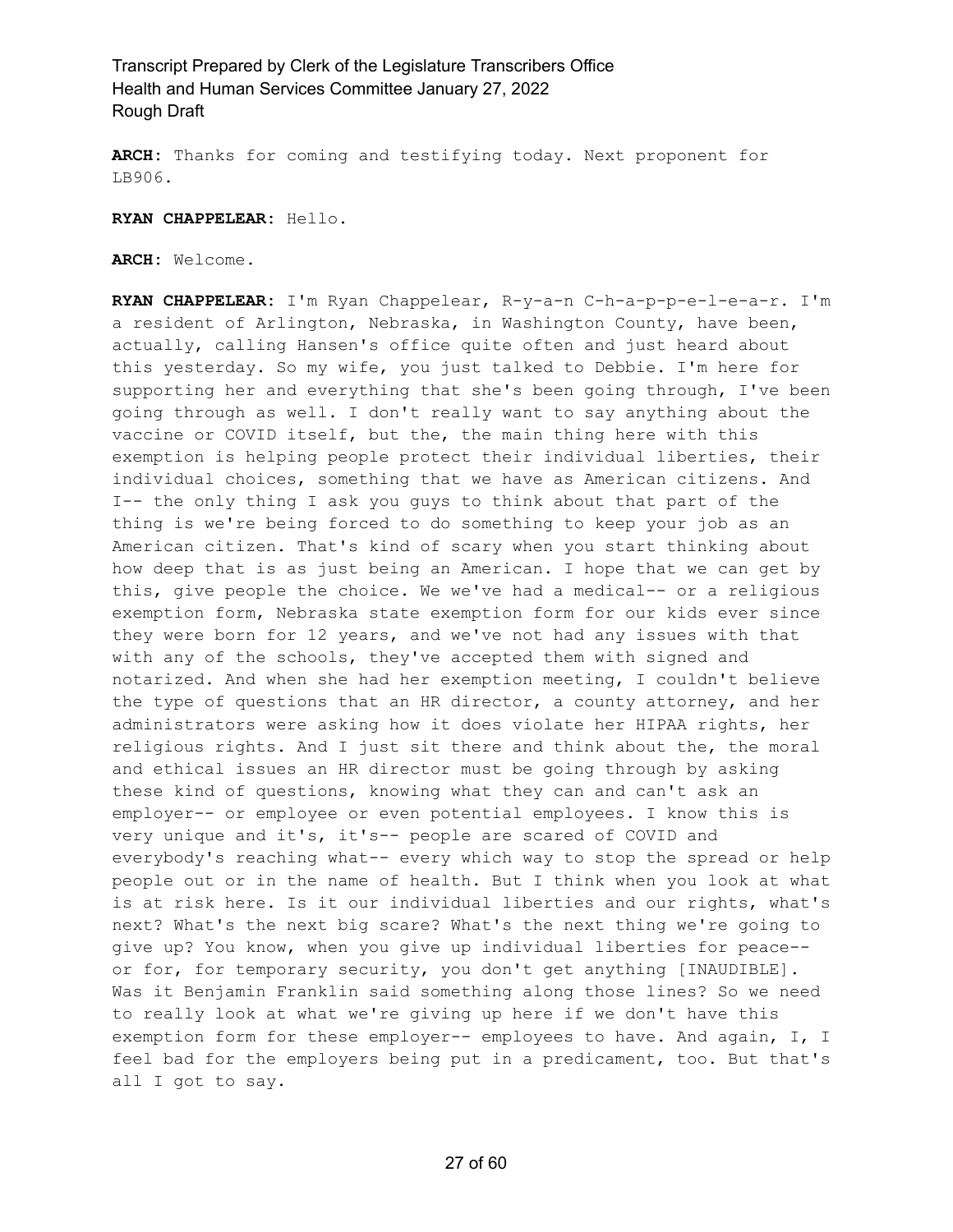**ARCH:** Thanks for coming and testifying today. Next proponent for LB906.

**RYAN CHAPPELEAR:** Hello.

**ARCH:** Welcome.

**RYAN CHAPPELEAR:** I'm Ryan Chappelear, R-y-a-n C-h-a-p-p-e-l-e-a-r. I'm a resident of Arlington, Nebraska, in Washington County, have been, actually, calling Hansen's office quite often and just heard about this yesterday. So my wife, you just talked to Debbie. I'm here for supporting her and everything that she's been going through, I've been going through as well. I don't really want to say anything about the vaccine or COVID itself, but the, the main thing here with this exemption is helping people protect their individual liberties, their individual choices, something that we have as American citizens. And I-- the only thing I ask you guys to think about that part of the thing is we're being forced to do something to keep your job as an American citizen. That's kind of scary when you start thinking about how deep that is as just being an American. I hope that we can get by this, give people the choice. We we've had a medical-- or a religious exemption form, Nebraska state exemption form for our kids ever since they were born for 12 years, and we've not had any issues with that with any of the schools, they've accepted them with signed and notarized. And when she had her exemption meeting, I couldn't believe the type of questions that an HR director, a county attorney, and her administrators were asking how it does violate her HIPAA rights, her religious rights. And I just sit there and think about the, the moral and ethical issues an HR director must be going through by asking these kind of questions, knowing what they can and can't ask an employer-- or employee or even potential employees. I know this is very unique and it's, it's-- people are scared of COVID and everybody's reaching what-- every which way to stop the spread or help people out or in the name of health. But I think when you look at what is at risk here. Is it our individual liberties and our rights, what's next? What's the next big scare? What's the next thing we're going to give up? You know, when you give up individual liberties for peace- or for, for temporary security, you don't get anything [INAUDIBLE]. Was it Benjamin Franklin said something along those lines? So we need to really look at what we're giving up here if we don't have this exemption form for these employer-- employees to have. And again, I, I feel bad for the employers being put in a predicament, too. But that's all I got to say.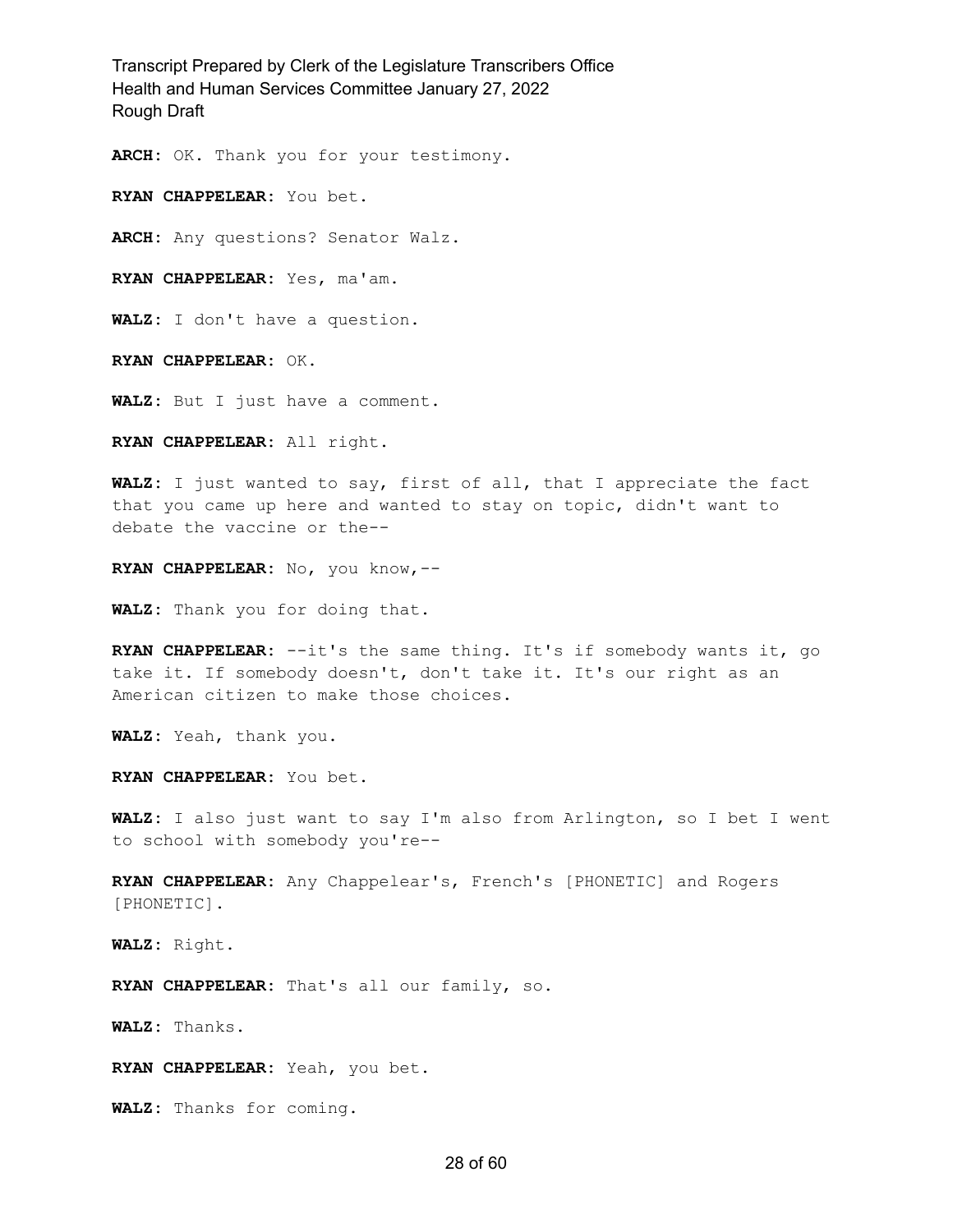**ARCH:** OK. Thank you for your testimony.

**RYAN CHAPPELEAR:** You bet.

**ARCH:** Any questions? Senator Walz.

**RYAN CHAPPELEAR:** Yes, ma'am.

**WALZ:** I don't have a question.

**RYAN CHAPPELEAR:** OK.

**WALZ:** But I just have a comment.

**RYAN CHAPPELEAR:** All right.

**WALZ:** I just wanted to say, first of all, that I appreciate the fact that you came up here and wanted to stay on topic, didn't want to debate the vaccine or the--

**RYAN CHAPPELEAR:** No, you know,--

**WALZ:** Thank you for doing that.

**RYAN CHAPPELEAR:** --it's the same thing. It's if somebody wants it, go take it. If somebody doesn't, don't take it. It's our right as an American citizen to make those choices.

**WALZ:** Yeah, thank you.

**RYAN CHAPPELEAR:** You bet.

**WALZ:** I also just want to say I'm also from Arlington, so I bet I went to school with somebody you're--

**RYAN CHAPPELEAR:** Any Chappelear's, French's [PHONETIC] and Rogers [PHONETIC].

**WALZ:** Right.

**RYAN CHAPPELEAR:** That's all our family, so.

**WALZ:** Thanks.

**RYAN CHAPPELEAR:** Yeah, you bet.

**WALZ:** Thanks for coming.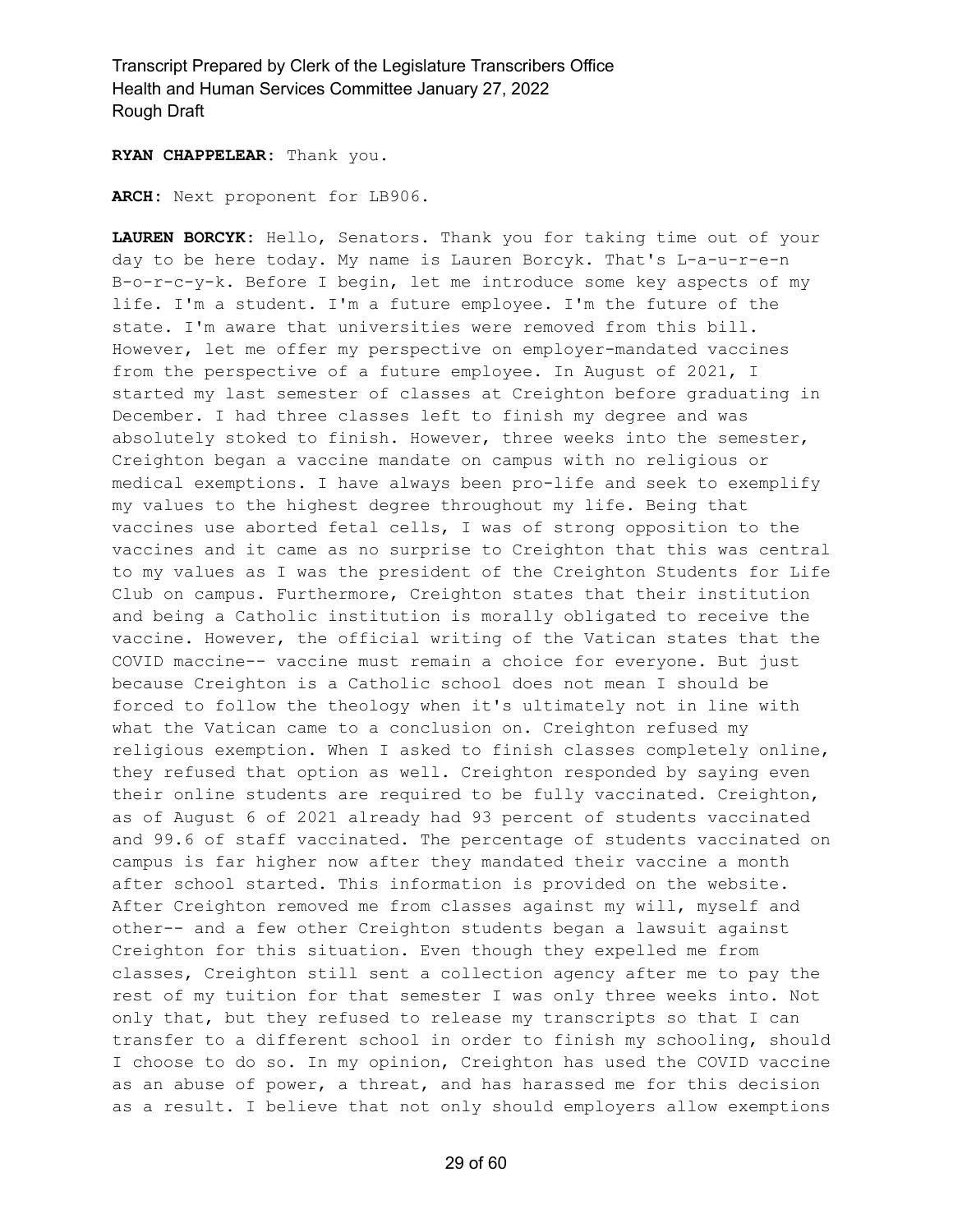**RYAN CHAPPELEAR:** Thank you.

**ARCH:** Next proponent for LB906.

**LAUREN BORCYK:** Hello, Senators. Thank you for taking time out of your day to be here today. My name is Lauren Borcyk. That's L-a-u-r-e-n B-o-r-c-y-k. Before I begin, let me introduce some key aspects of my life. I'm a student. I'm a future employee. I'm the future of the state. I'm aware that universities were removed from this bill. However, let me offer my perspective on employer-mandated vaccines from the perspective of a future employee. In August of 2021, I started my last semester of classes at Creighton before graduating in December. I had three classes left to finish my degree and was absolutely stoked to finish. However, three weeks into the semester, Creighton began a vaccine mandate on campus with no religious or medical exemptions. I have always been pro-life and seek to exemplify my values to the highest degree throughout my life. Being that vaccines use aborted fetal cells, I was of strong opposition to the vaccines and it came as no surprise to Creighton that this was central to my values as I was the president of the Creighton Students for Life Club on campus. Furthermore, Creighton states that their institution and being a Catholic institution is morally obligated to receive the vaccine. However, the official writing of the Vatican states that the COVID maccine-- vaccine must remain a choice for everyone. But just because Creighton is a Catholic school does not mean I should be forced to follow the theology when it's ultimately not in line with what the Vatican came to a conclusion on. Creighton refused my religious exemption. When I asked to finish classes completely online, they refused that option as well. Creighton responded by saying even their online students are required to be fully vaccinated. Creighton, as of August 6 of 2021 already had 93 percent of students vaccinated and 99.6 of staff vaccinated. The percentage of students vaccinated on campus is far higher now after they mandated their vaccine a month after school started. This information is provided on the website. After Creighton removed me from classes against my will, myself and other-- and a few other Creighton students began a lawsuit against Creighton for this situation. Even though they expelled me from classes, Creighton still sent a collection agency after me to pay the rest of my tuition for that semester I was only three weeks into. Not only that, but they refused to release my transcripts so that I can transfer to a different school in order to finish my schooling, should I choose to do so. In my opinion, Creighton has used the COVID vaccine as an abuse of power, a threat, and has harassed me for this decision as a result. I believe that not only should employers allow exemptions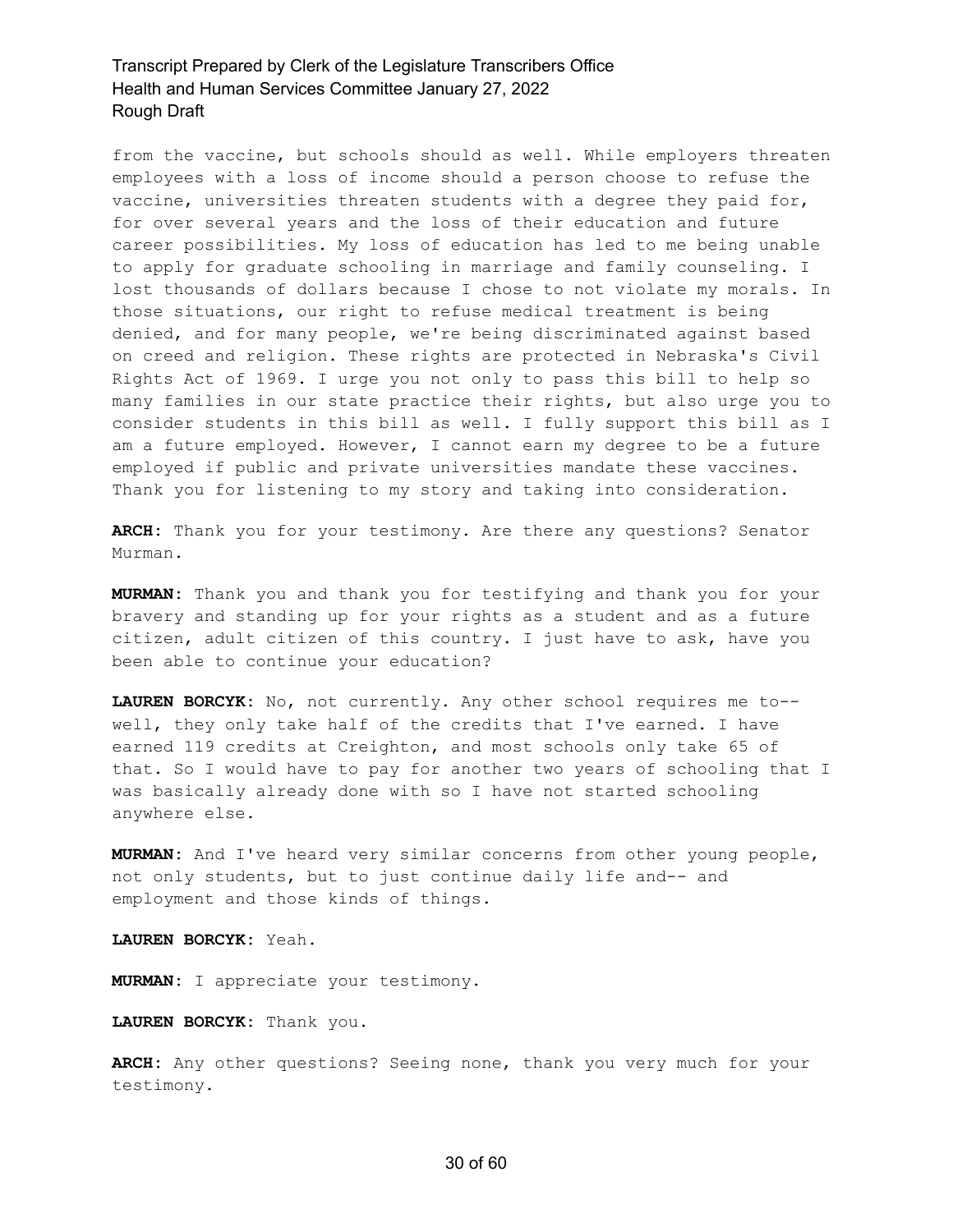from the vaccine, but schools should as well. While employers threaten employees with a loss of income should a person choose to refuse the vaccine, universities threaten students with a degree they paid for, for over several years and the loss of their education and future career possibilities. My loss of education has led to me being unable to apply for graduate schooling in marriage and family counseling. I lost thousands of dollars because I chose to not violate my morals. In those situations, our right to refuse medical treatment is being denied, and for many people, we're being discriminated against based on creed and religion. These rights are protected in Nebraska's Civil Rights Act of 1969. I urge you not only to pass this bill to help so many families in our state practice their rights, but also urge you to consider students in this bill as well. I fully support this bill as I am a future employed. However, I cannot earn my degree to be a future employed if public and private universities mandate these vaccines. Thank you for listening to my story and taking into consideration.

**ARCH:** Thank you for your testimony. Are there any questions? Senator Murman.

**MURMAN:** Thank you and thank you for testifying and thank you for your bravery and standing up for your rights as a student and as a future citizen, adult citizen of this country. I just have to ask, have you been able to continue your education?

**LAUREN BORCYK:** No, not currently. Any other school requires me to- well, they only take half of the credits that I've earned. I have earned 119 credits at Creighton, and most schools only take 65 of that. So I would have to pay for another two years of schooling that I was basically already done with so I have not started schooling anywhere else.

**MURMAN:** And I've heard very similar concerns from other young people, not only students, but to just continue daily life and-- and employment and those kinds of things.

**LAUREN BORCYK:** Yeah.

**MURMAN:** I appreciate your testimony.

**LAUREN BORCYK:** Thank you.

**ARCH:** Any other questions? Seeing none, thank you very much for your testimony.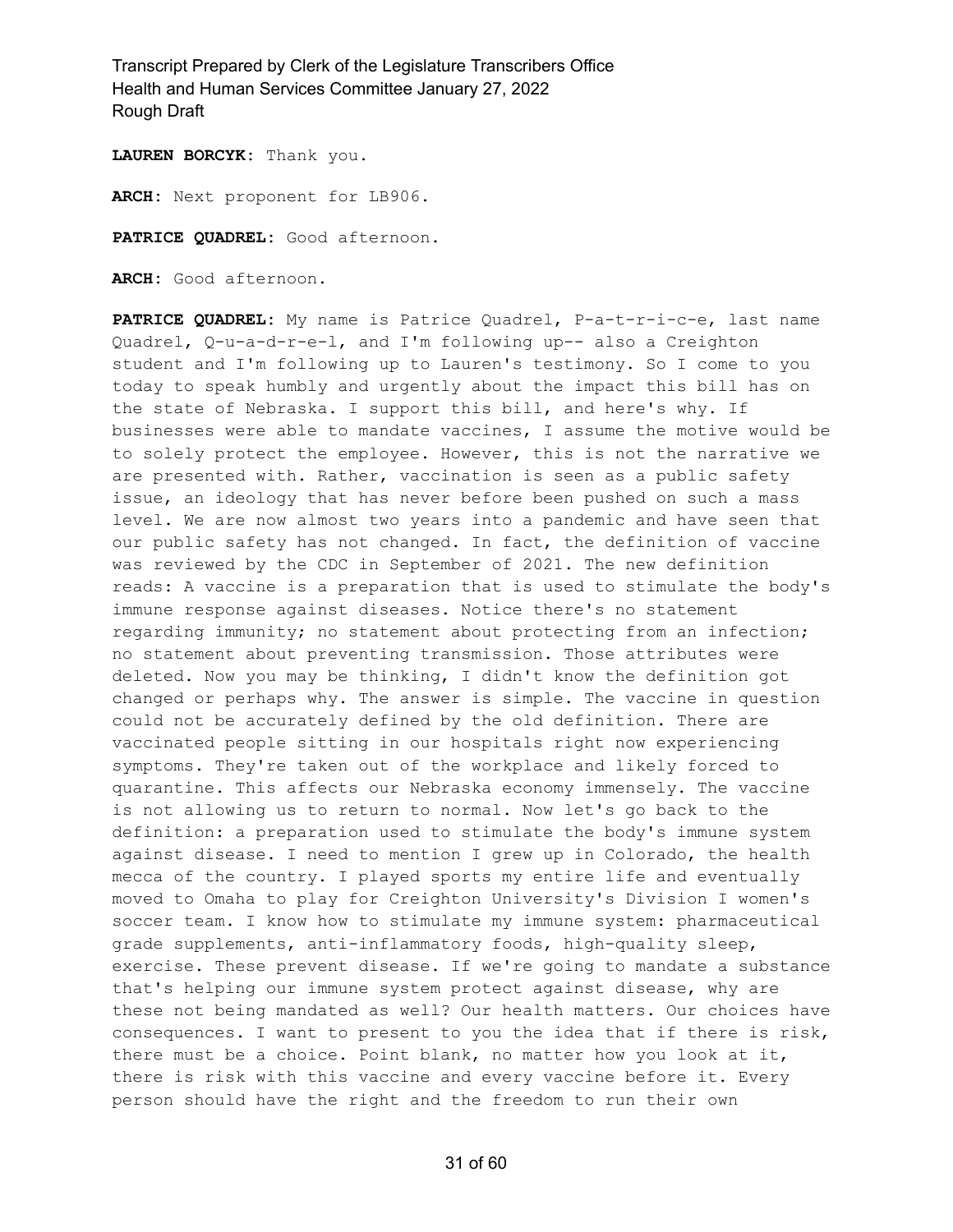**LAUREN BORCYK:** Thank you.

**ARCH:** Next proponent for LB906.

**PATRICE QUADREL:** Good afternoon.

**ARCH:** Good afternoon.

**PATRICE QUADREL:** My name is Patrice Quadrel, P-a-t-r-i-c-e, last name Quadrel, Q-u-a-d-r-e-l, and I'm following up-- also a Creighton student and I'm following up to Lauren's testimony. So I come to you today to speak humbly and urgently about the impact this bill has on the state of Nebraska. I support this bill, and here's why. If businesses were able to mandate vaccines, I assume the motive would be to solely protect the employee. However, this is not the narrative we are presented with. Rather, vaccination is seen as a public safety issue, an ideology that has never before been pushed on such a mass level. We are now almost two years into a pandemic and have seen that our public safety has not changed. In fact, the definition of vaccine was reviewed by the CDC in September of 2021. The new definition reads: A vaccine is a preparation that is used to stimulate the body's immune response against diseases. Notice there's no statement regarding immunity; no statement about protecting from an infection; no statement about preventing transmission. Those attributes were deleted. Now you may be thinking, I didn't know the definition got changed or perhaps why. The answer is simple. The vaccine in question could not be accurately defined by the old definition. There are vaccinated people sitting in our hospitals right now experiencing symptoms. They're taken out of the workplace and likely forced to quarantine. This affects our Nebraska economy immensely. The vaccine is not allowing us to return to normal. Now let's go back to the definition: a preparation used to stimulate the body's immune system against disease. I need to mention I grew up in Colorado, the health mecca of the country. I played sports my entire life and eventually moved to Omaha to play for Creighton University's Division I women's soccer team. I know how to stimulate my immune system: pharmaceutical grade supplements, anti-inflammatory foods, high-quality sleep, exercise. These prevent disease. If we're going to mandate a substance that's helping our immune system protect against disease, why are these not being mandated as well? Our health matters. Our choices have consequences. I want to present to you the idea that if there is risk, there must be a choice. Point blank, no matter how you look at it, there is risk with this vaccine and every vaccine before it. Every person should have the right and the freedom to run their own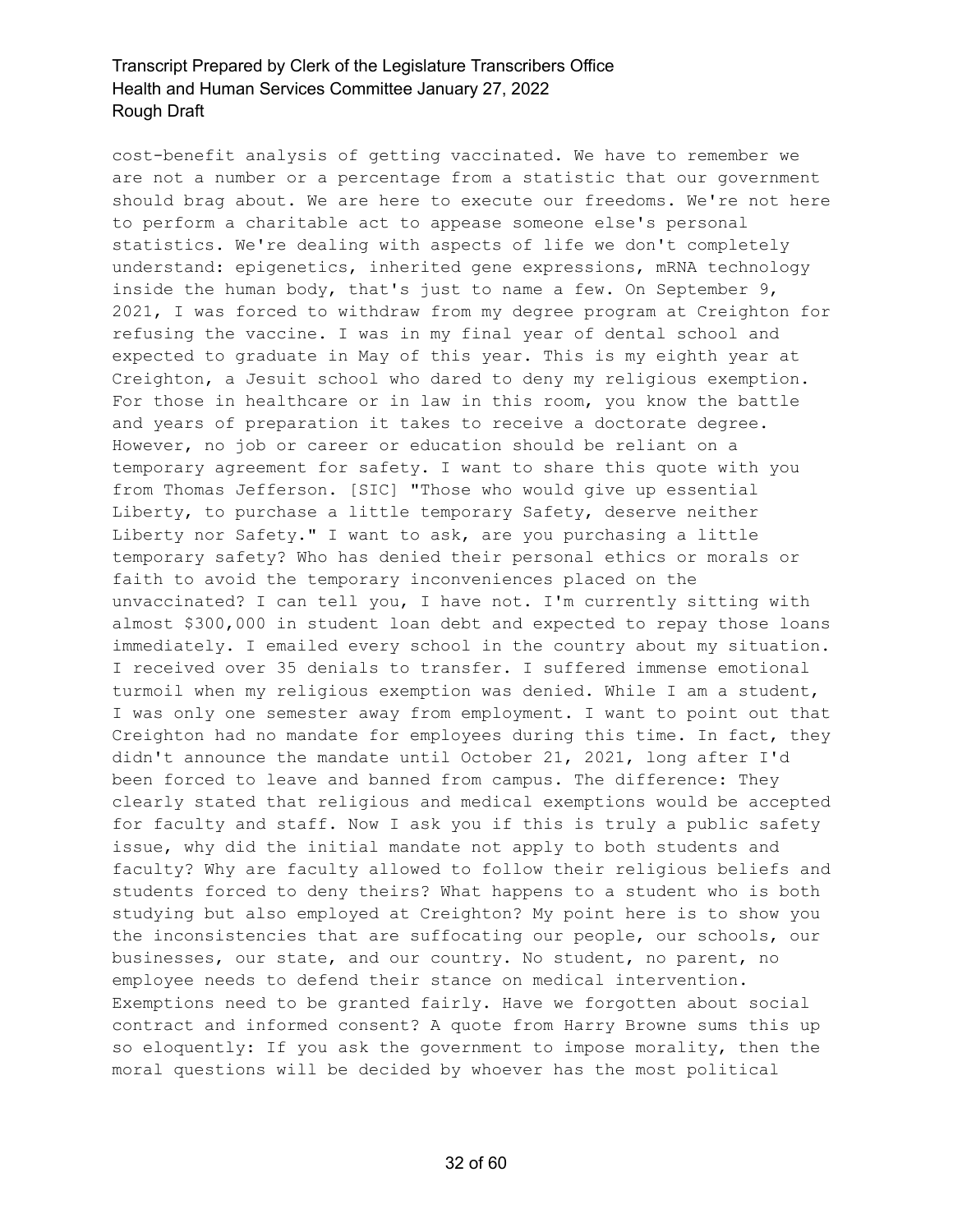cost-benefit analysis of getting vaccinated. We have to remember we are not a number or a percentage from a statistic that our government should brag about. We are here to execute our freedoms. We're not here to perform a charitable act to appease someone else's personal statistics. We're dealing with aspects of life we don't completely understand: epigenetics, inherited gene expressions, mRNA technology inside the human body, that's just to name a few. On September 9, 2021, I was forced to withdraw from my degree program at Creighton for refusing the vaccine. I was in my final year of dental school and expected to graduate in May of this year. This is my eighth year at Creighton, a Jesuit school who dared to deny my religious exemption. For those in healthcare or in law in this room, you know the battle and years of preparation it takes to receive a doctorate degree. However, no job or career or education should be reliant on a temporary agreement for safety. I want to share this quote with you from Thomas Jefferson. [SIC] "Those who would give up essential Liberty, to purchase a little temporary Safety, deserve neither Liberty nor Safety." I want to ask, are you purchasing a little temporary safety? Who has denied their personal ethics or morals or faith to avoid the temporary inconveniences placed on the unvaccinated? I can tell you, I have not. I'm currently sitting with almost \$300,000 in student loan debt and expected to repay those loans immediately. I emailed every school in the country about my situation. I received over 35 denials to transfer. I suffered immense emotional turmoil when my religious exemption was denied. While I am a student, I was only one semester away from employment. I want to point out that Creighton had no mandate for employees during this time. In fact, they didn't announce the mandate until October 21, 2021, long after I'd been forced to leave and banned from campus. The difference: They clearly stated that religious and medical exemptions would be accepted for faculty and staff. Now I ask you if this is truly a public safety issue, why did the initial mandate not apply to both students and faculty? Why are faculty allowed to follow their religious beliefs and students forced to deny theirs? What happens to a student who is both studying but also employed at Creighton? My point here is to show you the inconsistencies that are suffocating our people, our schools, our businesses, our state, and our country. No student, no parent, no employee needs to defend their stance on medical intervention. Exemptions need to be granted fairly. Have we forgotten about social contract and informed consent? A quote from Harry Browne sums this up so eloquently: If you ask the government to impose morality, then the moral questions will be decided by whoever has the most political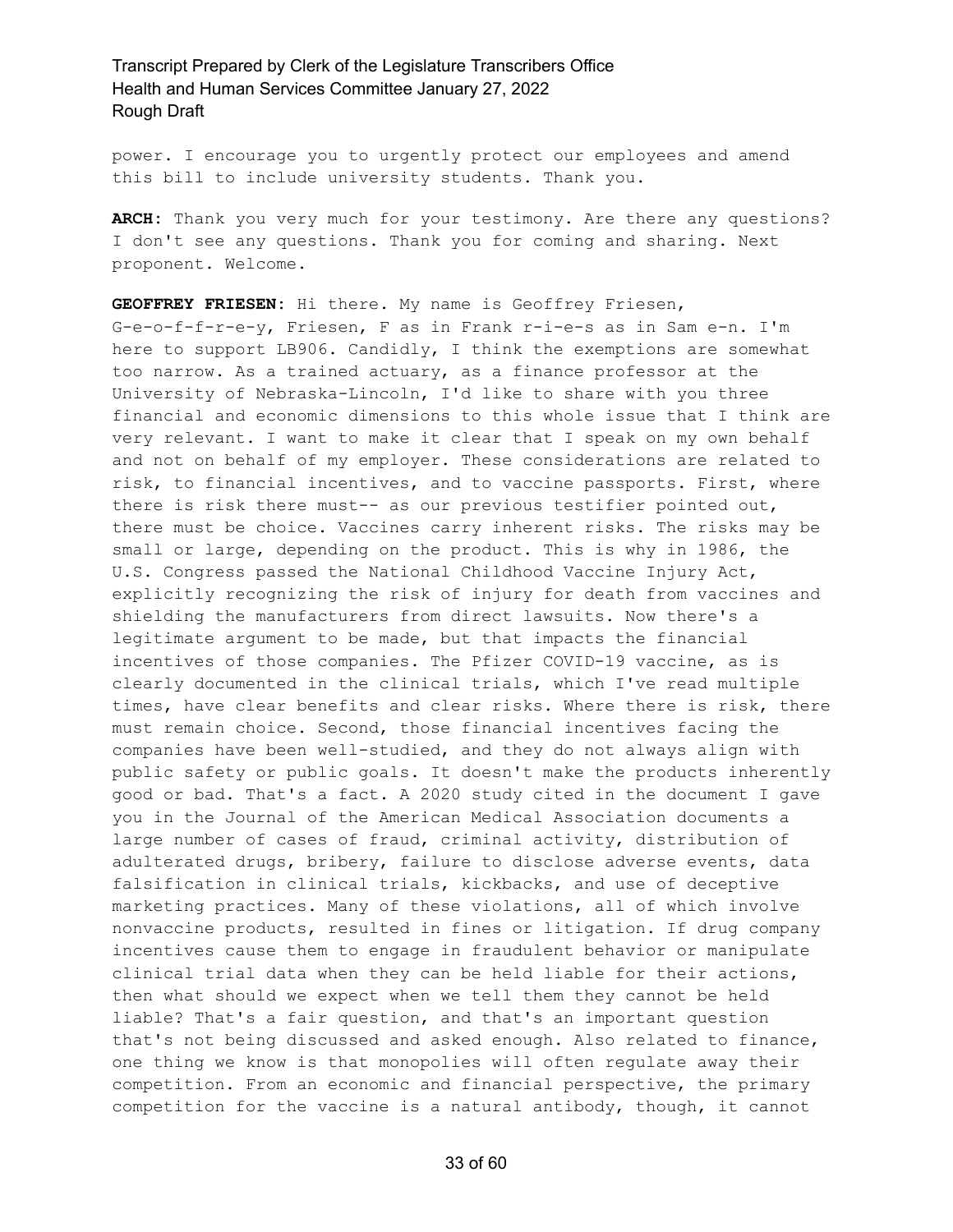power. I encourage you to urgently protect our employees and amend this bill to include university students. Thank you.

**ARCH:** Thank you very much for your testimony. Are there any questions? I don't see any questions. Thank you for coming and sharing. Next proponent. Welcome.

**GEOFFREY FRIESEN:** Hi there. My name is Geoffrey Friesen, G-e-o-f-f-r-e-y, Friesen, F as in Frank r-i-e-s as in Sam e-n. I'm here to support LB906. Candidly, I think the exemptions are somewhat too narrow. As a trained actuary, as a finance professor at the University of Nebraska-Lincoln, I'd like to share with you three financial and economic dimensions to this whole issue that I think are very relevant. I want to make it clear that I speak on my own behalf and not on behalf of my employer. These considerations are related to risk, to financial incentives, and to vaccine passports. First, where there is risk there must-- as our previous testifier pointed out, there must be choice. Vaccines carry inherent risks. The risks may be small or large, depending on the product. This is why in 1986, the U.S. Congress passed the National Childhood Vaccine Injury Act, explicitly recognizing the risk of injury for death from vaccines and shielding the manufacturers from direct lawsuits. Now there's a legitimate argument to be made, but that impacts the financial incentives of those companies. The Pfizer COVID-19 vaccine, as is clearly documented in the clinical trials, which I've read multiple times, have clear benefits and clear risks. Where there is risk, there must remain choice. Second, those financial incentives facing the companies have been well-studied, and they do not always align with public safety or public goals. It doesn't make the products inherently good or bad. That's a fact. A 2020 study cited in the document I gave you in the Journal of the American Medical Association documents a large number of cases of fraud, criminal activity, distribution of adulterated drugs, bribery, failure to disclose adverse events, data falsification in clinical trials, kickbacks, and use of deceptive marketing practices. Many of these violations, all of which involve nonvaccine products, resulted in fines or litigation. If drug company incentives cause them to engage in fraudulent behavior or manipulate clinical trial data when they can be held liable for their actions, then what should we expect when we tell them they cannot be held liable? That's a fair question, and that's an important question that's not being discussed and asked enough. Also related to finance, one thing we know is that monopolies will often regulate away their competition. From an economic and financial perspective, the primary competition for the vaccine is a natural antibody, though, it cannot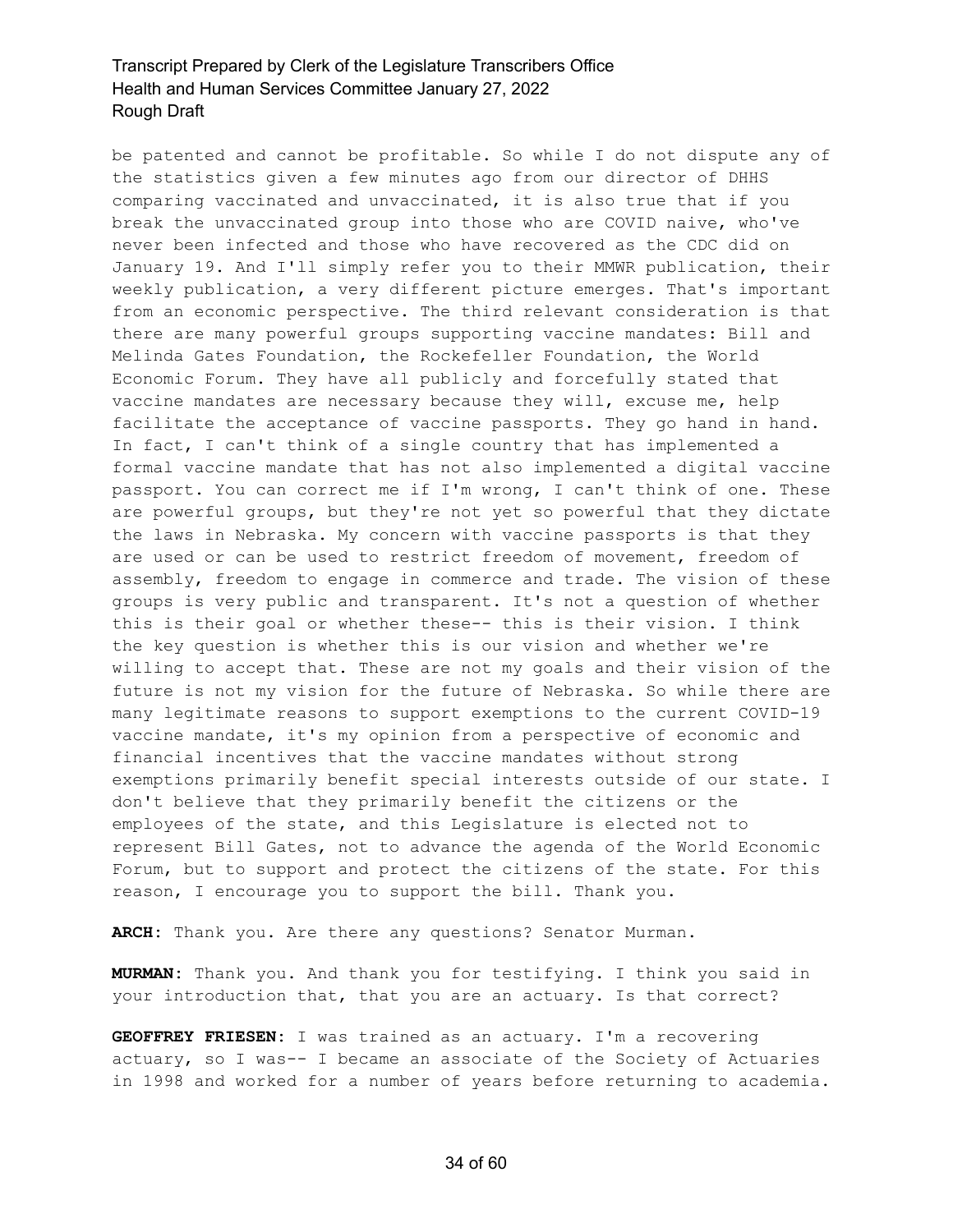be patented and cannot be profitable. So while I do not dispute any of the statistics given a few minutes ago from our director of DHHS comparing vaccinated and unvaccinated, it is also true that if you break the unvaccinated group into those who are COVID naive, who've never been infected and those who have recovered as the CDC did on January 19. And I'll simply refer you to their MMWR publication, their weekly publication, a very different picture emerges. That's important from an economic perspective. The third relevant consideration is that there are many powerful groups supporting vaccine mandates: Bill and Melinda Gates Foundation, the Rockefeller Foundation, the World Economic Forum. They have all publicly and forcefully stated that vaccine mandates are necessary because they will, excuse me, help facilitate the acceptance of vaccine passports. They go hand in hand. In fact, I can't think of a single country that has implemented a formal vaccine mandate that has not also implemented a digital vaccine passport. You can correct me if I'm wrong, I can't think of one. These are powerful groups, but they're not yet so powerful that they dictate the laws in Nebraska. My concern with vaccine passports is that they are used or can be used to restrict freedom of movement, freedom of assembly, freedom to engage in commerce and trade. The vision of these groups is very public and transparent. It's not a question of whether this is their goal or whether these-- this is their vision. I think the key question is whether this is our vision and whether we're willing to accept that. These are not my goals and their vision of the future is not my vision for the future of Nebraska. So while there are many legitimate reasons to support exemptions to the current COVID-19 vaccine mandate, it's my opinion from a perspective of economic and financial incentives that the vaccine mandates without strong exemptions primarily benefit special interests outside of our state. I don't believe that they primarily benefit the citizens or the employees of the state, and this Legislature is elected not to represent Bill Gates, not to advance the agenda of the World Economic Forum, but to support and protect the citizens of the state. For this reason, I encourage you to support the bill. Thank you.

**ARCH:** Thank you. Are there any questions? Senator Murman.

**MURMAN:** Thank you. And thank you for testifying. I think you said in your introduction that, that you are an actuary. Is that correct?

**GEOFFREY FRIESEN:** I was trained as an actuary. I'm a recovering actuary, so I was-- I became an associate of the Society of Actuaries in 1998 and worked for a number of years before returning to academia.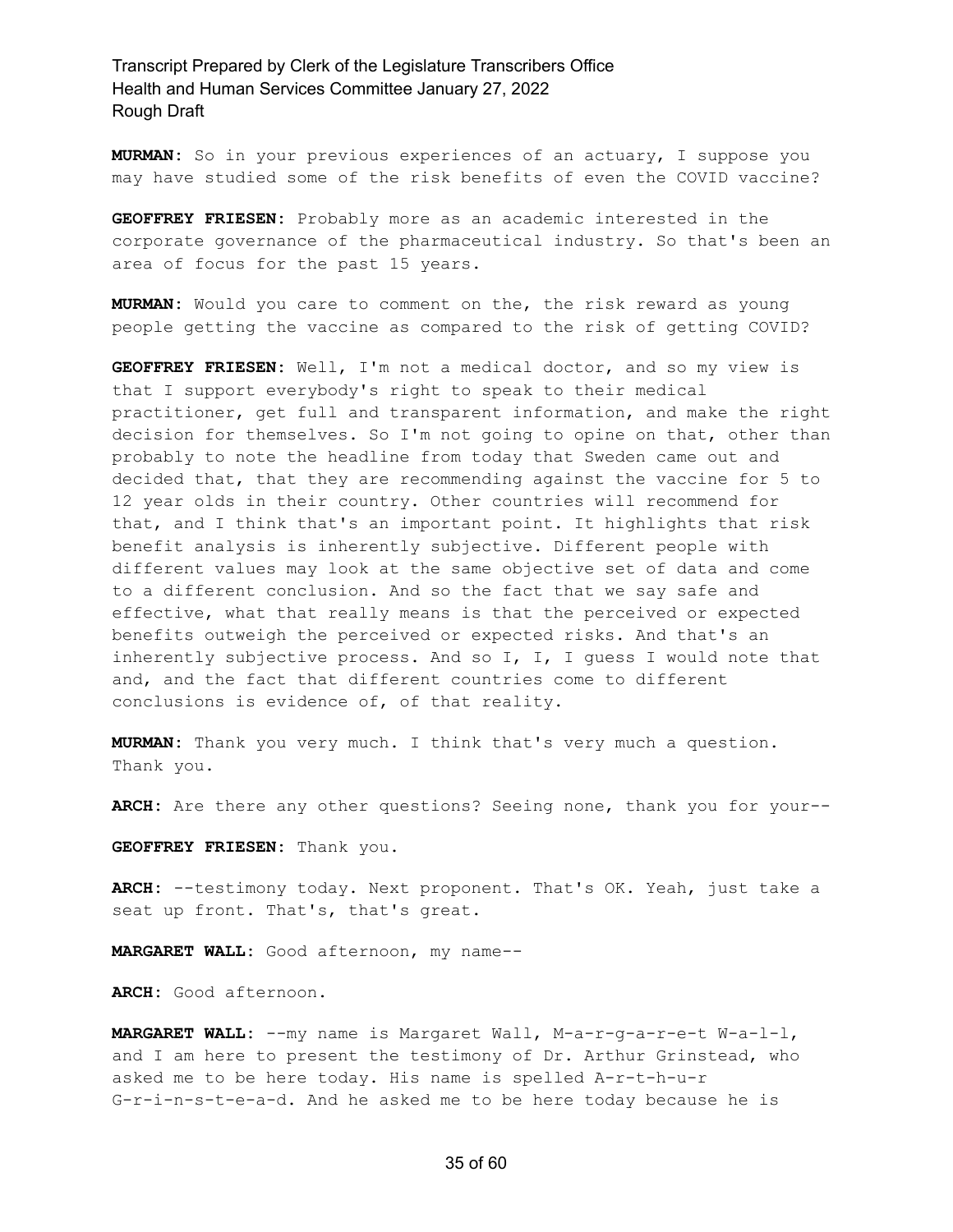**MURMAN:** So in your previous experiences of an actuary, I suppose you may have studied some of the risk benefits of even the COVID vaccine?

**GEOFFREY FRIESEN:** Probably more as an academic interested in the corporate governance of the pharmaceutical industry. So that's been an area of focus for the past 15 years.

**MURMAN:** Would you care to comment on the, the risk reward as young people getting the vaccine as compared to the risk of getting COVID?

**GEOFFREY FRIESEN:** Well, I'm not a medical doctor, and so my view is that I support everybody's right to speak to their medical practitioner, get full and transparent information, and make the right decision for themselves. So I'm not going to opine on that, other than probably to note the headline from today that Sweden came out and decided that, that they are recommending against the vaccine for 5 to 12 year olds in their country. Other countries will recommend for that, and I think that's an important point. It highlights that risk benefit analysis is inherently subjective. Different people with different values may look at the same objective set of data and come to a different conclusion. And so the fact that we say safe and effective, what that really means is that the perceived or expected benefits outweigh the perceived or expected risks. And that's an inherently subjective process. And so I, I, I guess I would note that and, and the fact that different countries come to different conclusions is evidence of, of that reality.

**MURMAN:** Thank you very much. I think that's very much a question. Thank you.

**ARCH:** Are there any other questions? Seeing none, thank you for your--

**GEOFFREY FRIESEN:** Thank you.

**ARCH:** --testimony today. Next proponent. That's OK. Yeah, just take a seat up front. That's, that's great.

**MARGARET WALL:** Good afternoon, my name--

**ARCH:** Good afternoon.

**MARGARET WALL:** --my name is Margaret Wall, M-a-r-g-a-r-e-t W-a-l-l, and I am here to present the testimony of Dr. Arthur Grinstead, who asked me to be here today. His name is spelled A-r-t-h-u-r G-r-i-n-s-t-e-a-d. And he asked me to be here today because he is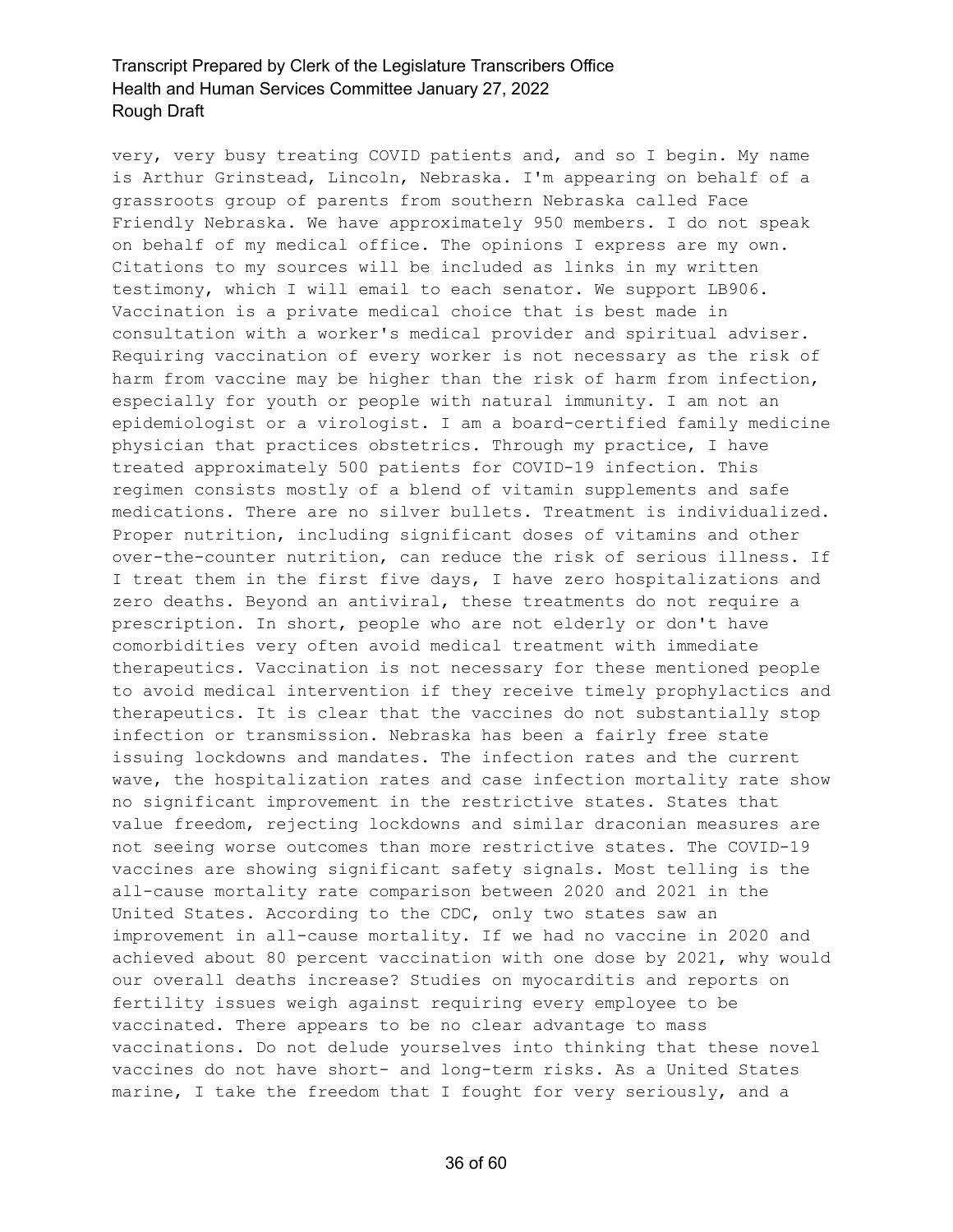very, very busy treating COVID patients and, and so I begin. My name is Arthur Grinstead, Lincoln, Nebraska. I'm appearing on behalf of a grassroots group of parents from southern Nebraska called Face Friendly Nebraska. We have approximately 950 members. I do not speak on behalf of my medical office. The opinions I express are my own. Citations to my sources will be included as links in my written testimony, which I will email to each senator. We support LB906. Vaccination is a private medical choice that is best made in consultation with a worker's medical provider and spiritual adviser. Requiring vaccination of every worker is not necessary as the risk of harm from vaccine may be higher than the risk of harm from infection, especially for youth or people with natural immunity. I am not an epidemiologist or a virologist. I am a board-certified family medicine physician that practices obstetrics. Through my practice, I have treated approximately 500 patients for COVID-19 infection. This regimen consists mostly of a blend of vitamin supplements and safe medications. There are no silver bullets. Treatment is individualized. Proper nutrition, including significant doses of vitamins and other over-the-counter nutrition, can reduce the risk of serious illness. If I treat them in the first five days, I have zero hospitalizations and zero deaths. Beyond an antiviral, these treatments do not require a prescription. In short, people who are not elderly or don't have comorbidities very often avoid medical treatment with immediate therapeutics. Vaccination is not necessary for these mentioned people to avoid medical intervention if they receive timely prophylactics and therapeutics. It is clear that the vaccines do not substantially stop infection or transmission. Nebraska has been a fairly free state issuing lockdowns and mandates. The infection rates and the current wave, the hospitalization rates and case infection mortality rate show no significant improvement in the restrictive states. States that value freedom, rejecting lockdowns and similar draconian measures are not seeing worse outcomes than more restrictive states. The COVID-19 vaccines are showing significant safety signals. Most telling is the all-cause mortality rate comparison between 2020 and 2021 in the United States. According to the CDC, only two states saw an improvement in all-cause mortality. If we had no vaccine in 2020 and achieved about 80 percent vaccination with one dose by 2021, why would our overall deaths increase? Studies on myocarditis and reports on fertility issues weigh against requiring every employee to be vaccinated. There appears to be no clear advantage to mass vaccinations. Do not delude yourselves into thinking that these novel vaccines do not have short- and long-term risks. As a United States marine, I take the freedom that I fought for very seriously, and a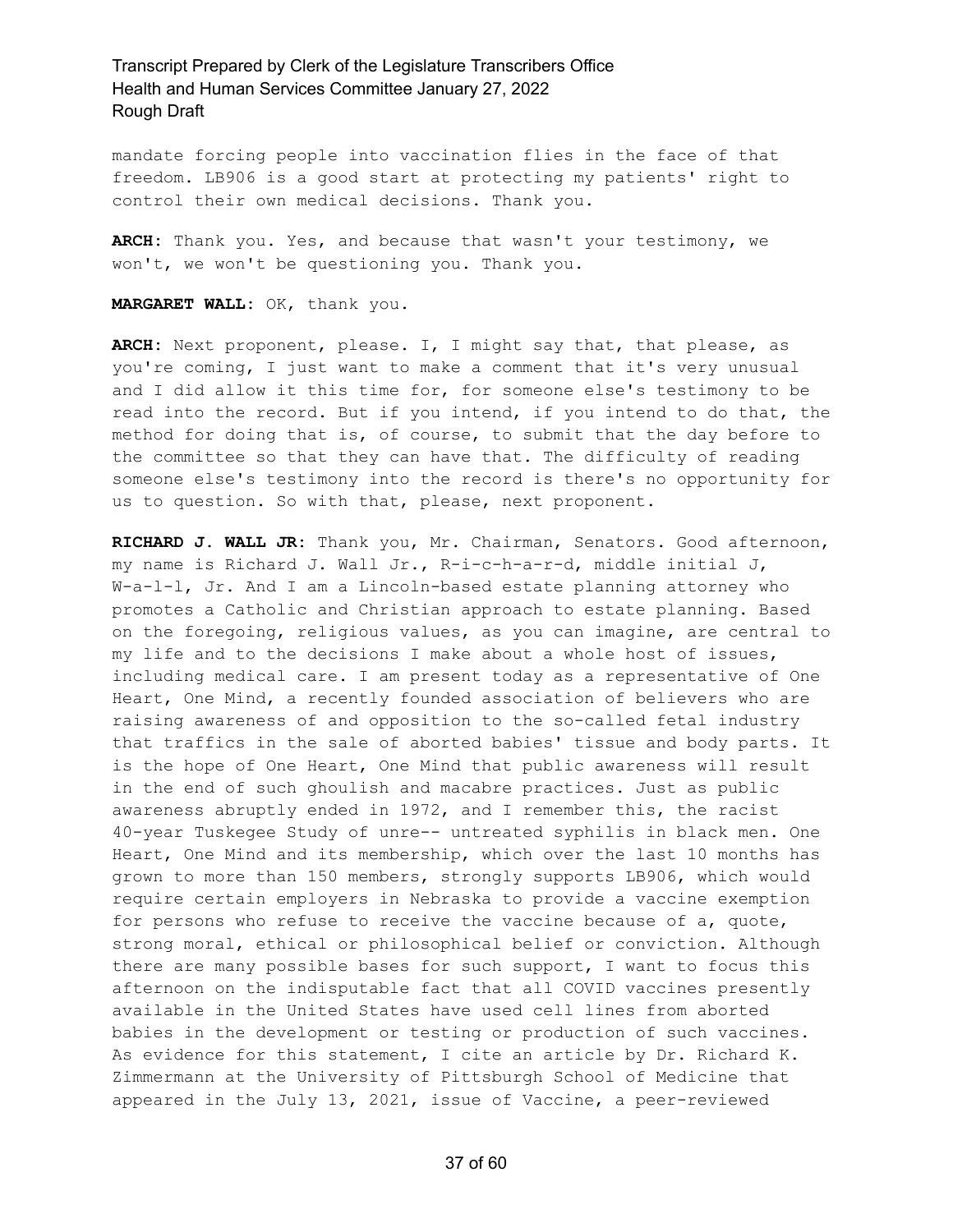mandate forcing people into vaccination flies in the face of that freedom. LB906 is a good start at protecting my patients' right to control their own medical decisions. Thank you.

**ARCH:** Thank you. Yes, and because that wasn't your testimony, we won't, we won't be questioning you. Thank you.

#### **MARGARET WALL:** OK, thank you.

**ARCH:** Next proponent, please. I, I might say that, that please, as you're coming, I just want to make a comment that it's very unusual and I did allow it this time for, for someone else's testimony to be read into the record. But if you intend, if you intend to do that, the method for doing that is, of course, to submit that the day before to the committee so that they can have that. The difficulty of reading someone else's testimony into the record is there's no opportunity for us to question. So with that, please, next proponent.

**RICHARD J. WALL JR:** Thank you, Mr. Chairman, Senators. Good afternoon, my name is Richard J. Wall Jr., R-i-c-h-a-r-d, middle initial J, W-a-l-l, Jr. And I am a Lincoln-based estate planning attorney who promotes a Catholic and Christian approach to estate planning. Based on the foregoing, religious values, as you can imagine, are central to my life and to the decisions I make about a whole host of issues, including medical care. I am present today as a representative of One Heart, One Mind, a recently founded association of believers who are raising awareness of and opposition to the so-called fetal industry that traffics in the sale of aborted babies' tissue and body parts. It is the hope of One Heart, One Mind that public awareness will result in the end of such ghoulish and macabre practices. Just as public awareness abruptly ended in 1972, and I remember this, the racist 40-year Tuskegee Study of unre-- untreated syphilis in black men. One Heart, One Mind and its membership, which over the last 10 months has grown to more than 150 members, strongly supports LB906, which would require certain employers in Nebraska to provide a vaccine exemption for persons who refuse to receive the vaccine because of a, quote, strong moral, ethical or philosophical belief or conviction. Although there are many possible bases for such support, I want to focus this afternoon on the indisputable fact that all COVID vaccines presently available in the United States have used cell lines from aborted babies in the development or testing or production of such vaccines. As evidence for this statement, I cite an article by Dr. Richard K. Zimmermann at the University of Pittsburgh School of Medicine that appeared in the July 13, 2021, issue of Vaccine, a peer-reviewed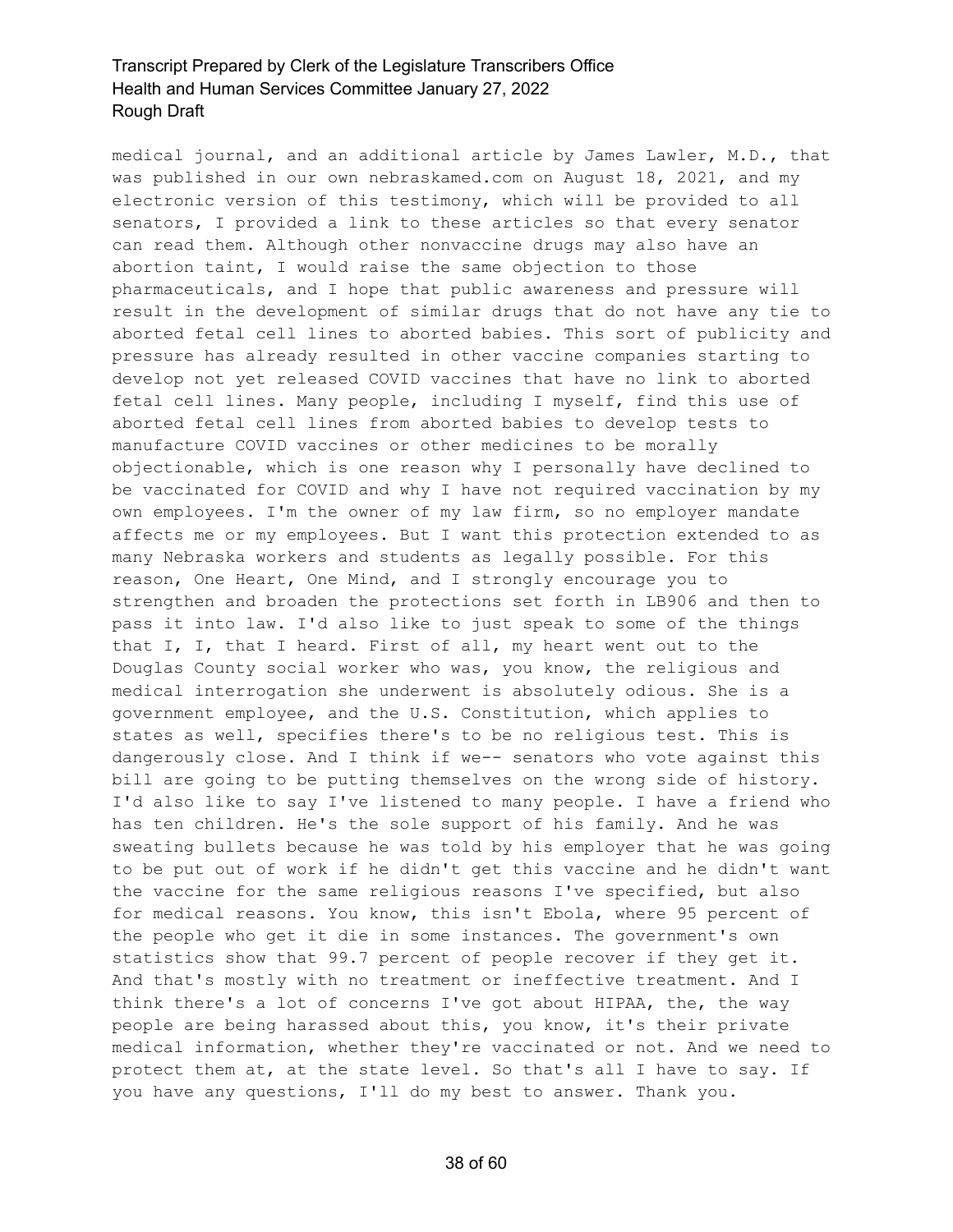medical journal, and an additional article by James Lawler, M.D., that was published in our own nebraskamed.com on August 18, 2021, and my electronic version of this testimony, which will be provided to all senators, I provided a link to these articles so that every senator can read them. Although other nonvaccine drugs may also have an abortion taint, I would raise the same objection to those pharmaceuticals, and I hope that public awareness and pressure will result in the development of similar drugs that do not have any tie to aborted fetal cell lines to aborted babies. This sort of publicity and pressure has already resulted in other vaccine companies starting to develop not yet released COVID vaccines that have no link to aborted fetal cell lines. Many people, including I myself, find this use of aborted fetal cell lines from aborted babies to develop tests to manufacture COVID vaccines or other medicines to be morally objectionable, which is one reason why I personally have declined to be vaccinated for COVID and why I have not required vaccination by my own employees. I'm the owner of my law firm, so no employer mandate affects me or my employees. But I want this protection extended to as many Nebraska workers and students as legally possible. For this reason, One Heart, One Mind, and I strongly encourage you to strengthen and broaden the protections set forth in LB906 and then to pass it into law. I'd also like to just speak to some of the things that I, I, that I heard. First of all, my heart went out to the Douglas County social worker who was, you know, the religious and medical interrogation she underwent is absolutely odious. She is a government employee, and the U.S. Constitution, which applies to states as well, specifies there's to be no religious test. This is dangerously close. And I think if we-- senators who vote against this bill are going to be putting themselves on the wrong side of history. I'd also like to say I've listened to many people. I have a friend who has ten children. He's the sole support of his family. And he was sweating bullets because he was told by his employer that he was going to be put out of work if he didn't get this vaccine and he didn't want the vaccine for the same religious reasons I've specified, but also for medical reasons. You know, this isn't Ebola, where 95 percent of the people who get it die in some instances. The government's own statistics show that 99.7 percent of people recover if they get it. And that's mostly with no treatment or ineffective treatment. And I think there's a lot of concerns I've got about HIPAA, the, the way people are being harassed about this, you know, it's their private medical information, whether they're vaccinated or not. And we need to protect them at, at the state level. So that's all I have to say. If you have any questions, I'll do my best to answer. Thank you.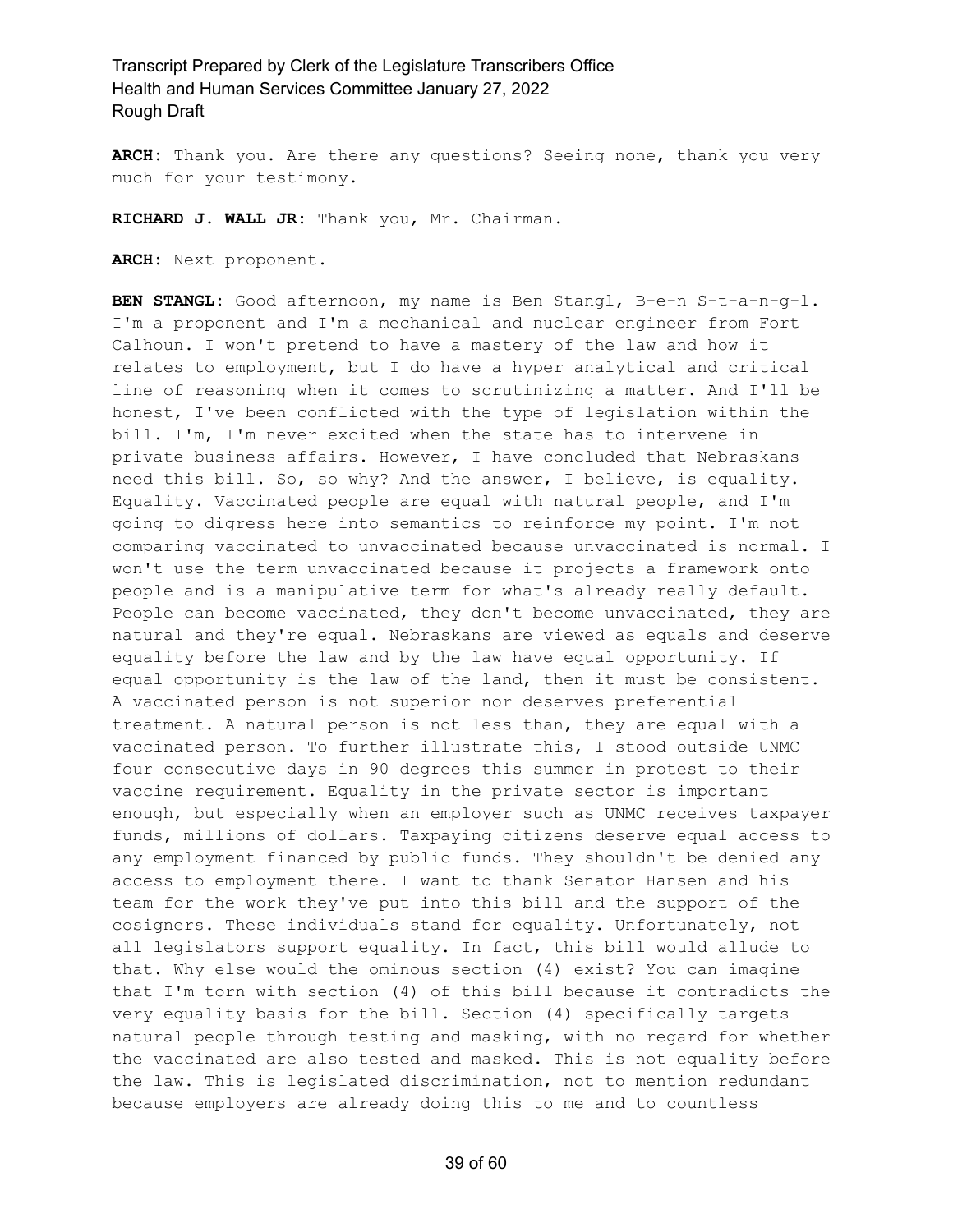**ARCH:** Thank you. Are there any questions? Seeing none, thank you very much for your testimony.

**RICHARD J. WALL JR:** Thank you, Mr. Chairman.

**ARCH:** Next proponent.

**BEN STANGL:** Good afternoon, my name is Ben Stangl, B-e-n S-t-a-n-g-l. I'm a proponent and I'm a mechanical and nuclear engineer from Fort Calhoun. I won't pretend to have a mastery of the law and how it relates to employment, but I do have a hyper analytical and critical line of reasoning when it comes to scrutinizing a matter. And I'll be honest, I've been conflicted with the type of legislation within the bill. I'm, I'm never excited when the state has to intervene in private business affairs. However, I have concluded that Nebraskans need this bill. So, so why? And the answer, I believe, is equality. Equality. Vaccinated people are equal with natural people, and I'm going to digress here into semantics to reinforce my point. I'm not comparing vaccinated to unvaccinated because unvaccinated is normal. I won't use the term unvaccinated because it projects a framework onto people and is a manipulative term for what's already really default. People can become vaccinated, they don't become unvaccinated, they are natural and they're equal. Nebraskans are viewed as equals and deserve equality before the law and by the law have equal opportunity. If equal opportunity is the law of the land, then it must be consistent. A vaccinated person is not superior nor deserves preferential treatment. A natural person is not less than, they are equal with a vaccinated person. To further illustrate this, I stood outside UNMC four consecutive days in 90 degrees this summer in protest to their vaccine requirement. Equality in the private sector is important enough, but especially when an employer such as UNMC receives taxpayer funds, millions of dollars. Taxpaying citizens deserve equal access to any employment financed by public funds. They shouldn't be denied any access to employment there. I want to thank Senator Hansen and his team for the work they've put into this bill and the support of the cosigners. These individuals stand for equality. Unfortunately, not all legislators support equality. In fact, this bill would allude to that. Why else would the ominous section (4) exist? You can imagine that I'm torn with section (4) of this bill because it contradicts the very equality basis for the bill. Section (4) specifically targets natural people through testing and masking, with no regard for whether the vaccinated are also tested and masked. This is not equality before the law. This is legislated discrimination, not to mention redundant because employers are already doing this to me and to countless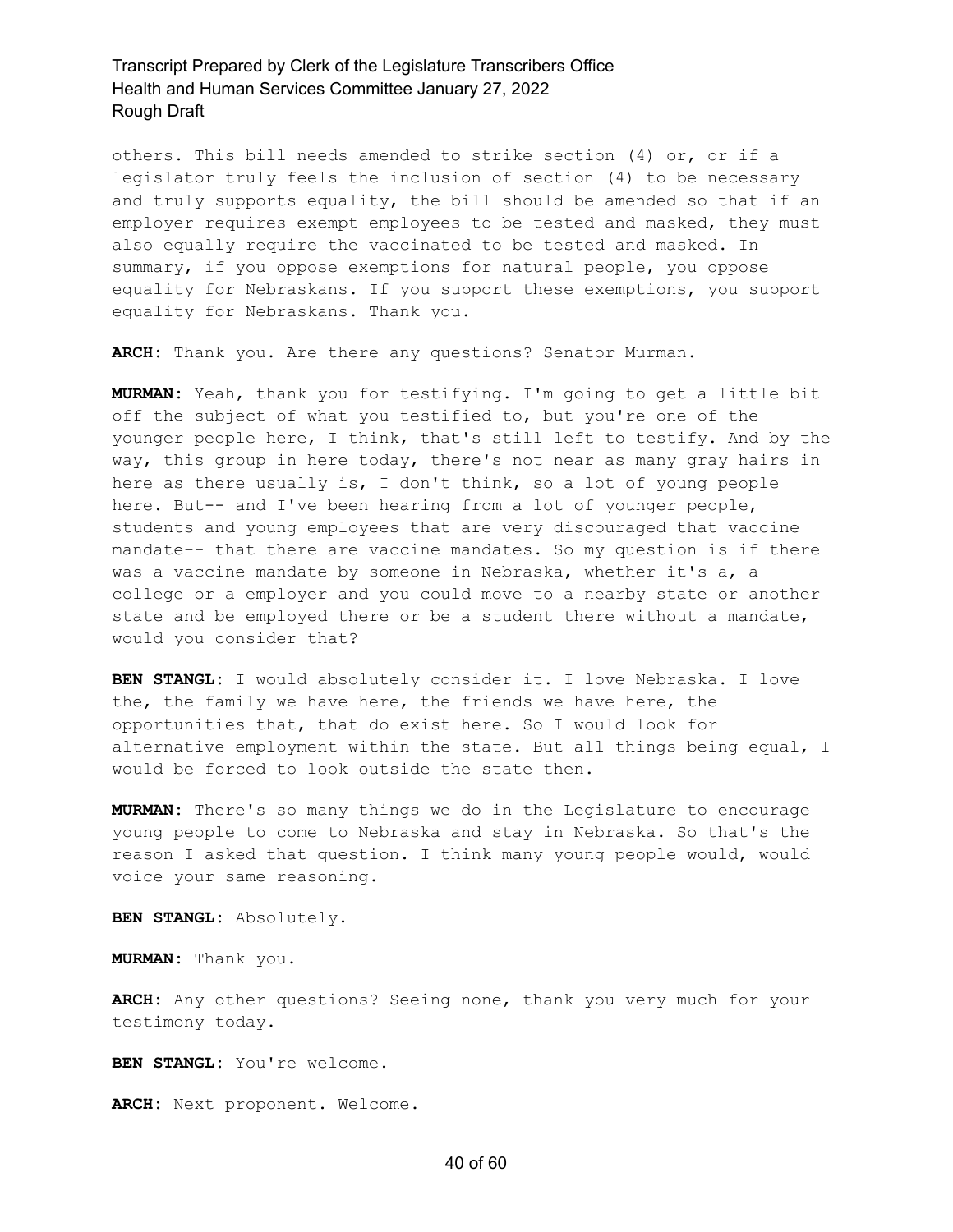others. This bill needs amended to strike section (4) or, or if a legislator truly feels the inclusion of section (4) to be necessary and truly supports equality, the bill should be amended so that if an employer requires exempt employees to be tested and masked, they must also equally require the vaccinated to be tested and masked. In summary, if you oppose exemptions for natural people, you oppose equality for Nebraskans. If you support these exemptions, you support equality for Nebraskans. Thank you.

**ARCH:** Thank you. Are there any questions? Senator Murman.

**MURMAN:** Yeah, thank you for testifying. I'm going to get a little bit off the subject of what you testified to, but you're one of the younger people here, I think, that's still left to testify. And by the way, this group in here today, there's not near as many gray hairs in here as there usually is, I don't think, so a lot of young people here. But-- and I've been hearing from a lot of younger people, students and young employees that are very discouraged that vaccine mandate-- that there are vaccine mandates. So my question is if there was a vaccine mandate by someone in Nebraska, whether it's a, a college or a employer and you could move to a nearby state or another state and be employed there or be a student there without a mandate, would you consider that?

**BEN STANGL:** I would absolutely consider it. I love Nebraska. I love the, the family we have here, the friends we have here, the opportunities that, that do exist here. So I would look for alternative employment within the state. But all things being equal, I would be forced to look outside the state then.

**MURMAN:** There's so many things we do in the Legislature to encourage young people to come to Nebraska and stay in Nebraska. So that's the reason I asked that question. I think many young people would, would voice your same reasoning.

**BEN STANGL:** Absolutely.

**MURMAN:** Thank you.

**ARCH:** Any other questions? Seeing none, thank you very much for your testimony today.

**BEN STANGL:** You're welcome.

**ARCH:** Next proponent. Welcome.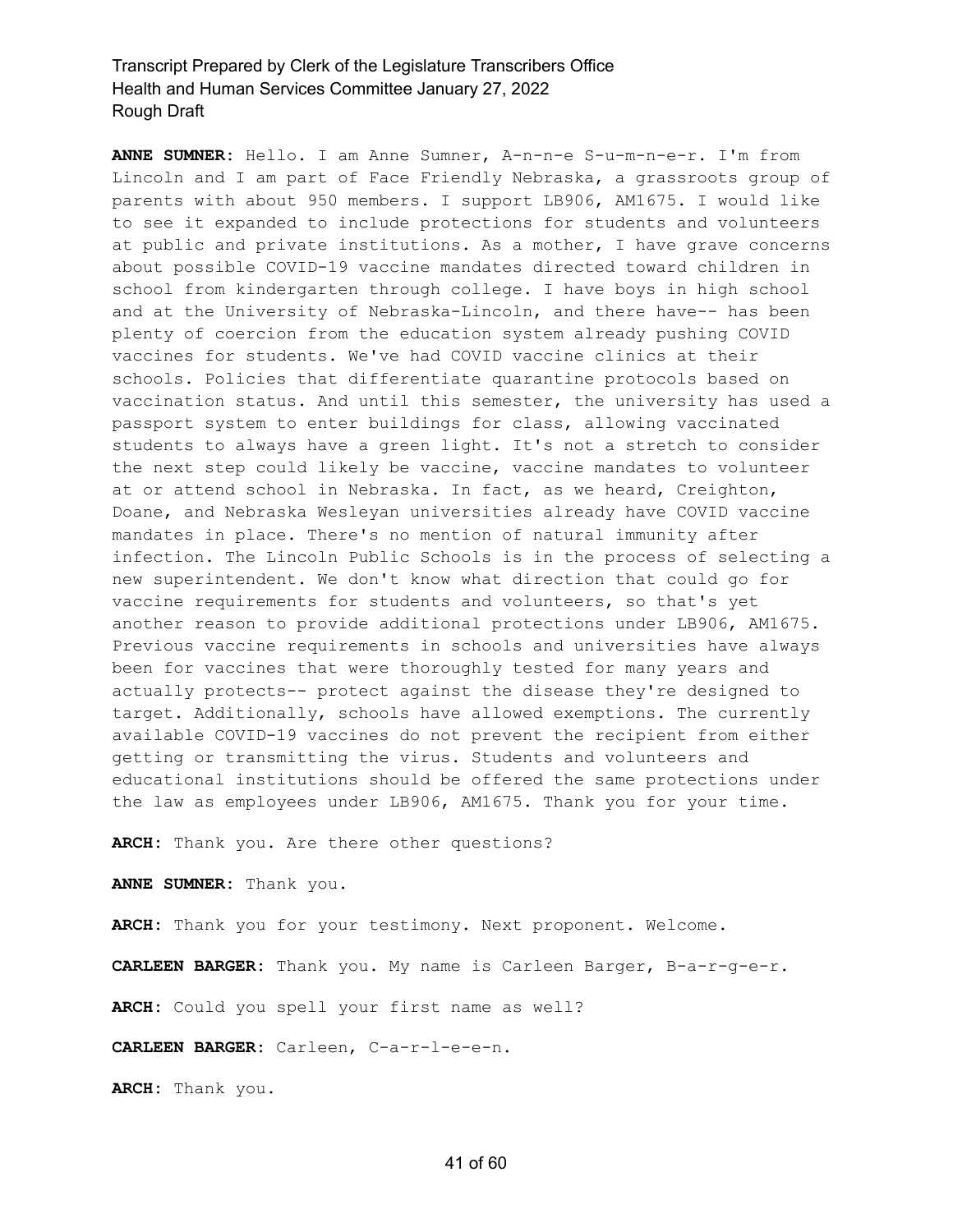**ANNE SUMNER:** Hello. I am Anne Sumner, A-n-n-e S-u-m-n-e-r. I'm from Lincoln and I am part of Face Friendly Nebraska, a grassroots group of parents with about 950 members. I support LB906, AM1675. I would like to see it expanded to include protections for students and volunteers at public and private institutions. As a mother, I have grave concerns about possible COVID-19 vaccine mandates directed toward children in school from kindergarten through college. I have boys in high school and at the University of Nebraska-Lincoln, and there have-- has been plenty of coercion from the education system already pushing COVID vaccines for students. We've had COVID vaccine clinics at their schools. Policies that differentiate quarantine protocols based on vaccination status. And until this semester, the university has used a passport system to enter buildings for class, allowing vaccinated students to always have a green light. It's not a stretch to consider the next step could likely be vaccine, vaccine mandates to volunteer at or attend school in Nebraska. In fact, as we heard, Creighton, Doane, and Nebraska Wesleyan universities already have COVID vaccine mandates in place. There's no mention of natural immunity after infection. The Lincoln Public Schools is in the process of selecting a new superintendent. We don't know what direction that could go for vaccine requirements for students and volunteers, so that's yet another reason to provide additional protections under LB906, AM1675. Previous vaccine requirements in schools and universities have always been for vaccines that were thoroughly tested for many years and actually protects-- protect against the disease they're designed to target. Additionally, schools have allowed exemptions. The currently available COVID-19 vaccines do not prevent the recipient from either getting or transmitting the virus. Students and volunteers and educational institutions should be offered the same protections under the law as employees under LB906, AM1675. Thank you for your time.

**ARCH:** Thank you. Are there other questions?

**ANNE SUMNER:** Thank you.

**ARCH:** Thank you for your testimony. Next proponent. Welcome.

**CARLEEN BARGER:** Thank you. My name is Carleen Barger, B-a-r-g-e-r.

**ARCH:** Could you spell your first name as well?

**CARLEEN BARGER:** Carleen, C-a-r-l-e-e-n.

**ARCH:** Thank you.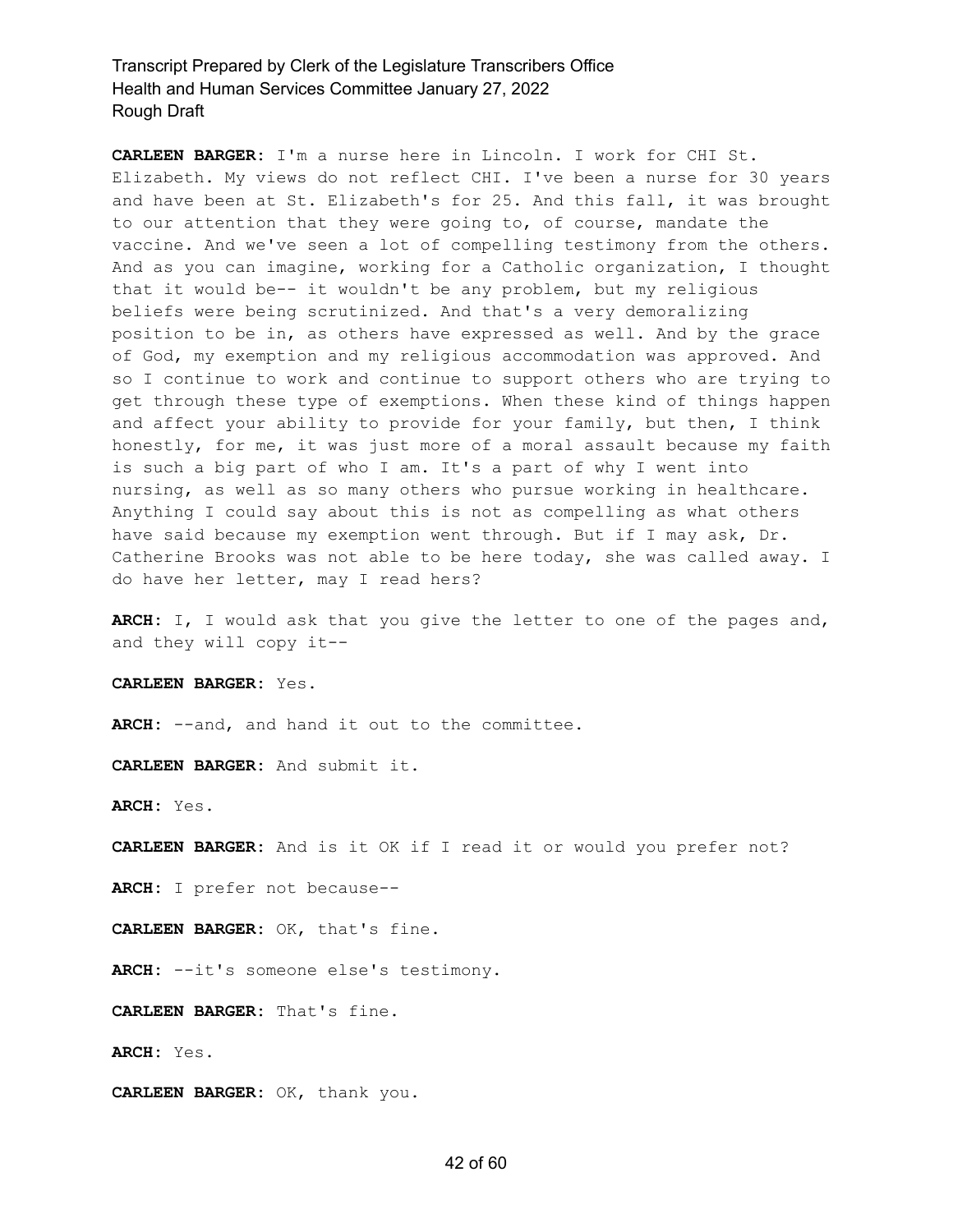**CARLEEN BARGER:** I'm a nurse here in Lincoln. I work for CHI St. Elizabeth. My views do not reflect CHI. I've been a nurse for 30 years and have been at St. Elizabeth's for 25. And this fall, it was brought to our attention that they were going to, of course, mandate the vaccine. And we've seen a lot of compelling testimony from the others. And as you can imagine, working for a Catholic organization, I thought that it would be-- it wouldn't be any problem, but my religious beliefs were being scrutinized. And that's a very demoralizing position to be in, as others have expressed as well. And by the grace of God, my exemption and my religious accommodation was approved. And so I continue to work and continue to support others who are trying to get through these type of exemptions. When these kind of things happen and affect your ability to provide for your family, but then, I think honestly, for me, it was just more of a moral assault because my faith is such a big part of who I am. It's a part of why I went into nursing, as well as so many others who pursue working in healthcare. Anything I could say about this is not as compelling as what others have said because my exemption went through. But if I may ask, Dr. Catherine Brooks was not able to be here today, she was called away. I do have her letter, may I read hers?

**ARCH:** I, I would ask that you give the letter to one of the pages and, and they will copy it--

**CARLEEN BARGER:** Yes.

ARCH: --and, and hand it out to the committee.

**CARLEEN BARGER:** And submit it.

**ARCH:** Yes.

**CARLEEN BARGER:** And is it OK if I read it or would you prefer not?

**ARCH:** I prefer not because--

**CARLEEN BARGER:** OK, that's fine.

**ARCH:** --it's someone else's testimony.

**CARLEEN BARGER:** That's fine.

**ARCH:** Yes.

**CARLEEN BARGER:** OK, thank you.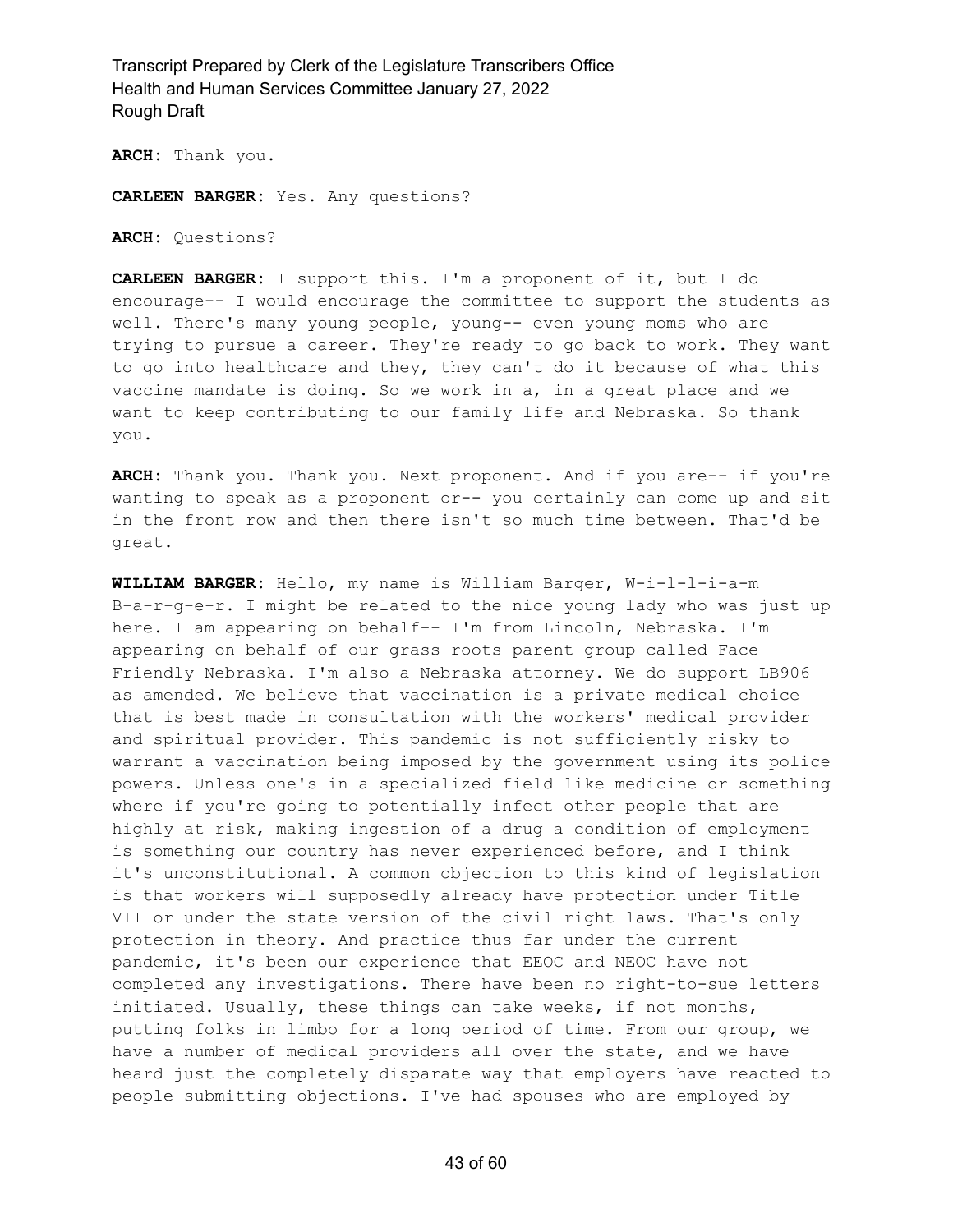**ARCH:** Thank you.

**CARLEEN BARGER:** Yes. Any questions?

**ARCH:** Questions?

**CARLEEN BARGER:** I support this. I'm a proponent of it, but I do encourage-- I would encourage the committee to support the students as well. There's many young people, young-- even young moms who are trying to pursue a career. They're ready to go back to work. They want to go into healthcare and they, they can't do it because of what this vaccine mandate is doing. So we work in a, in a great place and we want to keep contributing to our family life and Nebraska. So thank you.

**ARCH:** Thank you. Thank you. Next proponent. And if you are-- if you're wanting to speak as a proponent or-- you certainly can come up and sit in the front row and then there isn't so much time between. That'd be great.

**WILLIAM BARGER:** Hello, my name is William Barger, W-i-l-l-i-a-m B-a-r-g-e-r. I might be related to the nice young lady who was just up here. I am appearing on behalf-- I'm from Lincoln, Nebraska. I'm appearing on behalf of our grass roots parent group called Face Friendly Nebraska. I'm also a Nebraska attorney. We do support LB906 as amended. We believe that vaccination is a private medical choice that is best made in consultation with the workers' medical provider and spiritual provider. This pandemic is not sufficiently risky to warrant a vaccination being imposed by the government using its police powers. Unless one's in a specialized field like medicine or something where if you're going to potentially infect other people that are highly at risk, making ingestion of a drug a condition of employment is something our country has never experienced before, and I think it's unconstitutional. A common objection to this kind of legislation is that workers will supposedly already have protection under Title VII or under the state version of the civil right laws. That's only protection in theory. And practice thus far under the current pandemic, it's been our experience that EEOC and NEOC have not completed any investigations. There have been no right-to-sue letters initiated. Usually, these things can take weeks, if not months, putting folks in limbo for a long period of time. From our group, we have a number of medical providers all over the state, and we have heard just the completely disparate way that employers have reacted to people submitting objections. I've had spouses who are employed by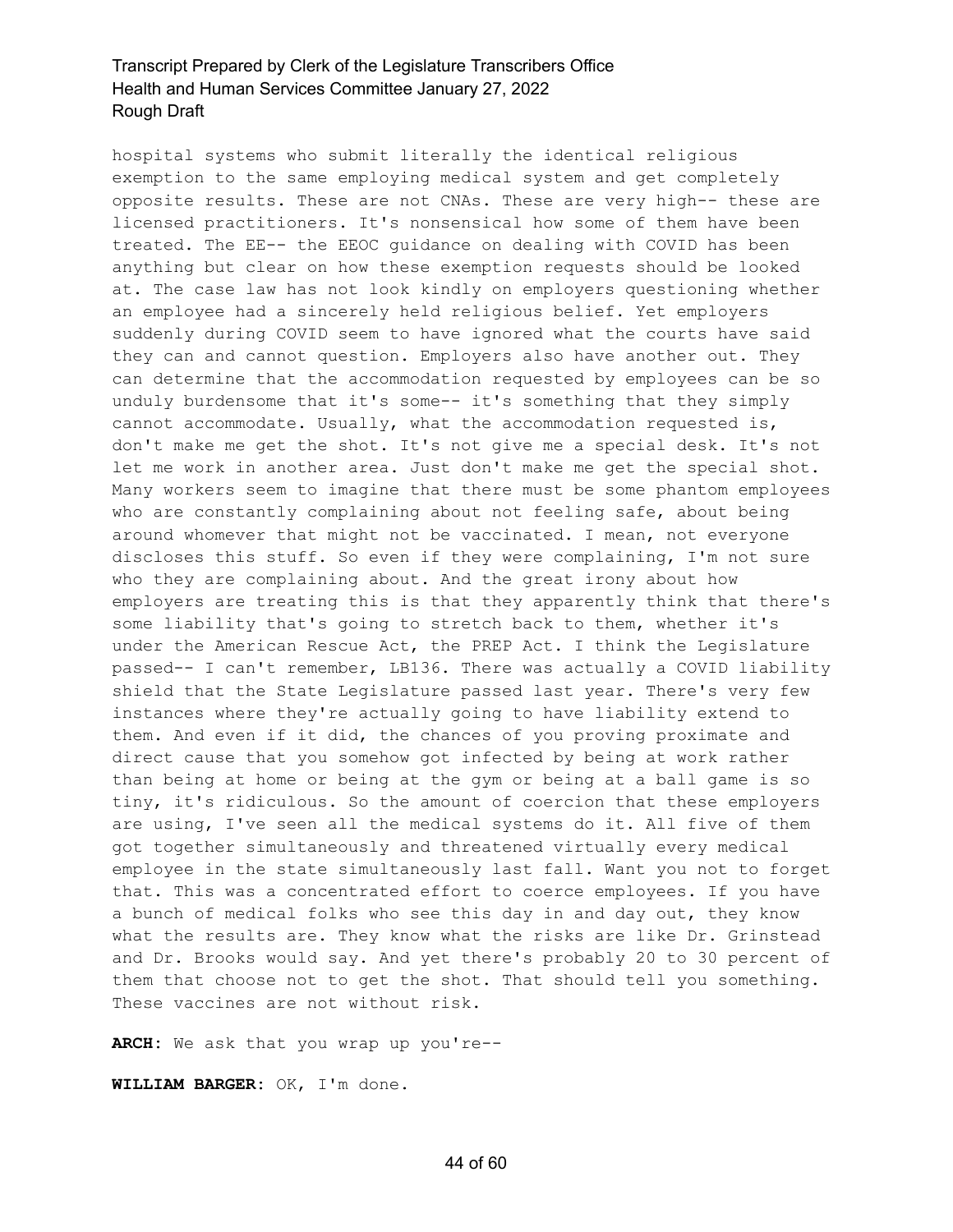hospital systems who submit literally the identical religious exemption to the same employing medical system and get completely opposite results. These are not CNAs. These are very high-- these are licensed practitioners. It's nonsensical how some of them have been treated. The EE-- the EEOC guidance on dealing with COVID has been anything but clear on how these exemption requests should be looked at. The case law has not look kindly on employers questioning whether an employee had a sincerely held religious belief. Yet employers suddenly during COVID seem to have ignored what the courts have said they can and cannot question. Employers also have another out. They can determine that the accommodation requested by employees can be so unduly burdensome that it's some-- it's something that they simply cannot accommodate. Usually, what the accommodation requested is, don't make me get the shot. It's not give me a special desk. It's not let me work in another area. Just don't make me get the special shot. Many workers seem to imagine that there must be some phantom employees who are constantly complaining about not feeling safe, about being around whomever that might not be vaccinated. I mean, not everyone discloses this stuff. So even if they were complaining, I'm not sure who they are complaining about. And the great irony about how employers are treating this is that they apparently think that there's some liability that's going to stretch back to them, whether it's under the American Rescue Act, the PREP Act. I think the Legislature passed-- I can't remember, LB136. There was actually a COVID liability shield that the State Legislature passed last year. There's very few instances where they're actually going to have liability extend to them. And even if it did, the chances of you proving proximate and direct cause that you somehow got infected by being at work rather than being at home or being at the gym or being at a ball game is so tiny, it's ridiculous. So the amount of coercion that these employers are using, I've seen all the medical systems do it. All five of them got together simultaneously and threatened virtually every medical employee in the state simultaneously last fall. Want you not to forget that. This was a concentrated effort to coerce employees. If you have a bunch of medical folks who see this day in and day out, they know what the results are. They know what the risks are like Dr. Grinstead and Dr. Brooks would say. And yet there's probably 20 to 30 percent of them that choose not to get the shot. That should tell you something. These vaccines are not without risk.

**ARCH:** We ask that you wrap up you're--

**WILLIAM BARGER:** OK, I'm done.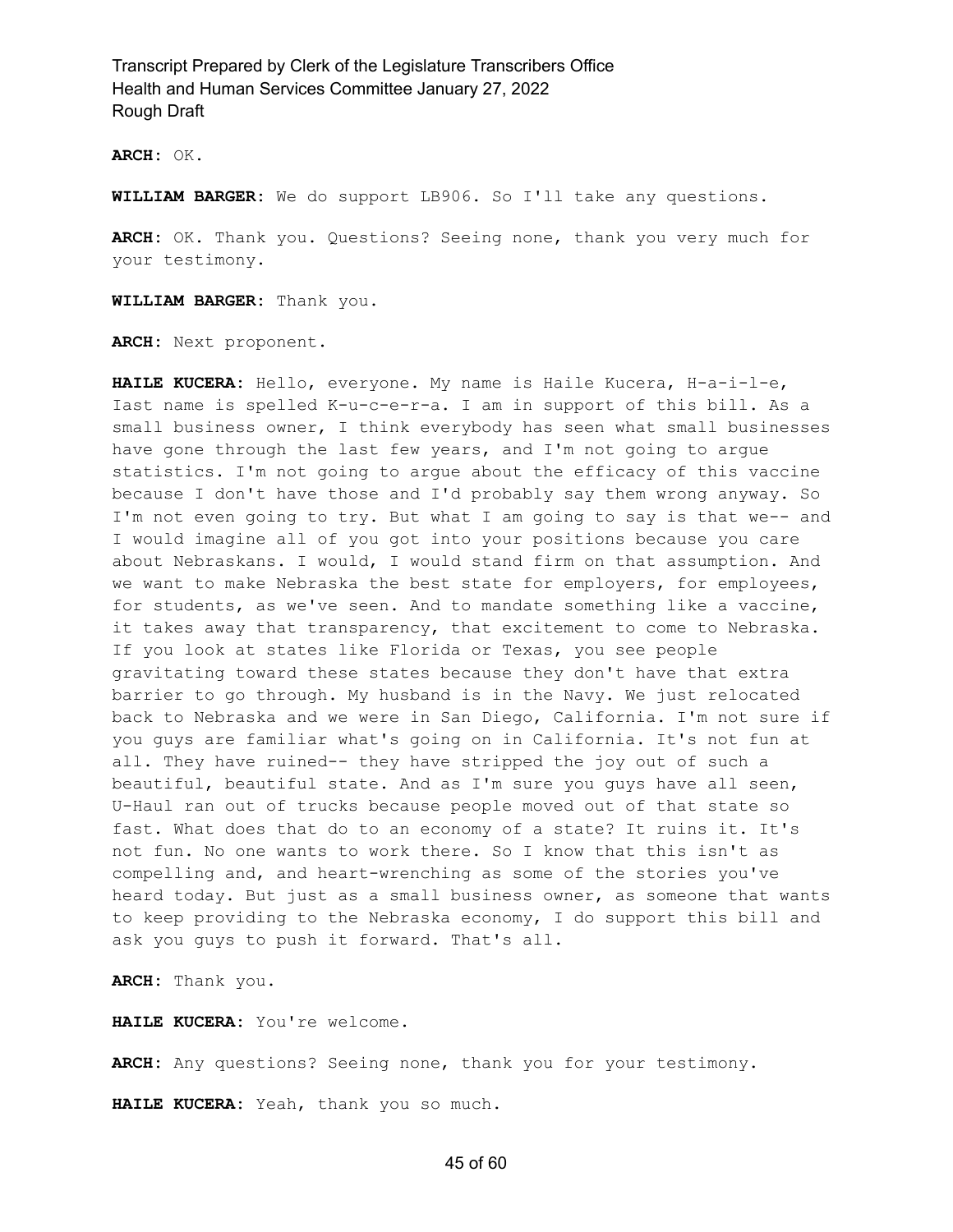**ARCH:** OK.

**WILLIAM BARGER:** We do support LB906. So I'll take any questions.

**ARCH:** OK. Thank you. Questions? Seeing none, thank you very much for your testimony.

**WILLIAM BARGER:** Thank you.

**ARCH:** Next proponent.

**HAILE KUCERA:** Hello, everyone. My name is Haile Kucera, H-a-i-l-e, Iast name is spelled K-u-c-e-r-a. I am in support of this bill. As a small business owner, I think everybody has seen what small businesses have gone through the last few years, and I'm not going to argue statistics. I'm not going to argue about the efficacy of this vaccine because I don't have those and I'd probably say them wrong anyway. So I'm not even going to try. But what I am going to say is that we-- and I would imagine all of you got into your positions because you care about Nebraskans. I would, I would stand firm on that assumption. And we want to make Nebraska the best state for employers, for employees, for students, as we've seen. And to mandate something like a vaccine, it takes away that transparency, that excitement to come to Nebraska. If you look at states like Florida or Texas, you see people gravitating toward these states because they don't have that extra barrier to go through. My husband is in the Navy. We just relocated back to Nebraska and we were in San Diego, California. I'm not sure if you guys are familiar what's going on in California. It's not fun at all. They have ruined-- they have stripped the joy out of such a beautiful, beautiful state. And as I'm sure you guys have all seen, U-Haul ran out of trucks because people moved out of that state so fast. What does that do to an economy of a state? It ruins it. It's not fun. No one wants to work there. So I know that this isn't as compelling and, and heart-wrenching as some of the stories you've heard today. But just as a small business owner, as someone that wants to keep providing to the Nebraska economy, I do support this bill and ask you guys to push it forward. That's all.

**ARCH:** Thank you.

**HAILE KUCERA:** You're welcome.

**ARCH:** Any questions? Seeing none, thank you for your testimony.

**HAILE KUCERA:** Yeah, thank you so much.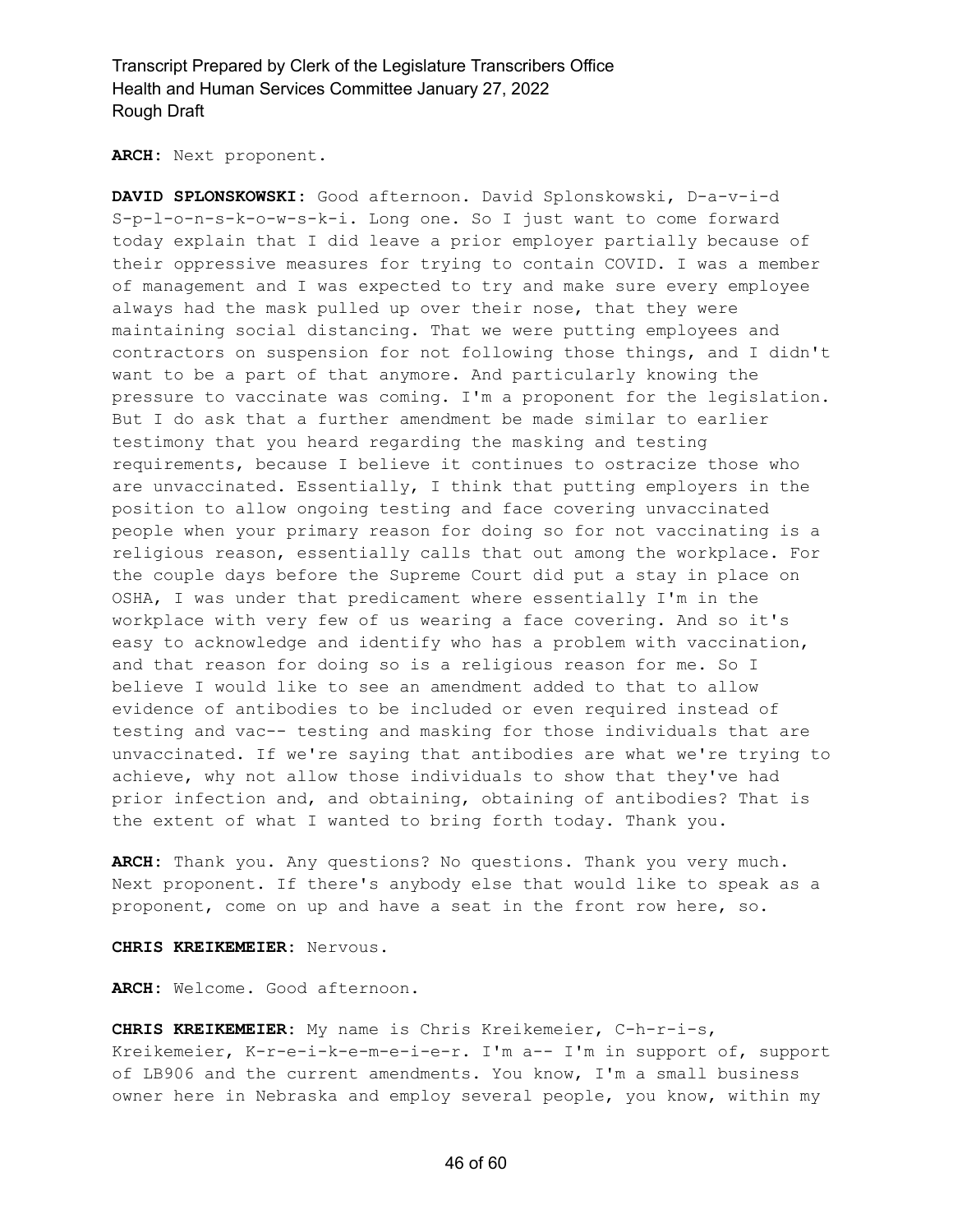**ARCH:** Next proponent.

**DAVID SPLONSKOWSKI:** Good afternoon. David Splonskowski, D-a-v-i-d S-p-l-o-n-s-k-o-w-s-k-i. Long one. So I just want to come forward today explain that I did leave a prior employer partially because of their oppressive measures for trying to contain COVID. I was a member of management and I was expected to try and make sure every employee always had the mask pulled up over their nose, that they were maintaining social distancing. That we were putting employees and contractors on suspension for not following those things, and I didn't want to be a part of that anymore. And particularly knowing the pressure to vaccinate was coming. I'm a proponent for the legislation. But I do ask that a further amendment be made similar to earlier testimony that you heard regarding the masking and testing requirements, because I believe it continues to ostracize those who are unvaccinated. Essentially, I think that putting employers in the position to allow ongoing testing and face covering unvaccinated people when your primary reason for doing so for not vaccinating is a religious reason, essentially calls that out among the workplace. For the couple days before the Supreme Court did put a stay in place on OSHA, I was under that predicament where essentially I'm in the workplace with very few of us wearing a face covering. And so it's easy to acknowledge and identify who has a problem with vaccination, and that reason for doing so is a religious reason for me. So I believe I would like to see an amendment added to that to allow evidence of antibodies to be included or even required instead of testing and vac-- testing and masking for those individuals that are unvaccinated. If we're saying that antibodies are what we're trying to achieve, why not allow those individuals to show that they've had prior infection and, and obtaining, obtaining of antibodies? That is the extent of what I wanted to bring forth today. Thank you.

**ARCH:** Thank you. Any questions? No questions. Thank you very much. Next proponent. If there's anybody else that would like to speak as a proponent, come on up and have a seat in the front row here, so.

**CHRIS KREIKEMEIER:** Nervous.

**ARCH:** Welcome. Good afternoon.

**CHRIS KREIKEMEIER:** My name is Chris Kreikemeier, C-h-r-i-s, Kreikemeier, K-r-e-i-k-e-m-e-i-e-r. I'm a-- I'm in support of, support of LB906 and the current amendments. You know, I'm a small business owner here in Nebraska and employ several people, you know, within my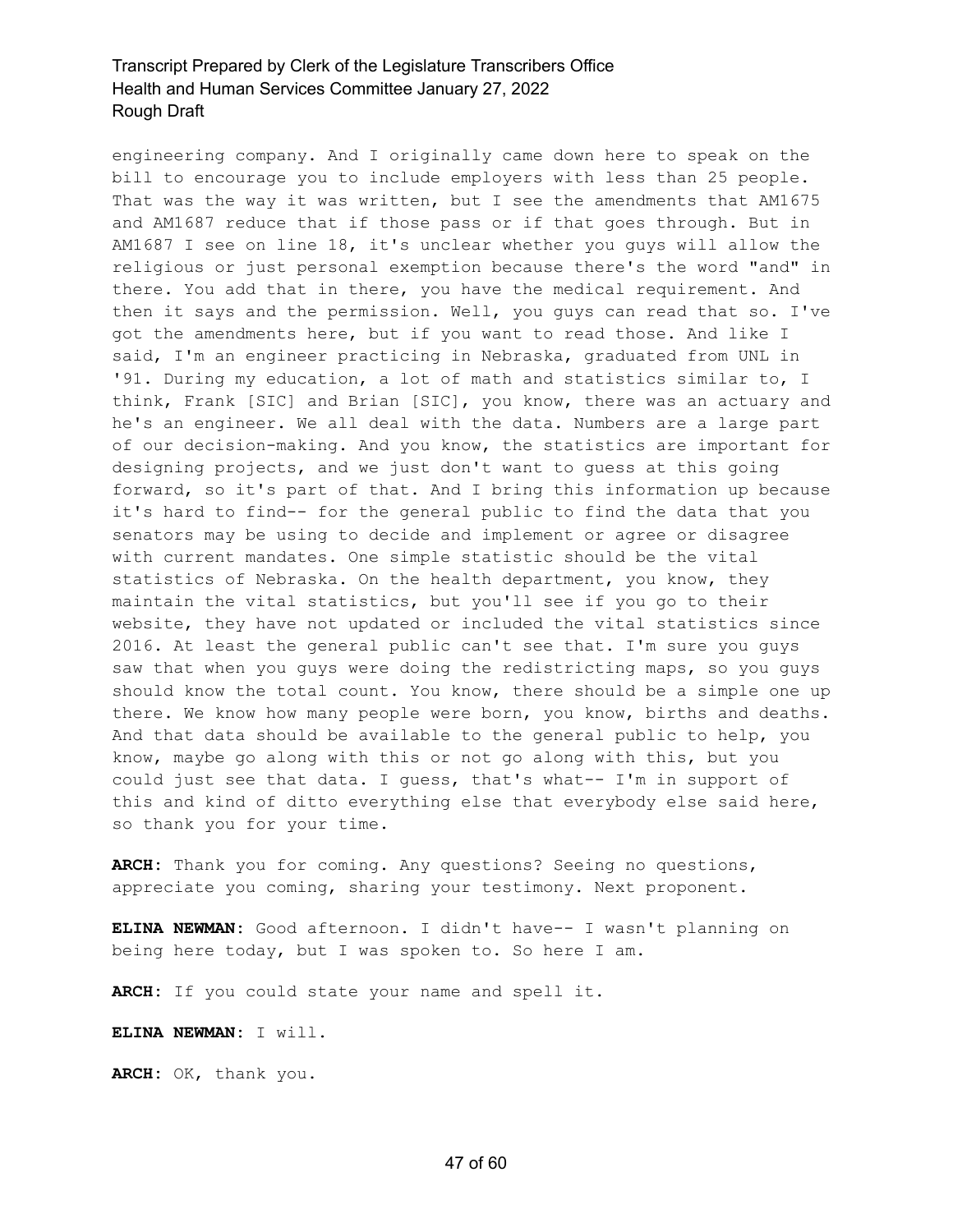engineering company. And I originally came down here to speak on the bill to encourage you to include employers with less than 25 people. That was the way it was written, but I see the amendments that AM1675 and AM1687 reduce that if those pass or if that goes through. But in AM1687 I see on line 18, it's unclear whether you guys will allow the religious or just personal exemption because there's the word "and" in there. You add that in there, you have the medical requirement. And then it says and the permission. Well, you guys can read that so. I've got the amendments here, but if you want to read those. And like I said, I'm an engineer practicing in Nebraska, graduated from UNL in '91. During my education, a lot of math and statistics similar to, I think, Frank [SIC] and Brian [SIC], you know, there was an actuary and he's an engineer. We all deal with the data. Numbers are a large part of our decision-making. And you know, the statistics are important for designing projects, and we just don't want to guess at this going forward, so it's part of that. And I bring this information up because it's hard to find-- for the general public to find the data that you senators may be using to decide and implement or agree or disagree with current mandates. One simple statistic should be the vital statistics of Nebraska. On the health department, you know, they maintain the vital statistics, but you'll see if you go to their website, they have not updated or included the vital statistics since 2016. At least the general public can't see that. I'm sure you guys saw that when you guys were doing the redistricting maps, so you guys should know the total count. You know, there should be a simple one up there. We know how many people were born, you know, births and deaths. And that data should be available to the general public to help, you know, maybe go along with this or not go along with this, but you could just see that data. I guess, that's what-- I'm in support of this and kind of ditto everything else that everybody else said here, so thank you for your time.

**ARCH:** Thank you for coming. Any questions? Seeing no questions, appreciate you coming, sharing your testimony. Next proponent.

**ELINA NEWMAN:** Good afternoon. I didn't have-- I wasn't planning on being here today, but I was spoken to. So here I am.

**ARCH:** If you could state your name and spell it.

**ELINA NEWMAN:** I will.

**ARCH:** OK, thank you.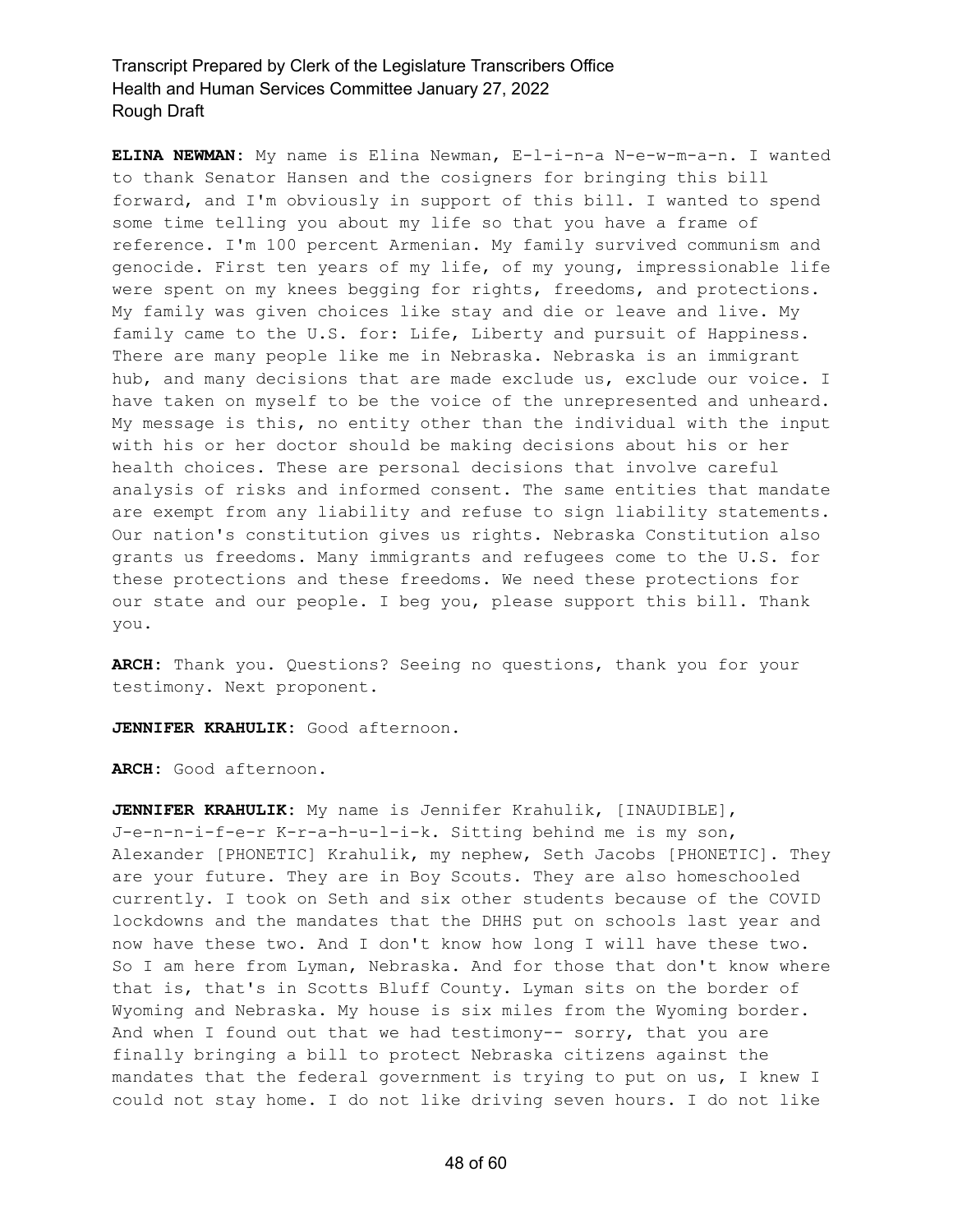**ELINA NEWMAN:** My name is Elina Newman, E-l-i-n-a N-e-w-m-a-n. I wanted to thank Senator Hansen and the cosigners for bringing this bill forward, and I'm obviously in support of this bill. I wanted to spend some time telling you about my life so that you have a frame of reference. I'm 100 percent Armenian. My family survived communism and genocide. First ten years of my life, of my young, impressionable life were spent on my knees begging for rights, freedoms, and protections. My family was given choices like stay and die or leave and live. My family came to the U.S. for: Life, Liberty and pursuit of Happiness. There are many people like me in Nebraska. Nebraska is an immigrant hub, and many decisions that are made exclude us, exclude our voice. I have taken on myself to be the voice of the unrepresented and unheard. My message is this, no entity other than the individual with the input with his or her doctor should be making decisions about his or her health choices. These are personal decisions that involve careful analysis of risks and informed consent. The same entities that mandate are exempt from any liability and refuse to sign liability statements. Our nation's constitution gives us rights. Nebraska Constitution also grants us freedoms. Many immigrants and refugees come to the U.S. for these protections and these freedoms. We need these protections for our state and our people. I beg you, please support this bill. Thank you.

**ARCH:** Thank you. Questions? Seeing no questions, thank you for your testimony. Next proponent.

**JENNIFER KRAHULIK:** Good afternoon.

**ARCH:** Good afternoon.

**JENNIFER KRAHULIK:** My name is Jennifer Krahulik, [INAUDIBLE], J-e-n-n-i-f-e-r K-r-a-h-u-l-i-k. Sitting behind me is my son, Alexander [PHONETIC] Krahulik, my nephew, Seth Jacobs [PHONETIC]. They are your future. They are in Boy Scouts. They are also homeschooled currently. I took on Seth and six other students because of the COVID lockdowns and the mandates that the DHHS put on schools last year and now have these two. And I don't know how long I will have these two. So I am here from Lyman, Nebraska. And for those that don't know where that is, that's in Scotts Bluff County. Lyman sits on the border of Wyoming and Nebraska. My house is six miles from the Wyoming border. And when I found out that we had testimony-- sorry, that you are finally bringing a bill to protect Nebraska citizens against the mandates that the federal government is trying to put on us, I knew I could not stay home. I do not like driving seven hours. I do not like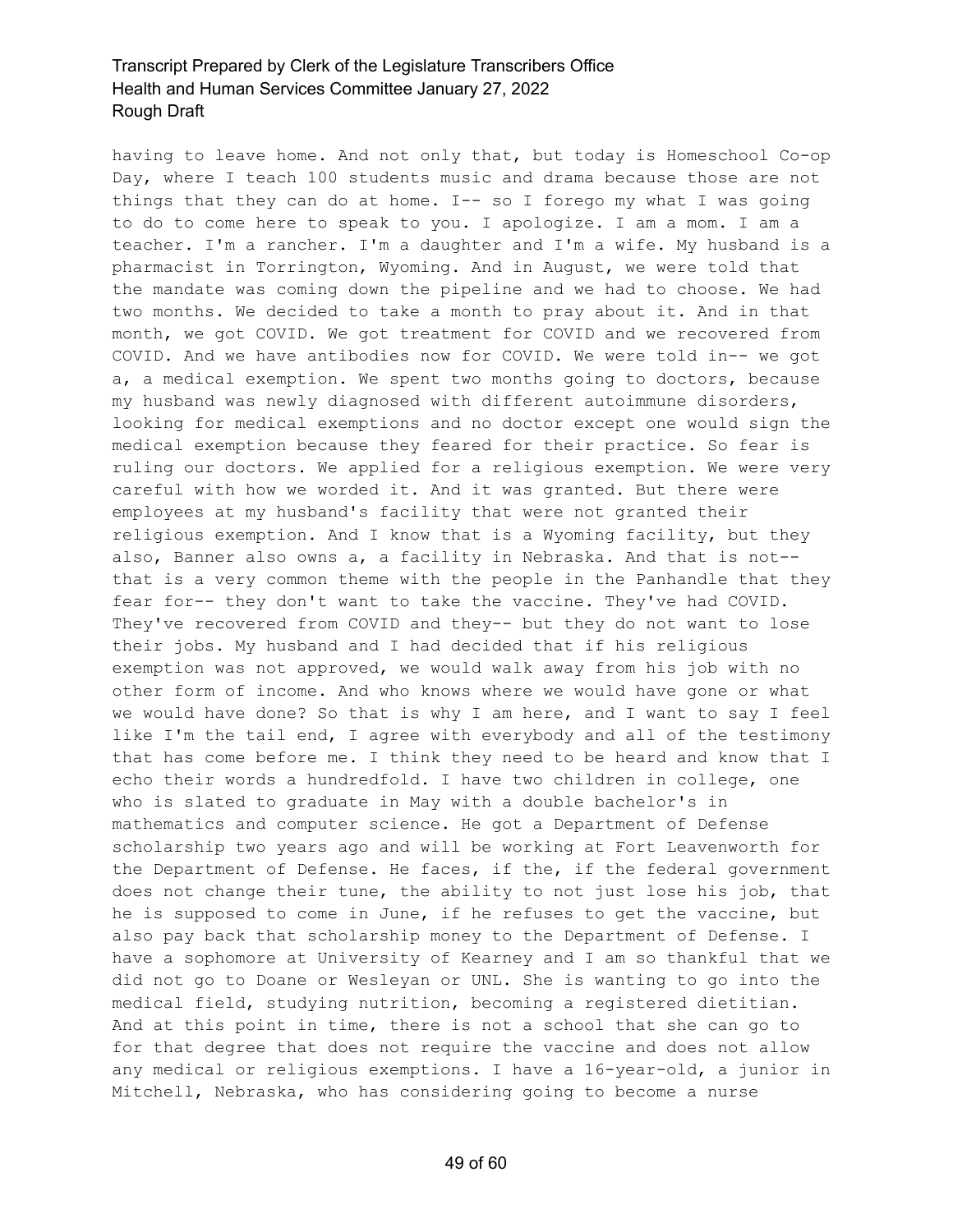having to leave home. And not only that, but today is Homeschool Co-op Day, where I teach 100 students music and drama because those are not things that they can do at home. I-- so I forego my what I was going to do to come here to speak to you. I apologize. I am a mom. I am a teacher. I'm a rancher. I'm a daughter and I'm a wife. My husband is a pharmacist in Torrington, Wyoming. And in August, we were told that the mandate was coming down the pipeline and we had to choose. We had two months. We decided to take a month to pray about it. And in that month, we got COVID. We got treatment for COVID and we recovered from COVID. And we have antibodies now for COVID. We were told in-- we got a, a medical exemption. We spent two months going to doctors, because my husband was newly diagnosed with different autoimmune disorders, looking for medical exemptions and no doctor except one would sign the medical exemption because they feared for their practice. So fear is ruling our doctors. We applied for a religious exemption. We were very careful with how we worded it. And it was granted. But there were employees at my husband's facility that were not granted their religious exemption. And I know that is a Wyoming facility, but they also, Banner also owns a, a facility in Nebraska. And that is not- that is a very common theme with the people in the Panhandle that they fear for-- they don't want to take the vaccine. They've had COVID. They've recovered from COVID and they-- but they do not want to lose their jobs. My husband and I had decided that if his religious exemption was not approved, we would walk away from his job with no other form of income. And who knows where we would have gone or what we would have done? So that is why I am here, and I want to say I feel like I'm the tail end, I agree with everybody and all of the testimony that has come before me. I think they need to be heard and know that I echo their words a hundredfold. I have two children in college, one who is slated to graduate in May with a double bachelor's in mathematics and computer science. He got a Department of Defense scholarship two years ago and will be working at Fort Leavenworth for the Department of Defense. He faces, if the, if the federal government does not change their tune, the ability to not just lose his job, that he is supposed to come in June, if he refuses to get the vaccine, but also pay back that scholarship money to the Department of Defense. I have a sophomore at University of Kearney and I am so thankful that we did not go to Doane or Wesleyan or UNL. She is wanting to go into the medical field, studying nutrition, becoming a registered dietitian. And at this point in time, there is not a school that she can go to for that degree that does not require the vaccine and does not allow any medical or religious exemptions. I have a 16-year-old, a junior in Mitchell, Nebraska, who has considering going to become a nurse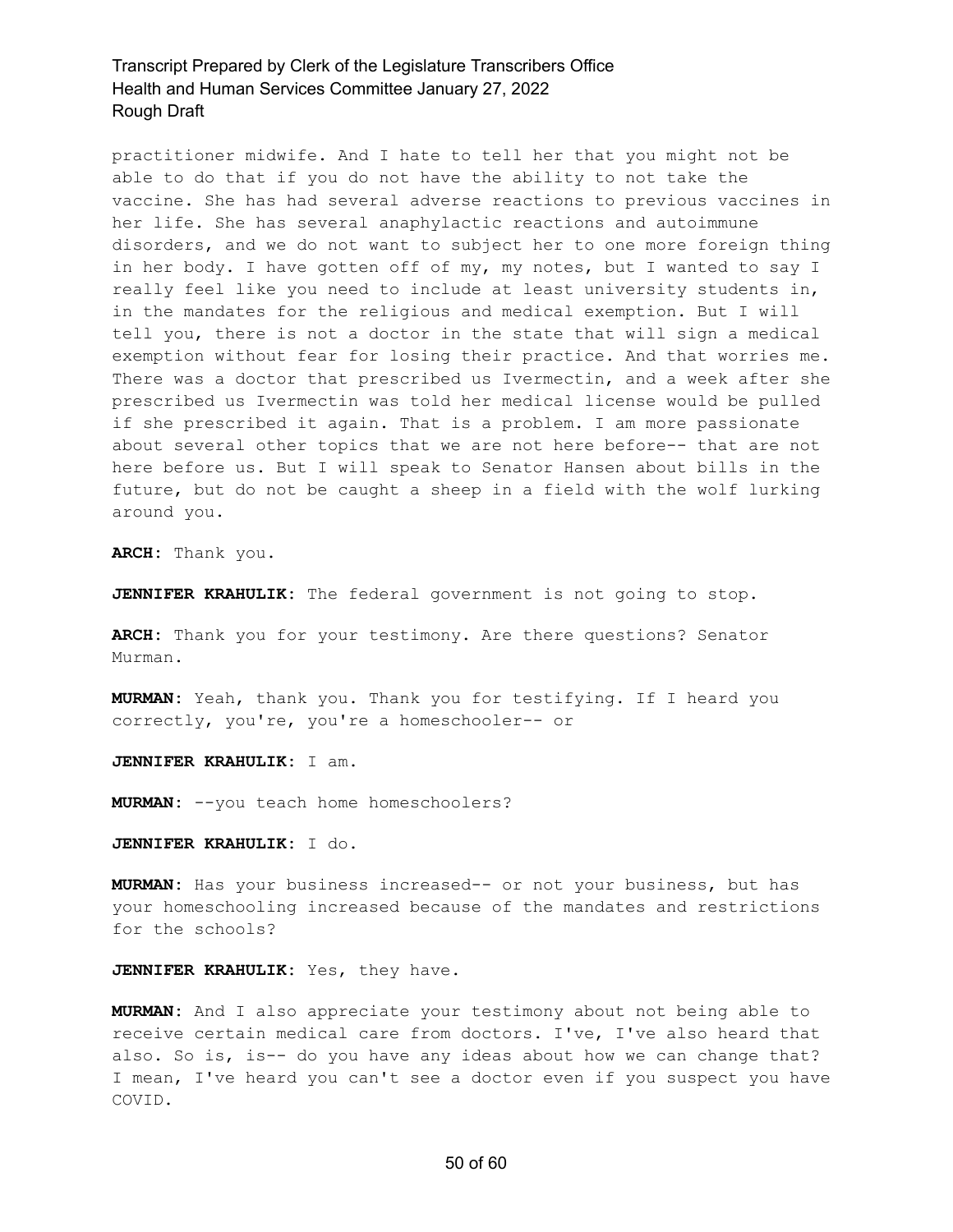practitioner midwife. And I hate to tell her that you might not be able to do that if you do not have the ability to not take the vaccine. She has had several adverse reactions to previous vaccines in her life. She has several anaphylactic reactions and autoimmune disorders, and we do not want to subject her to one more foreign thing in her body. I have gotten off of my, my notes, but I wanted to say I really feel like you need to include at least university students in, in the mandates for the religious and medical exemption. But I will tell you, there is not a doctor in the state that will sign a medical exemption without fear for losing their practice. And that worries me. There was a doctor that prescribed us Ivermectin, and a week after she prescribed us Ivermectin was told her medical license would be pulled if she prescribed it again. That is a problem. I am more passionate about several other topics that we are not here before-- that are not here before us. But I will speak to Senator Hansen about bills in the future, but do not be caught a sheep in a field with the wolf lurking around you.

**ARCH:** Thank you.

**JENNIFER KRAHULIK:** The federal government is not going to stop.

**ARCH:** Thank you for your testimony. Are there questions? Senator Murman.

**MURMAN:** Yeah, thank you. Thank you for testifying. If I heard you correctly, you're, you're a homeschooler-- or

**JENNIFER KRAHULIK:** I am.

**MURMAN:** --you teach home homeschoolers?

#### **JENNIFER KRAHULIK:** I do.

**MURMAN:** Has your business increased-- or not your business, but has your homeschooling increased because of the mandates and restrictions for the schools?

#### **JENNIFER KRAHULIK:** Yes, they have.

**MURMAN:** And I also appreciate your testimony about not being able to receive certain medical care from doctors. I've, I've also heard that also. So is, is-- do you have any ideas about how we can change that? I mean, I've heard you can't see a doctor even if you suspect you have COVID.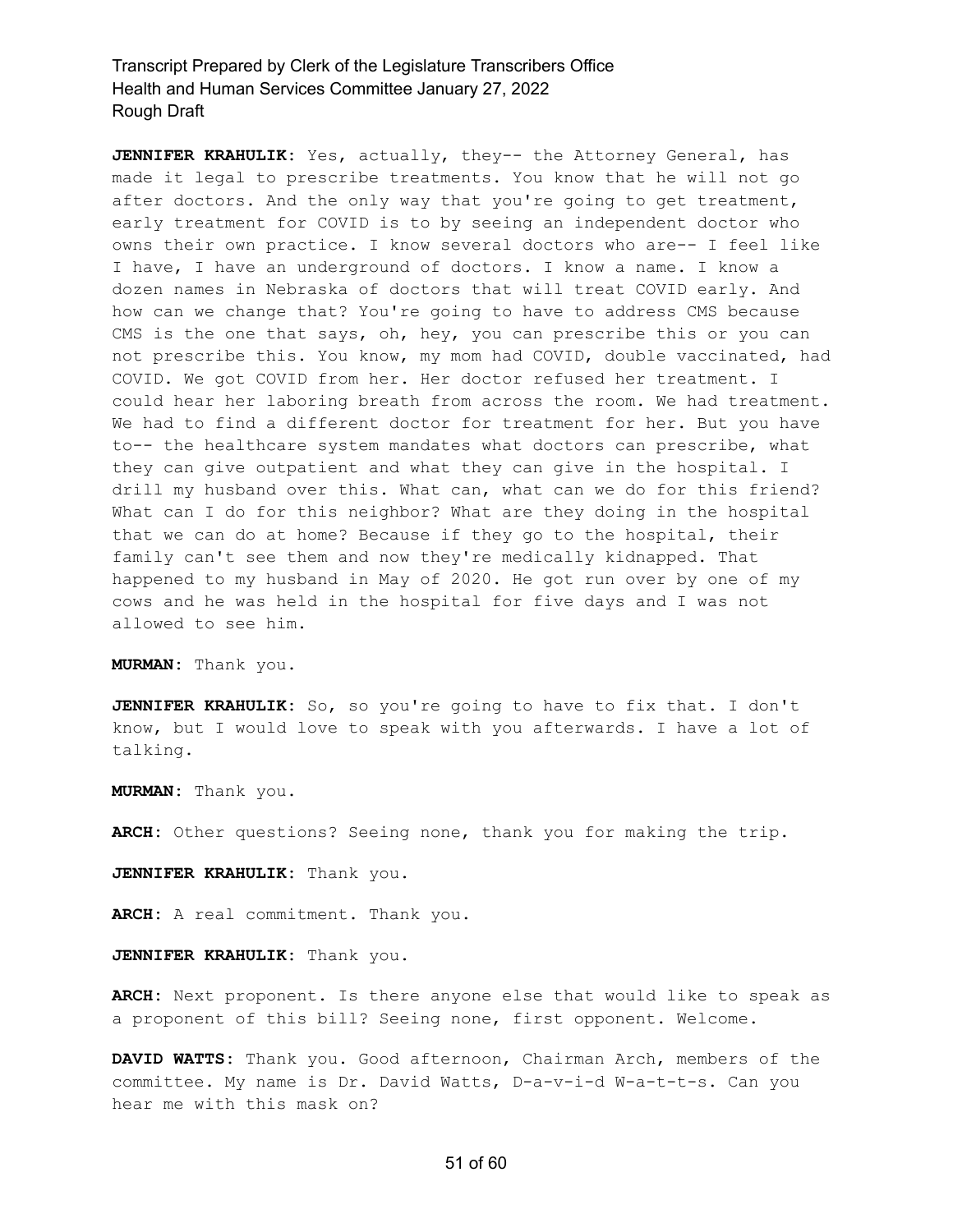**JENNIFER KRAHULIK:** Yes, actually, they-- the Attorney General, has made it legal to prescribe treatments. You know that he will not go after doctors. And the only way that you're going to get treatment, early treatment for COVID is to by seeing an independent doctor who owns their own practice. I know several doctors who are-- I feel like I have, I have an underground of doctors. I know a name. I know a dozen names in Nebraska of doctors that will treat COVID early. And how can we change that? You're going to have to address CMS because CMS is the one that says, oh, hey, you can prescribe this or you can not prescribe this. You know, my mom had COVID, double vaccinated, had COVID. We got COVID from her. Her doctor refused her treatment. I could hear her laboring breath from across the room. We had treatment. We had to find a different doctor for treatment for her. But you have to-- the healthcare system mandates what doctors can prescribe, what they can give outpatient and what they can give in the hospital. I drill my husband over this. What can, what can we do for this friend? What can I do for this neighbor? What are they doing in the hospital that we can do at home? Because if they go to the hospital, their family can't see them and now they're medically kidnapped. That happened to my husband in May of 2020. He got run over by one of my cows and he was held in the hospital for five days and I was not allowed to see him.

**MURMAN:** Thank you.

**JENNIFER KRAHULIK:** So, so you're going to have to fix that. I don't know, but I would love to speak with you afterwards. I have a lot of talking.

**MURMAN:** Thank you.

**ARCH:** Other questions? Seeing none, thank you for making the trip.

**JENNIFER KRAHULIK:** Thank you.

**ARCH:** A real commitment. Thank you.

**JENNIFER KRAHULIK:** Thank you.

**ARCH:** Next proponent. Is there anyone else that would like to speak as a proponent of this bill? Seeing none, first opponent. Welcome.

**DAVID WATTS:** Thank you. Good afternoon, Chairman Arch, members of the committee. My name is Dr. David Watts, D-a-v-i-d W-a-t-t-s. Can you hear me with this mask on?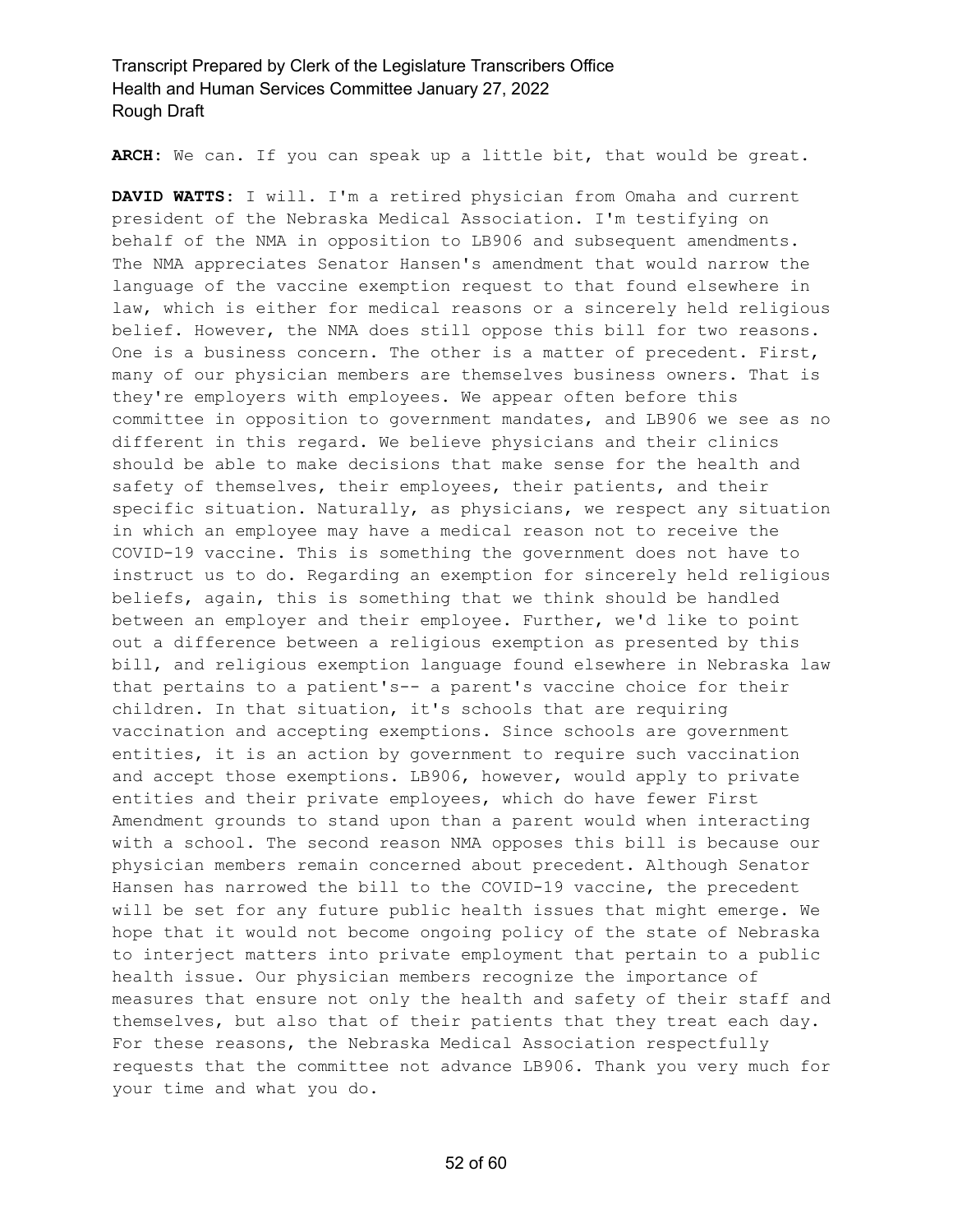**ARCH:** We can. If you can speak up a little bit, that would be great.

**DAVID WATTS:** I will. I'm a retired physician from Omaha and current president of the Nebraska Medical Association. I'm testifying on behalf of the NMA in opposition to LB906 and subsequent amendments. The NMA appreciates Senator Hansen's amendment that would narrow the language of the vaccine exemption request to that found elsewhere in law, which is either for medical reasons or a sincerely held religious belief. However, the NMA does still oppose this bill for two reasons. One is a business concern. The other is a matter of precedent. First, many of our physician members are themselves business owners. That is they're employers with employees. We appear often before this committee in opposition to government mandates, and LB906 we see as no different in this regard. We believe physicians and their clinics should be able to make decisions that make sense for the health and safety of themselves, their employees, their patients, and their specific situation. Naturally, as physicians, we respect any situation in which an employee may have a medical reason not to receive the COVID-19 vaccine. This is something the government does not have to instruct us to do. Regarding an exemption for sincerely held religious beliefs, again, this is something that we think should be handled between an employer and their employee. Further, we'd like to point out a difference between a religious exemption as presented by this bill, and religious exemption language found elsewhere in Nebraska law that pertains to a patient's-- a parent's vaccine choice for their children. In that situation, it's schools that are requiring vaccination and accepting exemptions. Since schools are government entities, it is an action by government to require such vaccination and accept those exemptions. LB906, however, would apply to private entities and their private employees, which do have fewer First Amendment grounds to stand upon than a parent would when interacting with a school. The second reason NMA opposes this bill is because our physician members remain concerned about precedent. Although Senator Hansen has narrowed the bill to the COVID-19 vaccine, the precedent will be set for any future public health issues that might emerge. We hope that it would not become ongoing policy of the state of Nebraska to interject matters into private employment that pertain to a public health issue. Our physician members recognize the importance of measures that ensure not only the health and safety of their staff and themselves, but also that of their patients that they treat each day. For these reasons, the Nebraska Medical Association respectfully requests that the committee not advance LB906. Thank you very much for your time and what you do.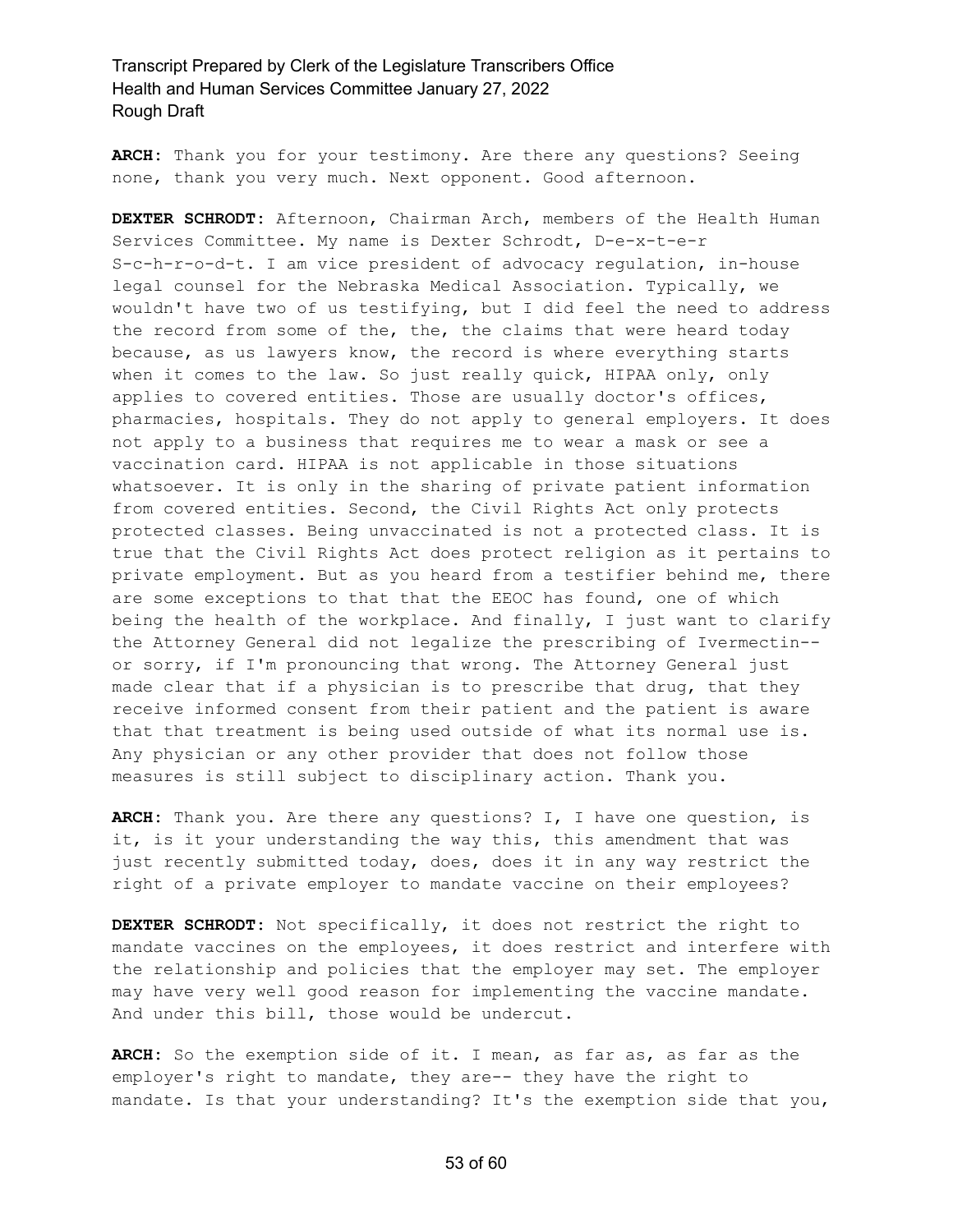**ARCH:** Thank you for your testimony. Are there any questions? Seeing none, thank you very much. Next opponent. Good afternoon.

**DEXTER SCHRODT:** Afternoon, Chairman Arch, members of the Health Human Services Committee. My name is Dexter Schrodt, D-e-x-t-e-r S-c-h-r-o-d-t. I am vice president of advocacy regulation, in-house legal counsel for the Nebraska Medical Association. Typically, we wouldn't have two of us testifying, but I did feel the need to address the record from some of the, the, the claims that were heard today because, as us lawyers know, the record is where everything starts when it comes to the law. So just really quick, HIPAA only, only applies to covered entities. Those are usually doctor's offices, pharmacies, hospitals. They do not apply to general employers. It does not apply to a business that requires me to wear a mask or see a vaccination card. HIPAA is not applicable in those situations whatsoever. It is only in the sharing of private patient information from covered entities. Second, the Civil Rights Act only protects protected classes. Being unvaccinated is not a protected class. It is true that the Civil Rights Act does protect religion as it pertains to private employment. But as you heard from a testifier behind me, there are some exceptions to that that the EEOC has found, one of which being the health of the workplace. And finally, I just want to clarify the Attorney General did not legalize the prescribing of Ivermectin- or sorry, if I'm pronouncing that wrong. The Attorney General just made clear that if a physician is to prescribe that drug, that they receive informed consent from their patient and the patient is aware that that treatment is being used outside of what its normal use is. Any physician or any other provider that does not follow those measures is still subject to disciplinary action. Thank you.

**ARCH:** Thank you. Are there any questions? I, I have one question, is it, is it your understanding the way this, this amendment that was just recently submitted today, does, does it in any way restrict the right of a private employer to mandate vaccine on their employees?

**DEXTER SCHRODT:** Not specifically, it does not restrict the right to mandate vaccines on the employees, it does restrict and interfere with the relationship and policies that the employer may set. The employer may have very well good reason for implementing the vaccine mandate. And under this bill, those would be undercut.

**ARCH:** So the exemption side of it. I mean, as far as, as far as the employer's right to mandate, they are-- they have the right to mandate. Is that your understanding? It's the exemption side that you,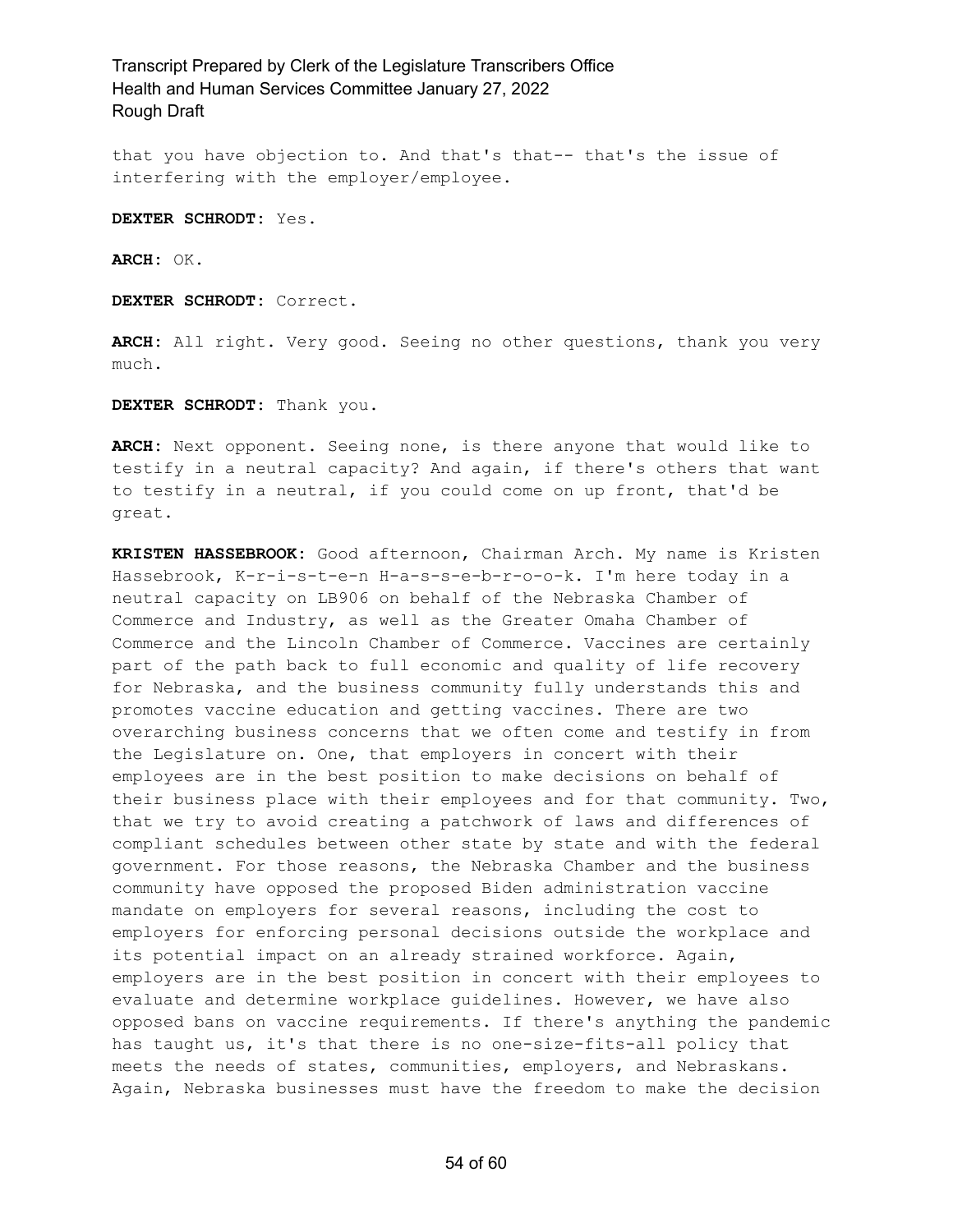that you have objection to. And that's that-- that's the issue of interfering with the employer/employee.

**DEXTER SCHRODT:** Yes.

**ARCH:** OK.

**DEXTER SCHRODT:** Correct.

**ARCH:** All right. Very good. Seeing no other questions, thank you very much.

**DEXTER SCHRODT:** Thank you.

**ARCH:** Next opponent. Seeing none, is there anyone that would like to testify in a neutral capacity? And again, if there's others that want to testify in a neutral, if you could come on up front, that'd be great.

**KRISTEN HASSEBROOK:** Good afternoon, Chairman Arch. My name is Kristen Hassebrook, K-r-i-s-t-e-n H-a-s-s-e-b-r-o-o-k. I'm here today in a neutral capacity on LB906 on behalf of the Nebraska Chamber of Commerce and Industry, as well as the Greater Omaha Chamber of Commerce and the Lincoln Chamber of Commerce. Vaccines are certainly part of the path back to full economic and quality of life recovery for Nebraska, and the business community fully understands this and promotes vaccine education and getting vaccines. There are two overarching business concerns that we often come and testify in from the Legislature on. One, that employers in concert with their employees are in the best position to make decisions on behalf of their business place with their employees and for that community. Two, that we try to avoid creating a patchwork of laws and differences of compliant schedules between other state by state and with the federal government. For those reasons, the Nebraska Chamber and the business community have opposed the proposed Biden administration vaccine mandate on employers for several reasons, including the cost to employers for enforcing personal decisions outside the workplace and its potential impact on an already strained workforce. Again, employers are in the best position in concert with their employees to evaluate and determine workplace guidelines. However, we have also opposed bans on vaccine requirements. If there's anything the pandemic has taught us, it's that there is no one-size-fits-all policy that meets the needs of states, communities, employers, and Nebraskans. Again, Nebraska businesses must have the freedom to make the decision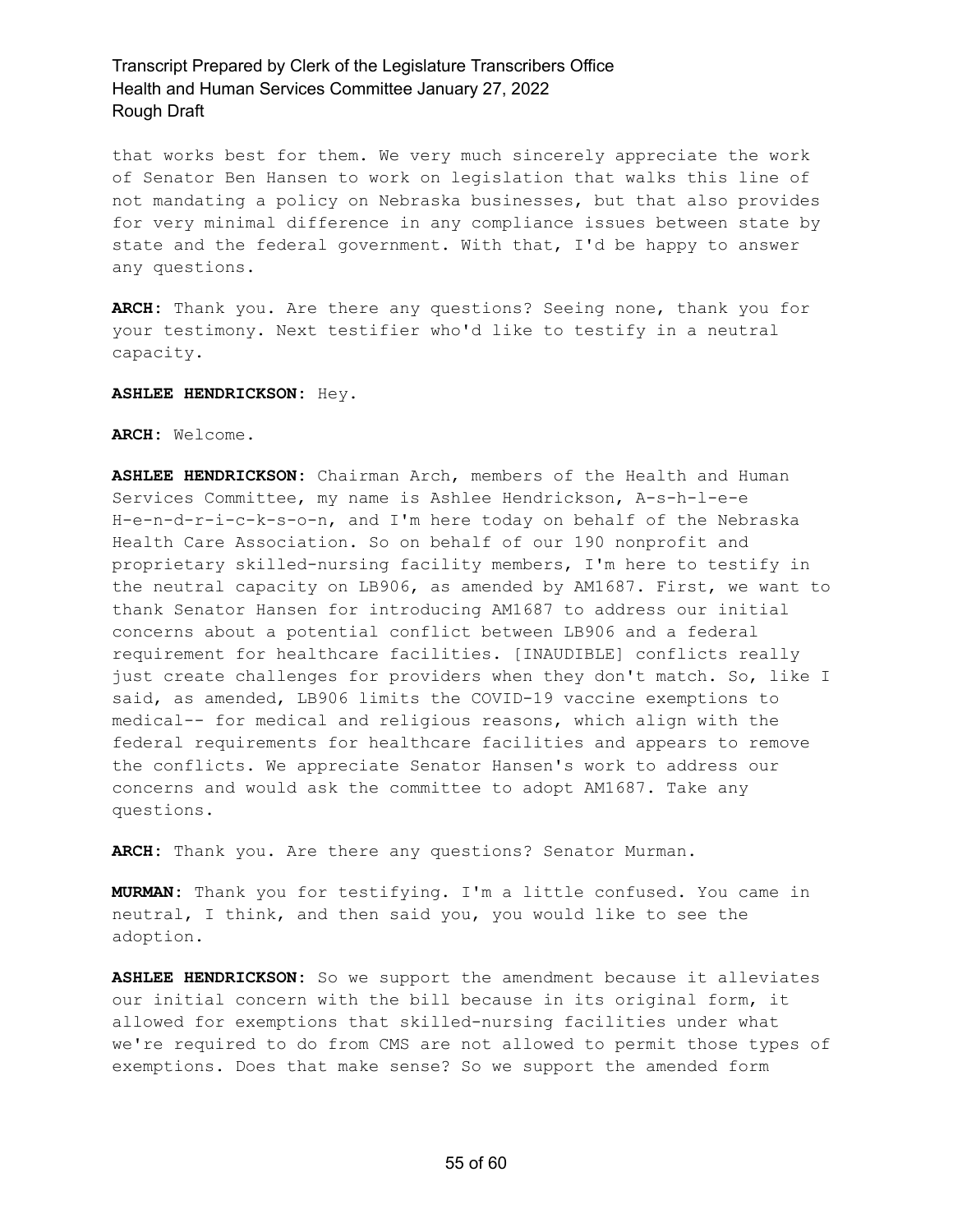that works best for them. We very much sincerely appreciate the work of Senator Ben Hansen to work on legislation that walks this line of not mandating a policy on Nebraska businesses, but that also provides for very minimal difference in any compliance issues between state by state and the federal government. With that, I'd be happy to answer any questions.

**ARCH:** Thank you. Are there any questions? Seeing none, thank you for your testimony. Next testifier who'd like to testify in a neutral capacity.

**ASHLEE HENDRICKSON:** Hey.

#### **ARCH:** Welcome.

**ASHLEE HENDRICKSON:** Chairman Arch, members of the Health and Human Services Committee, my name is Ashlee Hendrickson, A-s-h-l-e-e H-e-n-d-r-i-c-k-s-o-n, and I'm here today on behalf of the Nebraska Health Care Association. So on behalf of our 190 nonprofit and proprietary skilled-nursing facility members, I'm here to testify in the neutral capacity on LB906, as amended by AM1687. First, we want to thank Senator Hansen for introducing AM1687 to address our initial concerns about a potential conflict between LB906 and a federal requirement for healthcare facilities. [INAUDIBLE] conflicts really just create challenges for providers when they don't match. So, like I said, as amended, LB906 limits the COVID-19 vaccine exemptions to medical-- for medical and religious reasons, which align with the federal requirements for healthcare facilities and appears to remove the conflicts. We appreciate Senator Hansen's work to address our concerns and would ask the committee to adopt AM1687. Take any questions.

**ARCH:** Thank you. Are there any questions? Senator Murman.

**MURMAN:** Thank you for testifying. I'm a little confused. You came in neutral, I think, and then said you, you would like to see the adoption.

**ASHLEE HENDRICKSON:** So we support the amendment because it alleviates our initial concern with the bill because in its original form, it allowed for exemptions that skilled-nursing facilities under what we're required to do from CMS are not allowed to permit those types of exemptions. Does that make sense? So we support the amended form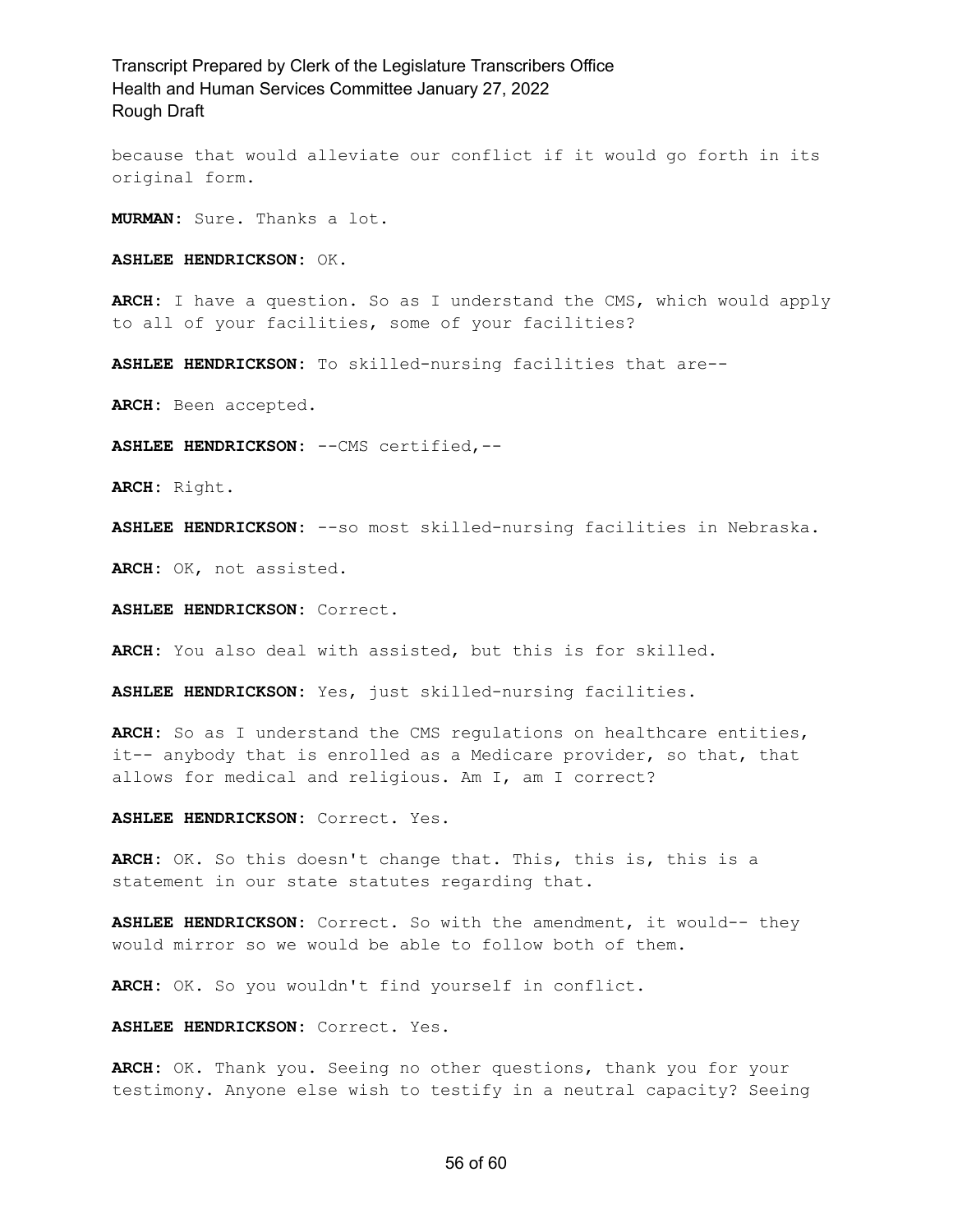because that would alleviate our conflict if it would go forth in its original form.

**MURMAN:** Sure. Thanks a lot.

**ASHLEE HENDRICKSON:** OK.

**ARCH:** I have a question. So as I understand the CMS, which would apply to all of your facilities, some of your facilities?

**ASHLEE HENDRICKSON:** To skilled-nursing facilities that are--

**ARCH:** Been accepted.

**ASHLEE HENDRICKSON:** --CMS certified,--

**ARCH:** Right.

**ASHLEE HENDRICKSON:** --so most skilled-nursing facilities in Nebraska.

**ARCH:** OK, not assisted.

**ASHLEE HENDRICKSON:** Correct.

**ARCH:** You also deal with assisted, but this is for skilled.

**ASHLEE HENDRICKSON:** Yes, just skilled-nursing facilities.

**ARCH:** So as I understand the CMS regulations on healthcare entities, it-- anybody that is enrolled as a Medicare provider, so that, that allows for medical and religious. Am I, am I correct?

**ASHLEE HENDRICKSON:** Correct. Yes.

**ARCH:** OK. So this doesn't change that. This, this is, this is a statement in our state statutes regarding that.

**ASHLEE HENDRICKSON:** Correct. So with the amendment, it would-- they would mirror so we would be able to follow both of them.

**ARCH:** OK. So you wouldn't find yourself in conflict.

**ASHLEE HENDRICKSON:** Correct. Yes.

**ARCH:** OK. Thank you. Seeing no other questions, thank you for your testimony. Anyone else wish to testify in a neutral capacity? Seeing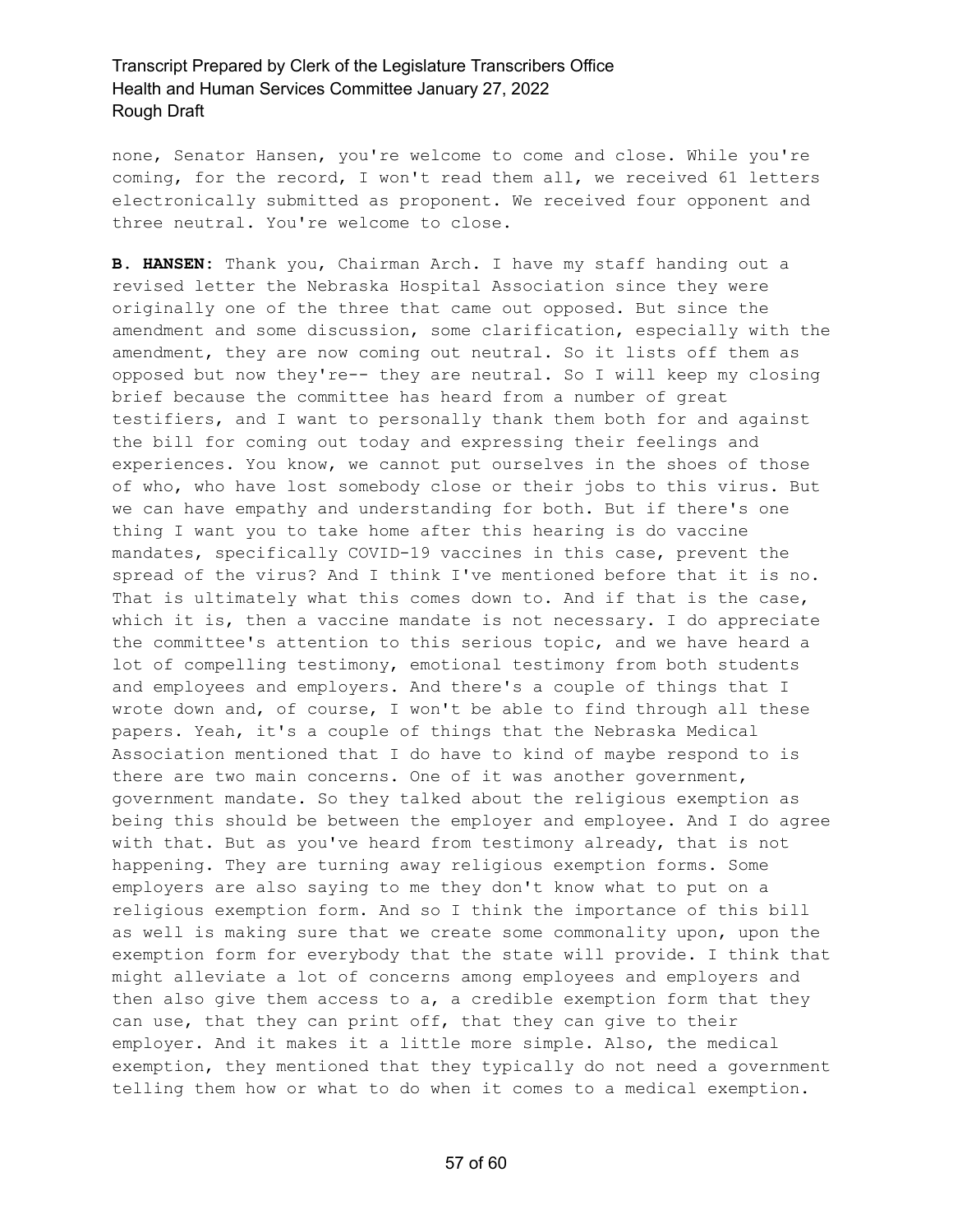none, Senator Hansen, you're welcome to come and close. While you're coming, for the record, I won't read them all, we received 61 letters electronically submitted as proponent. We received four opponent and three neutral. You're welcome to close.

**B. HANSEN:** Thank you, Chairman Arch. I have my staff handing out a revised letter the Nebraska Hospital Association since they were originally one of the three that came out opposed. But since the amendment and some discussion, some clarification, especially with the amendment, they are now coming out neutral. So it lists off them as opposed but now they're-- they are neutral. So I will keep my closing brief because the committee has heard from a number of great testifiers, and I want to personally thank them both for and against the bill for coming out today and expressing their feelings and experiences. You know, we cannot put ourselves in the shoes of those of who, who have lost somebody close or their jobs to this virus. But we can have empathy and understanding for both. But if there's one thing I want you to take home after this hearing is do vaccine mandates, specifically COVID-19 vaccines in this case, prevent the spread of the virus? And I think I've mentioned before that it is no. That is ultimately what this comes down to. And if that is the case, which it is, then a vaccine mandate is not necessary. I do appreciate the committee's attention to this serious topic, and we have heard a lot of compelling testimony, emotional testimony from both students and employees and employers. And there's a couple of things that I wrote down and, of course, I won't be able to find through all these papers. Yeah, it's a couple of things that the Nebraska Medical Association mentioned that I do have to kind of maybe respond to is there are two main concerns. One of it was another government, government mandate. So they talked about the religious exemption as being this should be between the employer and employee. And I do agree with that. But as you've heard from testimony already, that is not happening. They are turning away religious exemption forms. Some employers are also saying to me they don't know what to put on a religious exemption form. And so I think the importance of this bill as well is making sure that we create some commonality upon, upon the exemption form for everybody that the state will provide. I think that might alleviate a lot of concerns among employees and employers and then also give them access to a, a credible exemption form that they can use, that they can print off, that they can give to their employer. And it makes it a little more simple. Also, the medical exemption, they mentioned that they typically do not need a government telling them how or what to do when it comes to a medical exemption.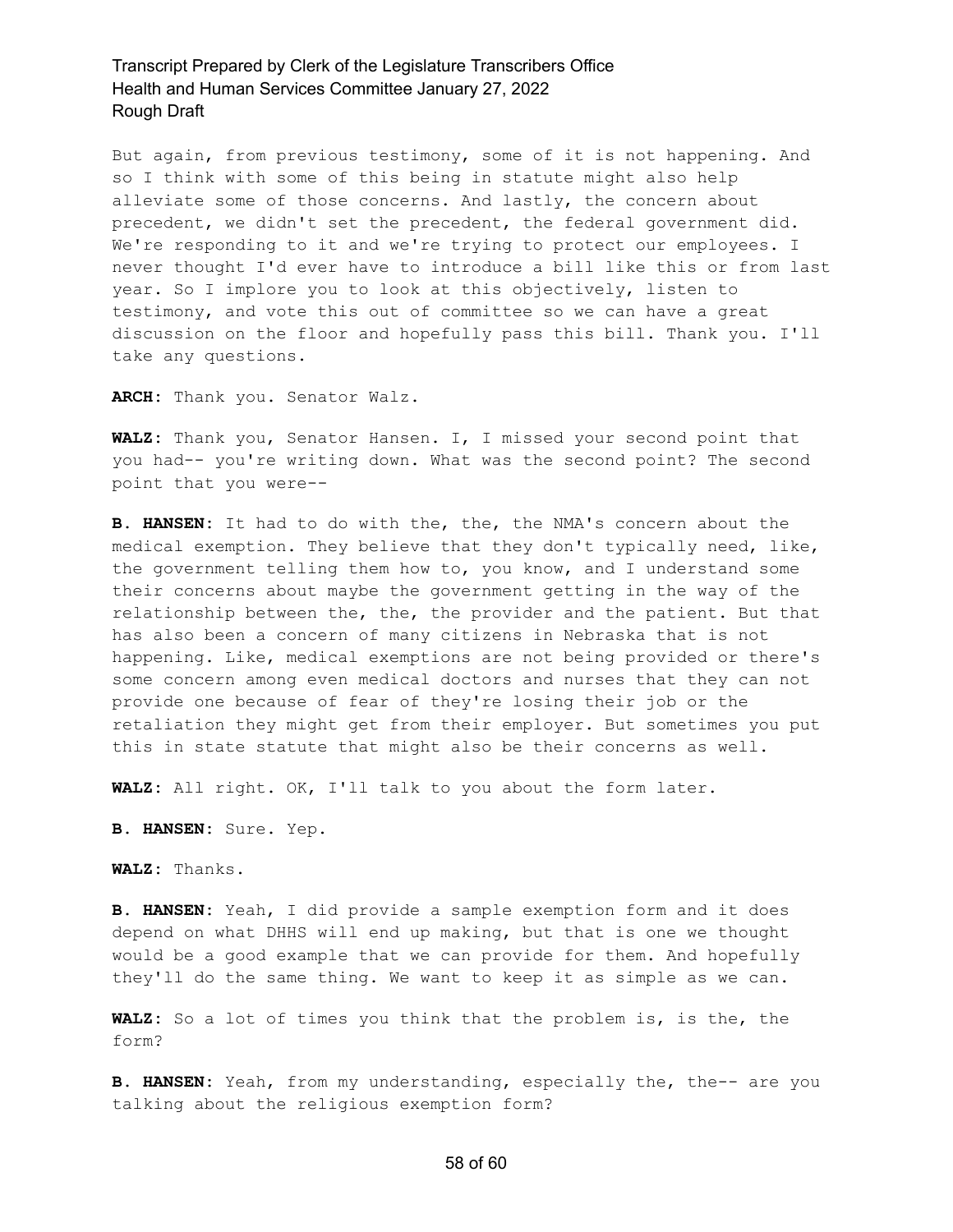But again, from previous testimony, some of it is not happening. And so I think with some of this being in statute might also help alleviate some of those concerns. And lastly, the concern about precedent, we didn't set the precedent, the federal government did. We're responding to it and we're trying to protect our employees. I never thought I'd ever have to introduce a bill like this or from last year. So I implore you to look at this objectively, listen to testimony, and vote this out of committee so we can have a great discussion on the floor and hopefully pass this bill. Thank you. I'll take any questions.

**ARCH:** Thank you. Senator Walz.

**WALZ:** Thank you, Senator Hansen. I, I missed your second point that you had-- you're writing down. What was the second point? The second point that you were--

**B. HANSEN:** It had to do with the, the, the NMA's concern about the medical exemption. They believe that they don't typically need, like, the government telling them how to, you know, and I understand some their concerns about maybe the government getting in the way of the relationship between the, the, the provider and the patient. But that has also been a concern of many citizens in Nebraska that is not happening. Like, medical exemptions are not being provided or there's some concern among even medical doctors and nurses that they can not provide one because of fear of they're losing their job or the retaliation they might get from their employer. But sometimes you put this in state statute that might also be their concerns as well.

**WALZ:** All right. OK, I'll talk to you about the form later.

**B. HANSEN:** Sure. Yep.

**WALZ:** Thanks.

**B. HANSEN:** Yeah, I did provide a sample exemption form and it does depend on what DHHS will end up making, but that is one we thought would be a good example that we can provide for them. And hopefully they'll do the same thing. We want to keep it as simple as we can.

**WALZ:** So a lot of times you think that the problem is, is the, the form?

**B. HANSEN:** Yeah, from my understanding, especially the, the-- are you talking about the religious exemption form?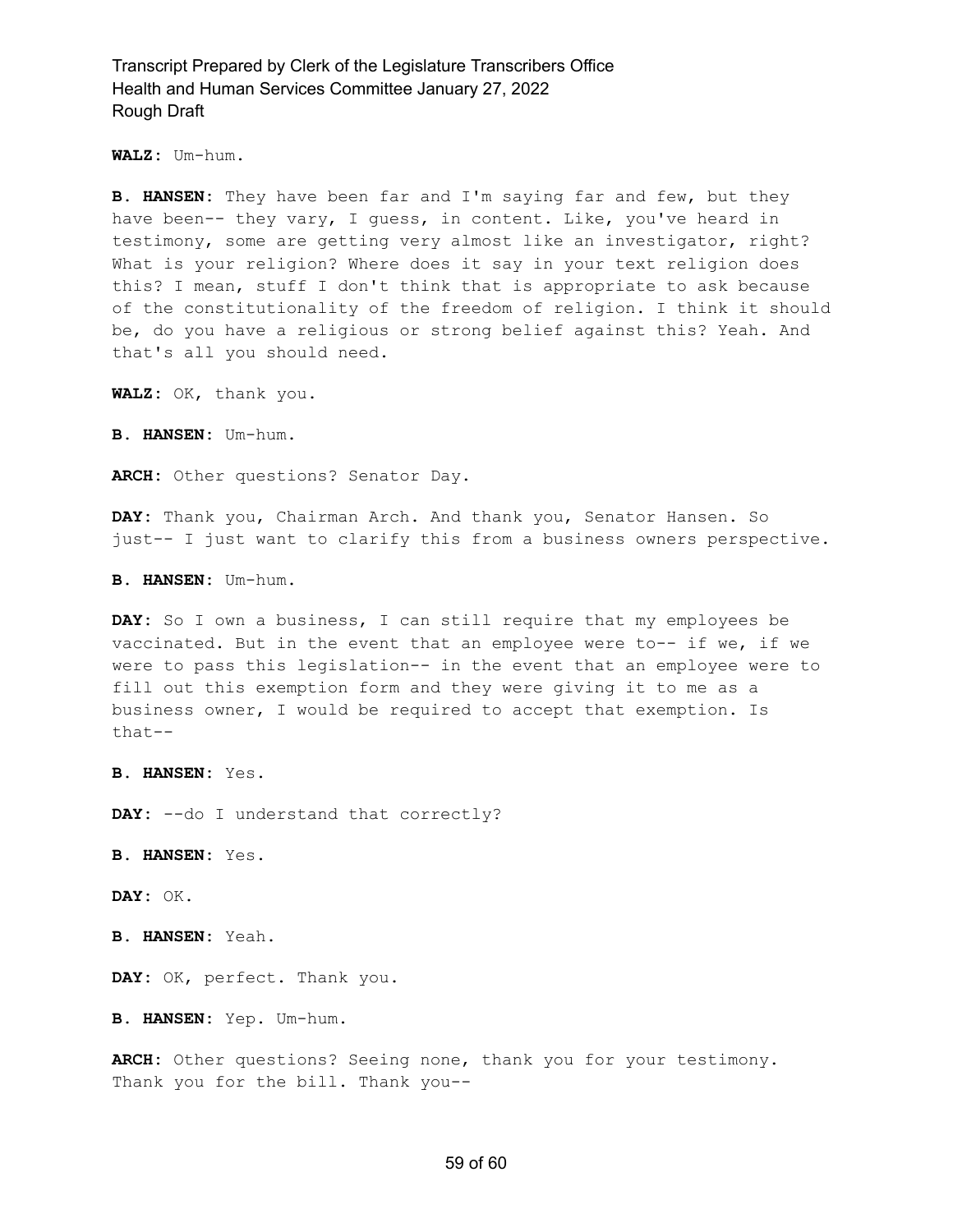**WALZ:** Um-hum.

**B. HANSEN:** They have been far and I'm saying far and few, but they have been-- they vary, I guess, in content. Like, you've heard in testimony, some are getting very almost like an investigator, right? What is your religion? Where does it say in your text religion does this? I mean, stuff I don't think that is appropriate to ask because of the constitutionality of the freedom of religion. I think it should be, do you have a religious or strong belief against this? Yeah. And that's all you should need.

**WALZ:** OK, thank you.

**B. HANSEN:** Um-hum.

**ARCH:** Other questions? Senator Day.

**DAY:** Thank you, Chairman Arch. And thank you, Senator Hansen. So just-- I just want to clarify this from a business owners perspective.

**B. HANSEN:** Um-hum.

**DAY:** So I own a business, I can still require that my employees be vaccinated. But in the event that an employee were to-- if we, if we were to pass this legislation-- in the event that an employee were to fill out this exemption form and they were giving it to me as a business owner, I would be required to accept that exemption. Is that--

**B. HANSEN:** Yes.

**DAY:** --do I understand that correctly?

**B. HANSEN:** Yes.

**DAY:** OK.

**B. HANSEN:** Yeah.

**DAY:** OK, perfect. Thank you.

**B. HANSEN:** Yep. Um-hum.

**ARCH:** Other questions? Seeing none, thank you for your testimony. Thank you for the bill. Thank you--